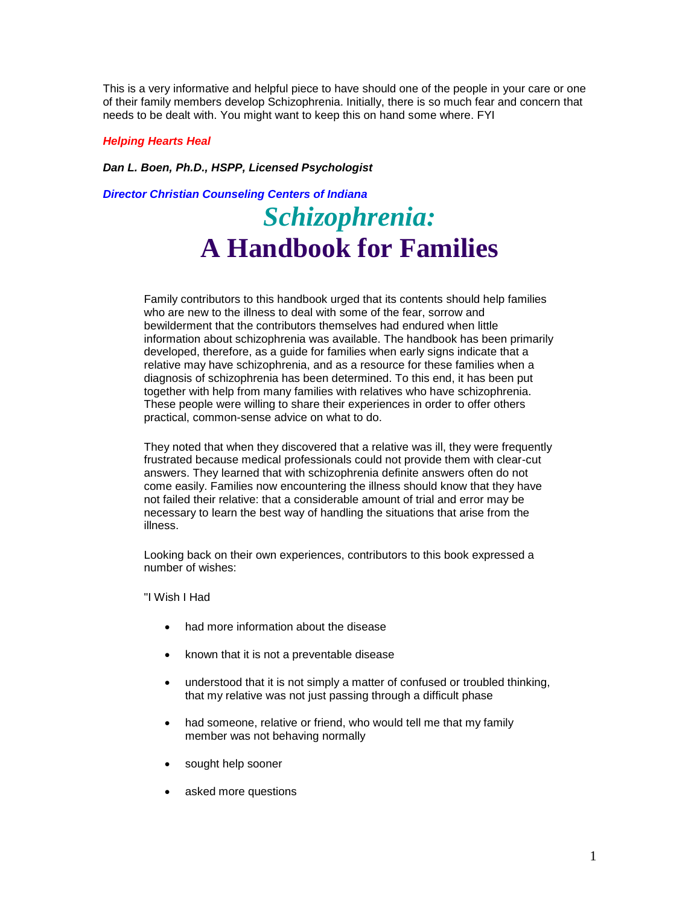This is a very informative and helpful piece to have should one of the people in your care or one of their family members develop Schizophrenia. Initially, there is so much fear and concern that needs to be dealt with. You might want to keep this on hand some where. FYI

## *Helping Hearts Heal*

*Dan L. Boen, Ph.D., HSPP, Licensed Psychologist*

*Director Christian Counseling Centers of Indiana*

# *Schizophrenia:* **A Handbook for Families**

Family contributors to this handbook urged that its contents should help families who are new to the illness to deal with some of the fear, sorrow and bewilderment that the contributors themselves had endured when little information about schizophrenia was available. The handbook has been primarily developed, therefore, as a guide for families when early signs indicate that a relative may have schizophrenia, and as a resource for these families when a diagnosis of schizophrenia has been determined. To this end, it has been put together with help from many families with relatives who have schizophrenia. These people were willing to share their experiences in order to offer others practical, common-sense advice on what to do.

They noted that when they discovered that a relative was ill, they were frequently frustrated because medical professionals could not provide them with clear-cut answers. They learned that with schizophrenia definite answers often do not come easily. Families now encountering the illness should know that they have not failed their relative: that a considerable amount of trial and error may be necessary to learn the best way of handling the situations that arise from the illness.

Looking back on their own experiences, contributors to this book expressed a number of wishes:

"I Wish I Had

- had more information about the disease
- known that it is not a preventable disease
- understood that it is not simply a matter of confused or troubled thinking, that my relative was not just passing through a difficult phase
- had someone, relative or friend, who would tell me that my family member was not behaving normally
- sought help sooner
- asked more questions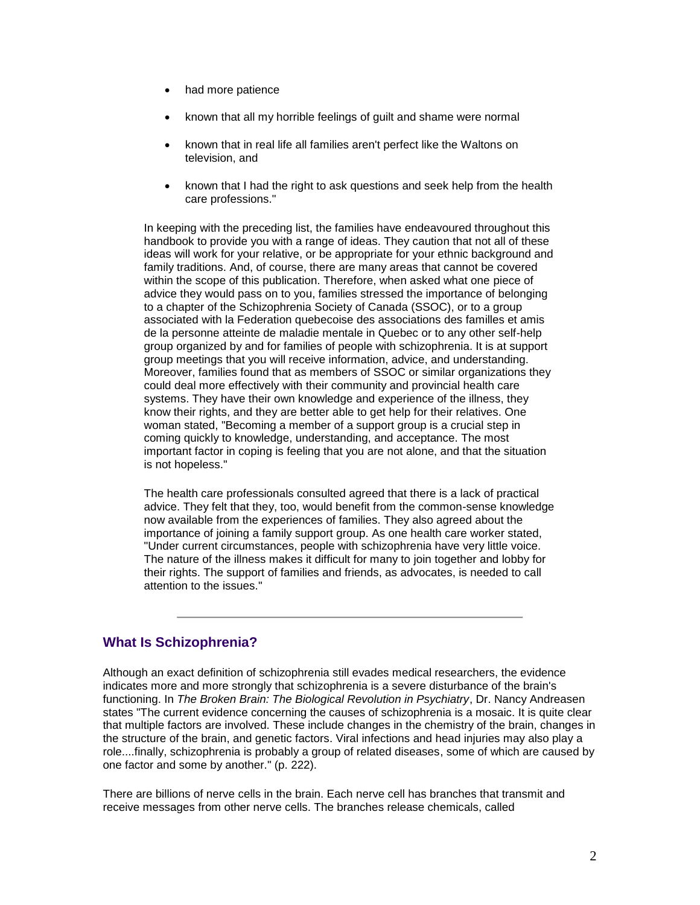- had more patience
- known that all my horrible feelings of guilt and shame were normal
- known that in real life all families aren't perfect like the Waltons on television, and
- known that I had the right to ask questions and seek help from the health care professions."

In keeping with the preceding list, the families have endeavoured throughout this handbook to provide you with a range of ideas. They caution that not all of these ideas will work for your relative, or be appropriate for your ethnic background and family traditions. And, of course, there are many areas that cannot be covered within the scope of this publication. Therefore, when asked what one piece of advice they would pass on to you, families stressed the importance of belonging to a chapter of the Schizophrenia Society of Canada (SSOC), or to a group associated with la Federation quebecoise des associations des familles et amis de la personne atteinte de maladie mentale in Quebec or to any other self-help group organized by and for families of people with schizophrenia. It is at support group meetings that you will receive information, advice, and understanding. Moreover, families found that as members of SSOC or similar organizations they could deal more effectively with their community and provincial health care systems. They have their own knowledge and experience of the illness, they know their rights, and they are better able to get help for their relatives. One woman stated, "Becoming a member of a support group is a crucial step in coming quickly to knowledge, understanding, and acceptance. The most important factor in coping is feeling that you are not alone, and that the situation is not hopeless."

The health care professionals consulted agreed that there is a lack of practical advice. They felt that they, too, would benefit from the common-sense knowledge now available from the experiences of families. They also agreed about the importance of joining a family support group. As one health care worker stated, "Under current circumstances, people with schizophrenia have very little voice. The nature of the illness makes it difficult for many to join together and lobby for their rights. The support of families and friends, as advocates, is needed to call attention to the issues."

# **What Is Schizophrenia?**

Although an exact definition of schizophrenia still evades medical researchers, the evidence indicates more and more strongly that schizophrenia is a severe disturbance of the brain's functioning. In *The Broken Brain: The Biological Revolution in Psychiatry*, Dr. Nancy Andreasen states "The current evidence concerning the causes of schizophrenia is a mosaic. It is quite clear that multiple factors are involved. These include changes in the chemistry of the brain, changes in the structure of the brain, and genetic factors. Viral infections and head injuries may also play a role....finally, schizophrenia is probably a group of related diseases, some of which are caused by one factor and some by another." (p. 222).

There are billions of nerve cells in the brain. Each nerve cell has branches that transmit and receive messages from other nerve cells. The branches release chemicals, called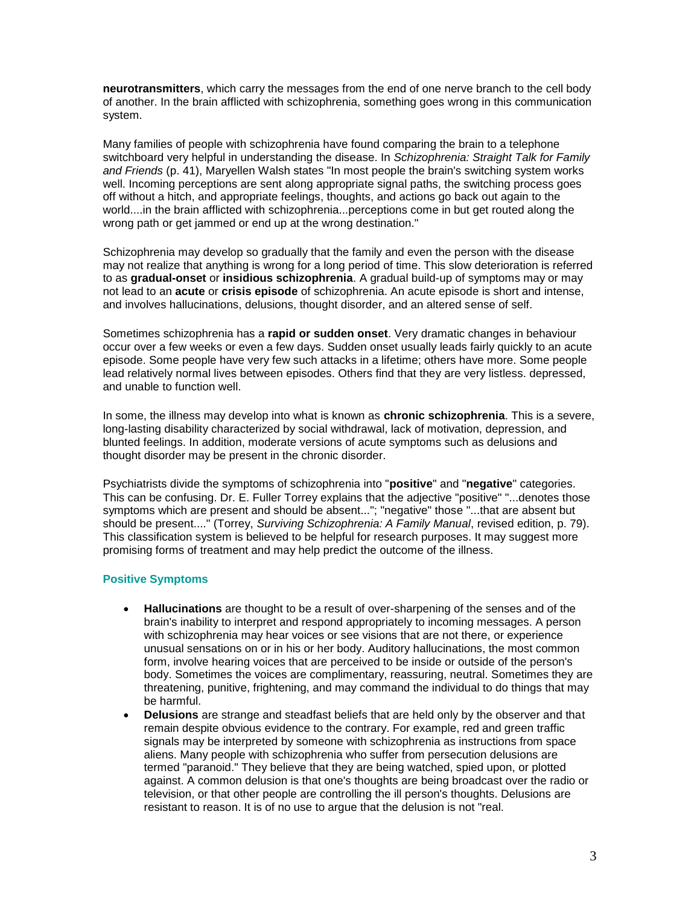**neurotransmitters**, which carry the messages from the end of one nerve branch to the cell body of another. In the brain afflicted with schizophrenia, something goes wrong in this communication system.

Many families of people with schizophrenia have found comparing the brain to a telephone switchboard very helpful in understanding the disease. In *Schizophrenia: Straight Talk for Family and Friends* (p. 41), Maryellen Walsh states "In most people the brain's switching system works well. Incoming perceptions are sent along appropriate signal paths, the switching process goes off without a hitch, and appropriate feelings, thoughts, and actions go back out again to the world....in the brain afflicted with schizophrenia...perceptions come in but get routed along the wrong path or get jammed or end up at the wrong destination."

Schizophrenia may develop so gradually that the family and even the person with the disease may not realize that anything is wrong for a long period of time. This slow deterioration is referred to as **gradual-onset** or **insidious schizophrenia**. A gradual build-up of symptoms may or may not lead to an **acute** or **crisis episode** of schizophrenia. An acute episode is short and intense, and involves hallucinations, delusions, thought disorder, and an altered sense of self.

Sometimes schizophrenia has a **rapid or sudden onset**. Very dramatic changes in behaviour occur over a few weeks or even a few days. Sudden onset usually leads fairly quickly to an acute episode. Some people have very few such attacks in a lifetime; others have more. Some people lead relatively normal lives between episodes. Others find that they are very listless. depressed, and unable to function well.

In some, the illness may develop into what is known as **chronic schizophrenia**. This is a severe, long-lasting disability characterized by social withdrawal, lack of motivation, depression, and blunted feelings. In addition, moderate versions of acute symptoms such as delusions and thought disorder may be present in the chronic disorder.

Psychiatrists divide the symptoms of schizophrenia into "**positive**" and "**negative**" categories. This can be confusing. Dr. E. Fuller Torrey explains that the adjective "positive" "...denotes those symptoms which are present and should be absent..."; "negative" those "...that are absent but should be present...." (Torrey, *Surviving Schizophrenia: A Family Manual*, revised edition, p. 79). This classification system is believed to be helpful for research purposes. It may suggest more promising forms of treatment and may help predict the outcome of the illness.

# **Positive Symptoms**

- **Hallucinations** are thought to be a result of over-sharpening of the senses and of the brain's inability to interpret and respond appropriately to incoming messages. A person with schizophrenia may hear voices or see visions that are not there, or experience unusual sensations on or in his or her body. Auditory hallucinations, the most common form, involve hearing voices that are perceived to be inside or outside of the person's body. Sometimes the voices are complimentary, reassuring, neutral. Sometimes they are threatening, punitive, frightening, and may command the individual to do things that may be harmful.
- **Delusions** are strange and steadfast beliefs that are held only by the observer and that remain despite obvious evidence to the contrary. For example, red and green traffic signals may be interpreted by someone with schizophrenia as instructions from space aliens. Many people with schizophrenia who suffer from persecution delusions are termed "paranoid." They believe that they are being watched, spied upon, or plotted against. A common delusion is that one's thoughts are being broadcast over the radio or television, or that other people are controlling the ill person's thoughts. Delusions are resistant to reason. It is of no use to argue that the delusion is not "real.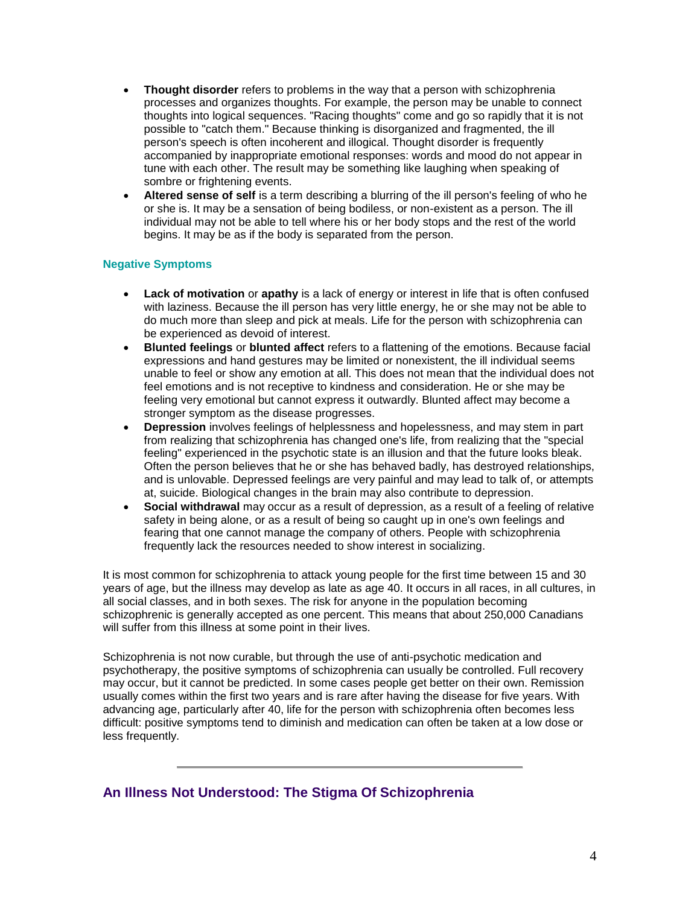- **Thought disorder** refers to problems in the way that a person with schizophrenia processes and organizes thoughts. For example, the person may be unable to connect thoughts into logical sequences. "Racing thoughts" come and go so rapidly that it is not possible to "catch them." Because thinking is disorganized and fragmented, the ill person's speech is often incoherent and illogical. Thought disorder is frequently accompanied by inappropriate emotional responses: words and mood do not appear in tune with each other. The result may be something like laughing when speaking of sombre or frightening events.
- **Altered sense of self** is a term describing a blurring of the ill person's feeling of who he or she is. It may be a sensation of being bodiless, or non-existent as a person. The ill individual may not be able to tell where his or her body stops and the rest of the world begins. It may be as if the body is separated from the person.

# **Negative Symptoms**

- **Lack of motivation** or **apathy** is a lack of energy or interest in life that is often confused with laziness. Because the ill person has very little energy, he or she may not be able to do much more than sleep and pick at meals. Life for the person with schizophrenia can be experienced as devoid of interest.
- **Blunted feelings** or **blunted affect** refers to a flattening of the emotions. Because facial expressions and hand gestures may be limited or nonexistent, the ill individual seems unable to feel or show any emotion at all. This does not mean that the individual does not feel emotions and is not receptive to kindness and consideration. He or she may be feeling very emotional but cannot express it outwardly. Blunted affect may become a stronger symptom as the disease progresses.
- **Depression** involves feelings of helplessness and hopelessness, and may stem in part from realizing that schizophrenia has changed one's life, from realizing that the "special feeling" experienced in the psychotic state is an illusion and that the future looks bleak. Often the person believes that he or she has behaved badly, has destroyed relationships, and is unlovable. Depressed feelings are very painful and may lead to talk of, or attempts at, suicide. Biological changes in the brain may also contribute to depression.
- **Social withdrawal** may occur as a result of depression, as a result of a feeling of relative safety in being alone, or as a result of being so caught up in one's own feelings and fearing that one cannot manage the company of others. People with schizophrenia frequently lack the resources needed to show interest in socializing.

It is most common for schizophrenia to attack young people for the first time between 15 and 30 years of age, but the illness may develop as late as age 40. It occurs in all races, in all cultures, in all social classes, and in both sexes. The risk for anyone in the population becoming schizophrenic is generally accepted as one percent. This means that about 250,000 Canadians will suffer from this illness at some point in their lives.

Schizophrenia is not now curable, but through the use of anti-psychotic medication and psychotherapy, the positive symptoms of schizophrenia can usually be controlled. Full recovery may occur, but it cannot be predicted. In some cases people get better on their own. Remission usually comes within the first two years and is rare after having the disease for five years. With advancing age, particularly after 40, life for the person with schizophrenia often becomes less difficult: positive symptoms tend to diminish and medication can often be taken at a low dose or less frequently.

**An Illness Not Understood: The Stigma Of Schizophrenia**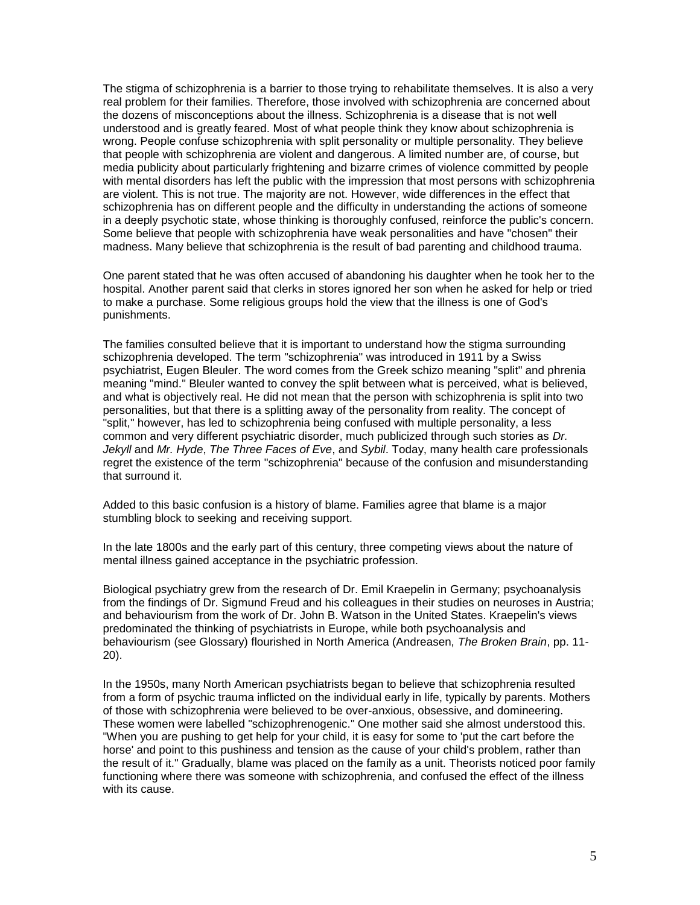The stigma of schizophrenia is a barrier to those trying to rehabilitate themselves. It is also a very real problem for their families. Therefore, those involved with schizophrenia are concerned about the dozens of misconceptions about the illness. Schizophrenia is a disease that is not well understood and is greatly feared. Most of what people think they know about schizophrenia is wrong. People confuse schizophrenia with split personality or multiple personality. They believe that people with schizophrenia are violent and dangerous. A limited number are, of course, but media publicity about particularly frightening and bizarre crimes of violence committed by people with mental disorders has left the public with the impression that most persons with schizophrenia are violent. This is not true. The majority are not. However, wide differences in the effect that schizophrenia has on different people and the difficulty in understanding the actions of someone in a deeply psychotic state, whose thinking is thoroughly confused, reinforce the public's concern. Some believe that people with schizophrenia have weak personalities and have "chosen" their madness. Many believe that schizophrenia is the result of bad parenting and childhood trauma.

One parent stated that he was often accused of abandoning his daughter when he took her to the hospital. Another parent said that clerks in stores ignored her son when he asked for help or tried to make a purchase. Some religious groups hold the view that the illness is one of God's punishments.

The families consulted believe that it is important to understand how the stigma surrounding schizophrenia developed. The term "schizophrenia" was introduced in 1911 by a Swiss psychiatrist, Eugen Bleuler. The word comes from the Greek schizo meaning "split" and phrenia meaning "mind." Bleuler wanted to convey the split between what is perceived, what is believed, and what is objectively real. He did not mean that the person with schizophrenia is split into two personalities, but that there is a splitting away of the personality from reality. The concept of "split," however, has led to schizophrenia being confused with multiple personality, a less common and very different psychiatric disorder, much publicized through such stories as *Dr. Jekyll* and *Mr. Hyde*, *The Three Faces of Eve*, and *Sybil*. Today, many health care professionals regret the existence of the term "schizophrenia" because of the confusion and misunderstanding that surround it.

Added to this basic confusion is a history of blame. Families agree that blame is a major stumbling block to seeking and receiving support.

In the late 1800s and the early part of this century, three competing views about the nature of mental illness gained acceptance in the psychiatric profession.

Biological psychiatry grew from the research of Dr. Emil Kraepelin in Germany; psychoanalysis from the findings of Dr. Sigmund Freud and his colleagues in their studies on neuroses in Austria; and behaviourism from the work of Dr. John B. Watson in the United States. Kraepelin's views predominated the thinking of psychiatrists in Europe, while both psychoanalysis and behaviourism (see Glossary) flourished in North America (Andreasen, *The Broken Brain*, pp. 11- 20).

In the 1950s, many North American psychiatrists began to believe that schizophrenia resulted from a form of psychic trauma inflicted on the individual early in life, typically by parents. Mothers of those with schizophrenia were believed to be over-anxious, obsessive, and domineering. These women were labelled "schizophrenogenic." One mother said she almost understood this. "When you are pushing to get help for your child, it is easy for some to 'put the cart before the horse' and point to this pushiness and tension as the cause of your child's problem, rather than the result of it." Gradually, blame was placed on the family as a unit. Theorists noticed poor family functioning where there was someone with schizophrenia, and confused the effect of the illness with its cause.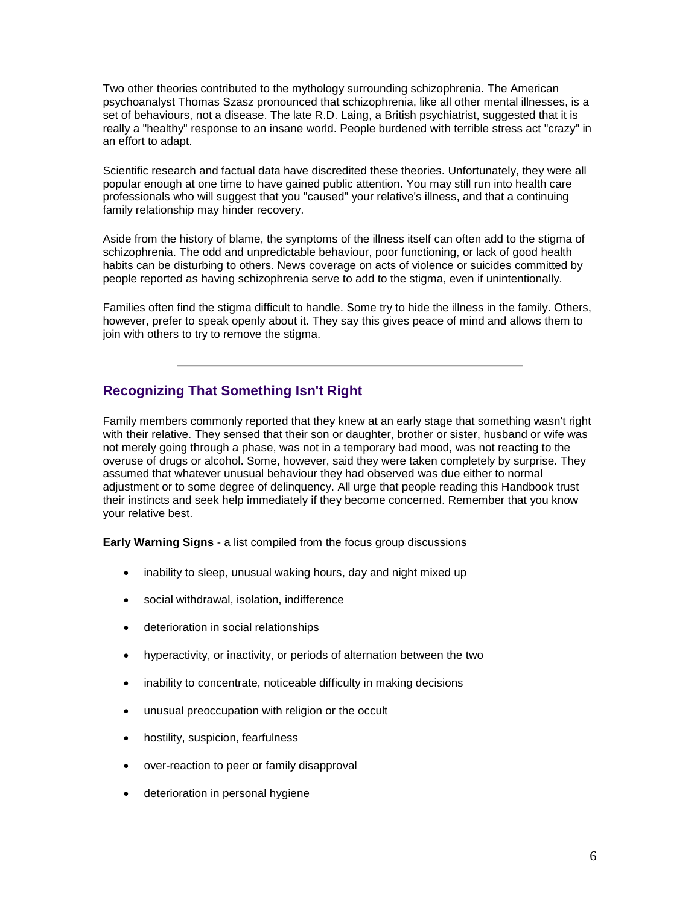Two other theories contributed to the mythology surrounding schizophrenia. The American psychoanalyst Thomas Szasz pronounced that schizophrenia, like all other mental illnesses, is a set of behaviours, not a disease. The late R.D. Laing, a British psychiatrist, suggested that it is really a "healthy" response to an insane world. People burdened with terrible stress act "crazy" in an effort to adapt.

Scientific research and factual data have discredited these theories. Unfortunately, they were all popular enough at one time to have gained public attention. You may still run into health care professionals who will suggest that you "caused" your relative's illness, and that a continuing family relationship may hinder recovery.

Aside from the history of blame, the symptoms of the illness itself can often add to the stigma of schizophrenia. The odd and unpredictable behaviour, poor functioning, or lack of good health habits can be disturbing to others. News coverage on acts of violence or suicides committed by people reported as having schizophrenia serve to add to the stigma, even if unintentionally.

Families often find the stigma difficult to handle. Some try to hide the illness in the family. Others, however, prefer to speak openly about it. They say this gives peace of mind and allows them to join with others to try to remove the stigma.

# **Recognizing That Something Isn't Right**

Family members commonly reported that they knew at an early stage that something wasn't right with their relative. They sensed that their son or daughter, brother or sister, husband or wife was not merely going through a phase, was not in a temporary bad mood, was not reacting to the overuse of drugs or alcohol. Some, however, said they were taken completely by surprise. They assumed that whatever unusual behaviour they had observed was due either to normal adjustment or to some degree of delinquency. All urge that people reading this Handbook trust their instincts and seek help immediately if they become concerned. Remember that you know your relative best.

**Early Warning Signs** - a list compiled from the focus group discussions

- inability to sleep, unusual waking hours, day and night mixed up
- social withdrawal, isolation, indifference
- deterioration in social relationships
- hyperactivity, or inactivity, or periods of alternation between the two
- inability to concentrate, noticeable difficulty in making decisions
- unusual preoccupation with religion or the occult
- hostility, suspicion, fearfulness
- over-reaction to peer or family disapproval
- deterioration in personal hygiene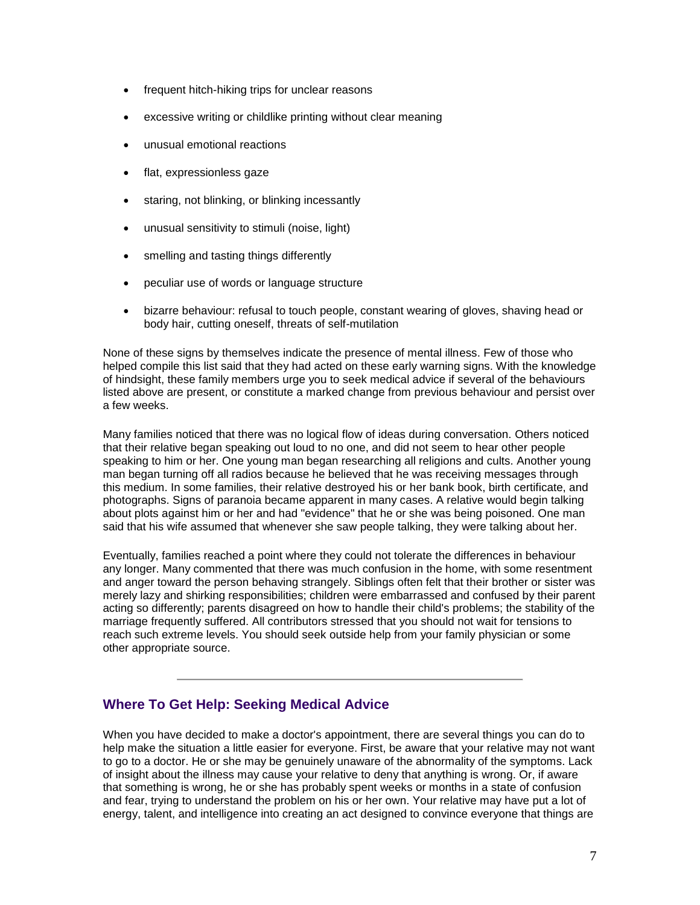- frequent hitch-hiking trips for unclear reasons
- excessive writing or childlike printing without clear meaning
- unusual emotional reactions
- flat, expressionless gaze
- staring, not blinking, or blinking incessantly
- unusual sensitivity to stimuli (noise, light)
- smelling and tasting things differently
- peculiar use of words or language structure
- bizarre behaviour: refusal to touch people, constant wearing of gloves, shaving head or body hair, cutting oneself, threats of self-mutilation

None of these signs by themselves indicate the presence of mental illness. Few of those who helped compile this list said that they had acted on these early warning signs. With the knowledge of hindsight, these family members urge you to seek medical advice if several of the behaviours listed above are present, or constitute a marked change from previous behaviour and persist over a few weeks.

Many families noticed that there was no logical flow of ideas during conversation. Others noticed that their relative began speaking out loud to no one, and did not seem to hear other people speaking to him or her. One young man began researching all religions and cults. Another young man began turning off all radios because he believed that he was receiving messages through this medium. In some families, their relative destroyed his or her bank book, birth certificate, and photographs. Signs of paranoia became apparent in many cases. A relative would begin talking about plots against him or her and had "evidence" that he or she was being poisoned. One man said that his wife assumed that whenever she saw people talking, they were talking about her.

Eventually, families reached a point where they could not tolerate the differences in behaviour any longer. Many commented that there was much confusion in the home, with some resentment and anger toward the person behaving strangely. Siblings often felt that their brother or sister was merely lazy and shirking responsibilities; children were embarrassed and confused by their parent acting so differently; parents disagreed on how to handle their child's problems; the stability of the marriage frequently suffered. All contributors stressed that you should not wait for tensions to reach such extreme levels. You should seek outside help from your family physician or some other appropriate source.

# **Where To Get Help: Seeking Medical Advice**

When you have decided to make a doctor's appointment, there are several things you can do to help make the situation a little easier for everyone. First, be aware that your relative may not want to go to a doctor. He or she may be genuinely unaware of the abnormality of the symptoms. Lack of insight about the illness may cause your relative to deny that anything is wrong. Or, if aware that something is wrong, he or she has probably spent weeks or months in a state of confusion and fear, trying to understand the problem on his or her own. Your relative may have put a lot of energy, talent, and intelligence into creating an act designed to convince everyone that things are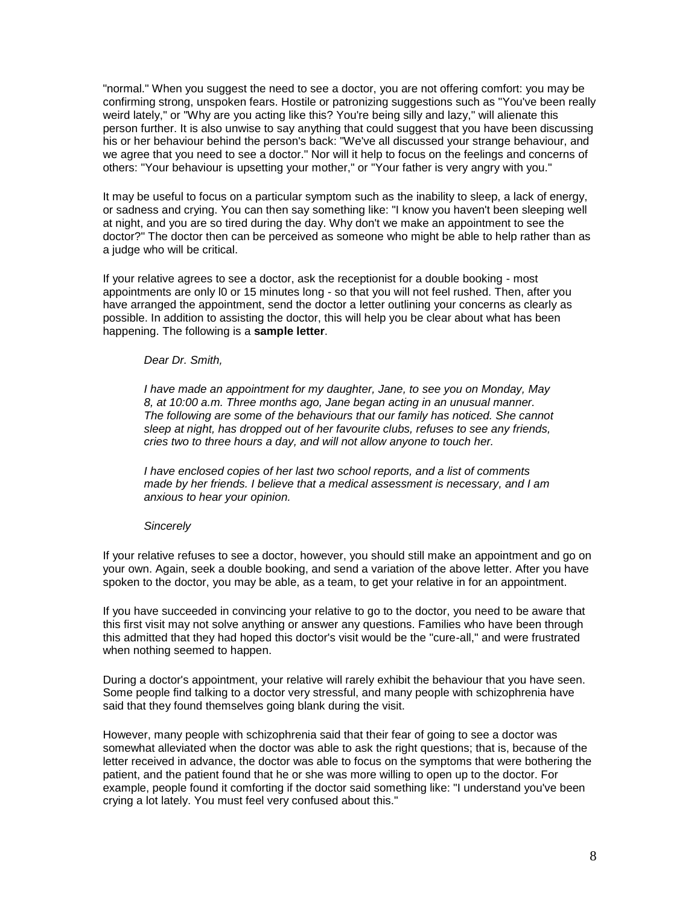"normal." When you suggest the need to see a doctor, you are not offering comfort: you may be confirming strong, unspoken fears. Hostile or patronizing suggestions such as "You've been really weird lately," or "Why are you acting like this? You're being silly and lazy," will alienate this person further. It is also unwise to say anything that could suggest that you have been discussing his or her behaviour behind the person's back: "We've all discussed your strange behaviour, and we agree that you need to see a doctor." Nor will it help to focus on the feelings and concerns of others: "Your behaviour is upsetting your mother," or "Your father is very angry with you."

It may be useful to focus on a particular symptom such as the inability to sleep, a lack of energy, or sadness and crying. You can then say something like: "I know you haven't been sleeping well at night, and you are so tired during the day. Why don't we make an appointment to see the doctor?" The doctor then can be perceived as someone who might be able to help rather than as a judge who will be critical.

If your relative agrees to see a doctor, ask the receptionist for a double booking - most appointments are only l0 or 15 minutes long - so that you will not feel rushed. Then, after you have arranged the appointment, send the doctor a letter outlining your concerns as clearly as possible. In addition to assisting the doctor, this will help you be clear about what has been happening. The following is a **sample letter**.

#### *Dear Dr. Smith,*

*I have made an appointment for my daughter, Jane, to see you on Monday, May 8, at 10:00 a.m. Three months ago, Jane began acting in an unusual manner. The following are some of the behaviours that our family has noticed. She cannot sleep at night, has dropped out of her favourite clubs, refuses to see any friends, cries two to three hours a day, and will not allow anyone to touch her.* 

*I have enclosed copies of her last two school reports, and a list of comments made by her friends. I believe that a medical assessment is necessary, and I am anxious to hear your opinion.* 

#### *Sincerely*

If your relative refuses to see a doctor, however, you should still make an appointment and go on your own. Again, seek a double booking, and send a variation of the above letter. After you have spoken to the doctor, you may be able, as a team, to get your relative in for an appointment.

If you have succeeded in convincing your relative to go to the doctor, you need to be aware that this first visit may not solve anything or answer any questions. Families who have been through this admitted that they had hoped this doctor's visit would be the "cure-all," and were frustrated when nothing seemed to happen.

During a doctor's appointment, your relative will rarely exhibit the behaviour that you have seen. Some people find talking to a doctor very stressful, and many people with schizophrenia have said that they found themselves going blank during the visit.

However, many people with schizophrenia said that their fear of going to see a doctor was somewhat alleviated when the doctor was able to ask the right questions; that is, because of the letter received in advance, the doctor was able to focus on the symptoms that were bothering the patient, and the patient found that he or she was more willing to open up to the doctor. For example, people found it comforting if the doctor said something like: "I understand you've been crying a lot lately. You must feel very confused about this."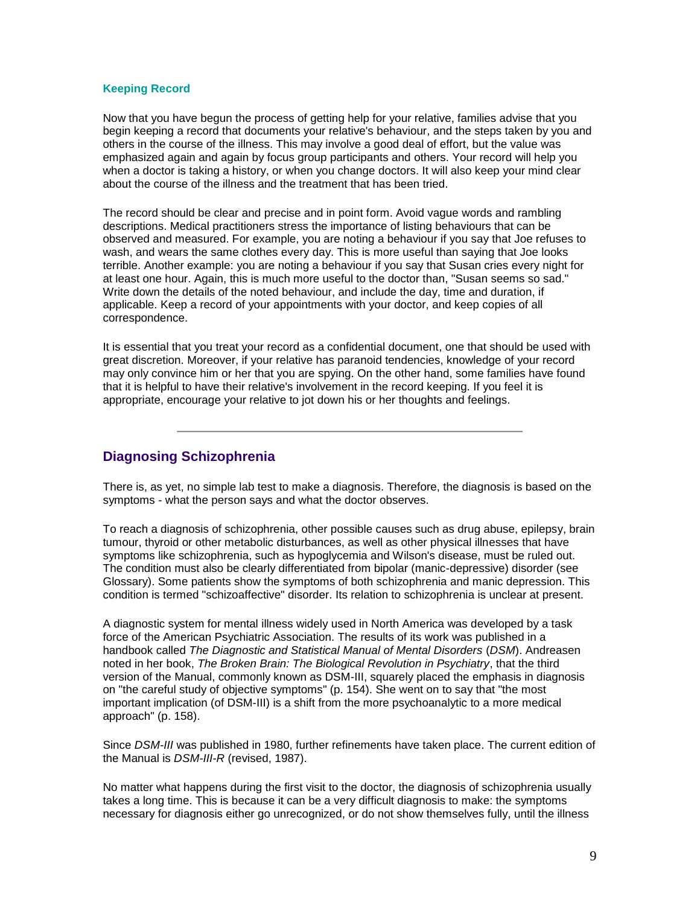## **Keeping Record**

Now that you have begun the process of getting help for your relative, families advise that you begin keeping a record that documents your relative's behaviour, and the steps taken by you and others in the course of the illness. This may involve a good deal of effort, but the value was emphasized again and again by focus group participants and others. Your record will help you when a doctor is taking a history, or when you change doctors. It will also keep your mind clear about the course of the illness and the treatment that has been tried.

The record should be clear and precise and in point form. Avoid vague words and rambling descriptions. Medical practitioners stress the importance of listing behaviours that can be observed and measured. For example, you are noting a behaviour if you say that Joe refuses to wash, and wears the same clothes every day. This is more useful than saying that Joe looks terrible. Another example: you are noting a behaviour if you say that Susan cries every night for at least one hour. Again, this is much more useful to the doctor than, "Susan seems so sad." Write down the details of the noted behaviour, and include the day, time and duration, if applicable. Keep a record of your appointments with your doctor, and keep copies of all correspondence.

It is essential that you treat your record as a confidential document, one that should be used with great discretion. Moreover, if your relative has paranoid tendencies, knowledge of your record may only convince him or her that you are spying. On the other hand, some families have found that it is helpful to have their relative's involvement in the record keeping. If you feel it is appropriate, encourage your relative to jot down his or her thoughts and feelings.

# **Diagnosing Schizophrenia**

There is, as yet, no simple lab test to make a diagnosis. Therefore, the diagnosis is based on the symptoms - what the person says and what the doctor observes.

To reach a diagnosis of schizophrenia, other possible causes such as drug abuse, epilepsy, brain tumour, thyroid or other metabolic disturbances, as well as other physical illnesses that have symptoms like schizophrenia, such as hypoglycemia and Wilson's disease, must be ruled out. The condition must also be clearly differentiated from bipolar (manic-depressive) disorder (see Glossary). Some patients show the symptoms of both schizophrenia and manic depression. This condition is termed "schizoaffective" disorder. Its relation to schizophrenia is unclear at present.

A diagnostic system for mental illness widely used in North America was developed by a task force of the American Psychiatric Association. The results of its work was published in a handbook called *The Diagnostic and Statistical Manual of Mental Disorders* (*DSM*). Andreasen noted in her book, *The Broken Brain: The Biological Revolution in Psychiatry*, that the third version of the Manual, commonly known as DSM-III, squarely placed the emphasis in diagnosis on "the careful study of objective symptoms" (p. 154). She went on to say that "the most important implication (of DSM-III) is a shift from the more psychoanalytic to a more medical approach" (p. 158).

Since *DSM-III* was published in 1980, further refinements have taken place. The current edition of the Manual is *DSM-III-R* (revised, 1987).

No matter what happens during the first visit to the doctor, the diagnosis of schizophrenia usually takes a long time. This is because it can be a very difficult diagnosis to make: the symptoms necessary for diagnosis either go unrecognized, or do not show themselves fully, until the illness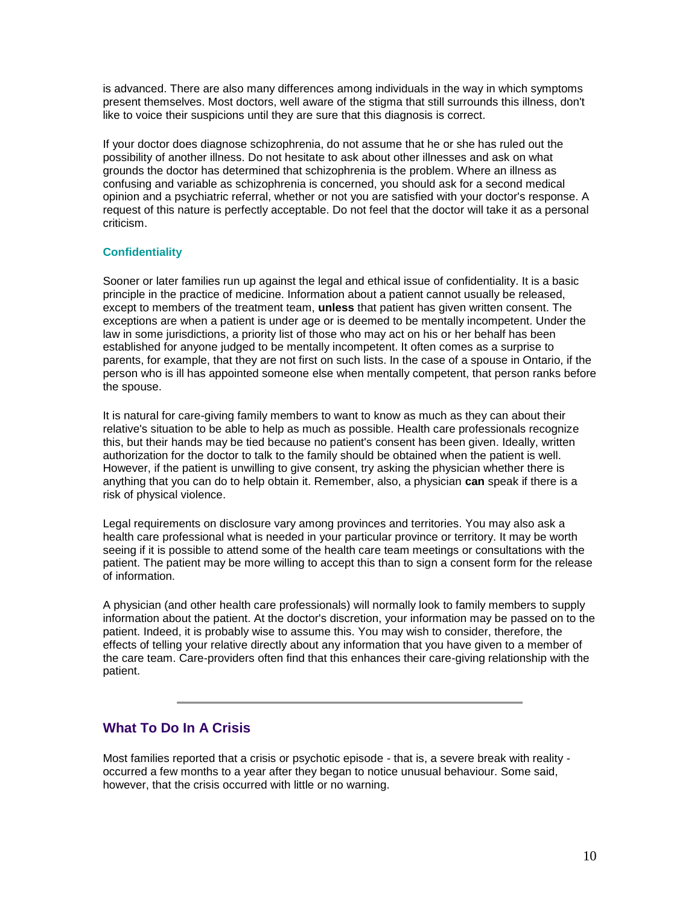is advanced. There are also many differences among individuals in the way in which symptoms present themselves. Most doctors, well aware of the stigma that still surrounds this illness, don't like to voice their suspicions until they are sure that this diagnosis is correct.

If your doctor does diagnose schizophrenia, do not assume that he or she has ruled out the possibility of another illness. Do not hesitate to ask about other illnesses and ask on what grounds the doctor has determined that schizophrenia is the problem. Where an illness as confusing and variable as schizophrenia is concerned, you should ask for a second medical opinion and a psychiatric referral, whether or not you are satisfied with your doctor's response. A request of this nature is perfectly acceptable. Do not feel that the doctor will take it as a personal criticism.

## **Confidentiality**

Sooner or later families run up against the legal and ethical issue of confidentiality. It is a basic principle in the practice of medicine. Information about a patient cannot usually be released, except to members of the treatment team, **unless** that patient has given written consent. The exceptions are when a patient is under age or is deemed to be mentally incompetent. Under the law in some jurisdictions, a priority list of those who may act on his or her behalf has been established for anyone judged to be mentally incompetent. It often comes as a surprise to parents, for example, that they are not first on such lists. In the case of a spouse in Ontario, if the person who is ill has appointed someone else when mentally competent, that person ranks before the spouse.

It is natural for care-giving family members to want to know as much as they can about their relative's situation to be able to help as much as possible. Health care professionals recognize this, but their hands may be tied because no patient's consent has been given. Ideally, written authorization for the doctor to talk to the family should be obtained when the patient is well. However, if the patient is unwilling to give consent, try asking the physician whether there is anything that you can do to help obtain it. Remember, also, a physician **can** speak if there is a risk of physical violence.

Legal requirements on disclosure vary among provinces and territories. You may also ask a health care professional what is needed in your particular province or territory. It may be worth seeing if it is possible to attend some of the health care team meetings or consultations with the patient. The patient may be more willing to accept this than to sign a consent form for the release of information.

A physician (and other health care professionals) will normally look to family members to supply information about the patient. At the doctor's discretion, your information may be passed on to the patient. Indeed, it is probably wise to assume this. You may wish to consider, therefore, the effects of telling your relative directly about any information that you have given to a member of the care team. Care-providers often find that this enhances their care-giving relationship with the patient.

# **What To Do In A Crisis**

Most families reported that a crisis or psychotic episode - that is, a severe break with reality occurred a few months to a year after they began to notice unusual behaviour. Some said, however, that the crisis occurred with little or no warning.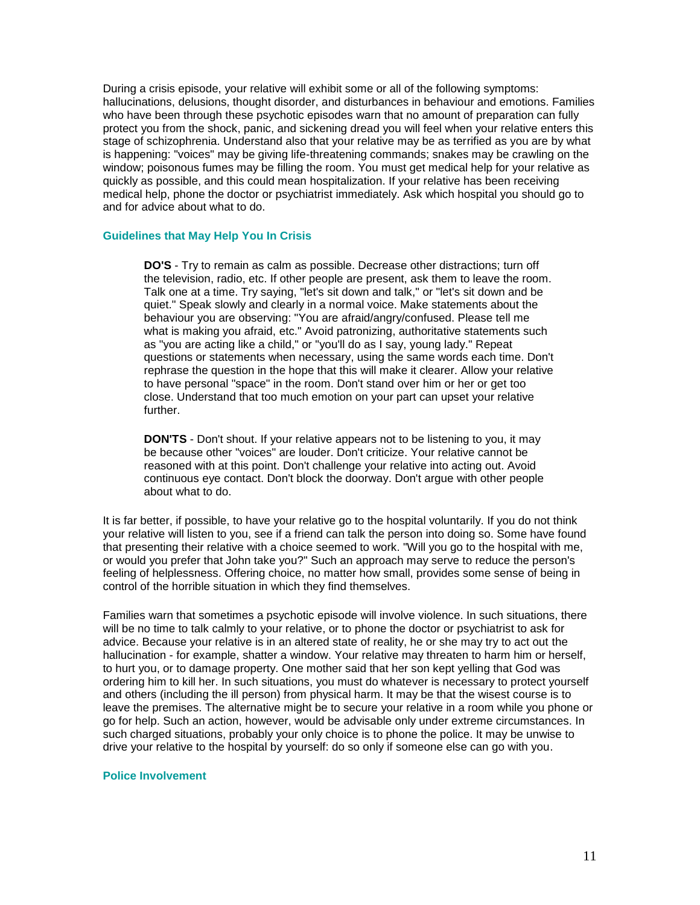During a crisis episode, your relative will exhibit some or all of the following symptoms: hallucinations, delusions, thought disorder, and disturbances in behaviour and emotions. Families who have been through these psychotic episodes warn that no amount of preparation can fully protect you from the shock, panic, and sickening dread you will feel when your relative enters this stage of schizophrenia. Understand also that your relative may be as terrified as you are by what is happening: "voices" may be giving life-threatening commands; snakes may be crawling on the window; poisonous fumes may be filling the room. You must get medical help for your relative as quickly as possible, and this could mean hospitalization. If your relative has been receiving medical help, phone the doctor or psychiatrist immediately. Ask which hospital you should go to and for advice about what to do.

#### **Guidelines that May Help You In Crisis**

**DO'S** - Try to remain as calm as possible. Decrease other distractions; turn off the television, radio, etc. If other people are present, ask them to leave the room. Talk one at a time. Try saying, "let's sit down and talk," or "let's sit down and be quiet." Speak slowly and clearly in a normal voice. Make statements about the behaviour you are observing: "You are afraid/angry/confused. Please tell me what is making you afraid, etc." Avoid patronizing, authoritative statements such as "you are acting like a child," or "you'll do as I say, young lady." Repeat questions or statements when necessary, using the same words each time. Don't rephrase the question in the hope that this will make it clearer. Allow your relative to have personal "space" in the room. Don't stand over him or her or get too close. Understand that too much emotion on your part can upset your relative further.

**DON'TS** - Don't shout. If your relative appears not to be listening to you, it may be because other "voices" are louder. Don't criticize. Your relative cannot be reasoned with at this point. Don't challenge your relative into acting out. Avoid continuous eye contact. Don't block the doorway. Don't argue with other people about what to do.

It is far better, if possible, to have your relative go to the hospital voluntarily. If you do not think your relative will listen to you, see if a friend can talk the person into doing so. Some have found that presenting their relative with a choice seemed to work. "Will you go to the hospital with me, or would you prefer that John take you?" Such an approach may serve to reduce the person's feeling of helplessness. Offering choice, no matter how small, provides some sense of being in control of the horrible situation in which they find themselves.

Families warn that sometimes a psychotic episode will involve violence. In such situations, there will be no time to talk calmly to your relative, or to phone the doctor or psychiatrist to ask for advice. Because your relative is in an altered state of reality, he or she may try to act out the hallucination - for example, shatter a window. Your relative may threaten to harm him or herself, to hurt you, or to damage property. One mother said that her son kept yelling that God was ordering him to kill her. In such situations, you must do whatever is necessary to protect yourself and others (including the ill person) from physical harm. It may be that the wisest course is to leave the premises. The alternative might be to secure your relative in a room while you phone or go for help. Such an action, however, would be advisable only under extreme circumstances. In such charged situations, probably your only choice is to phone the police. It may be unwise to drive your relative to the hospital by yourself: do so only if someone else can go with you.

#### **Police Involvement**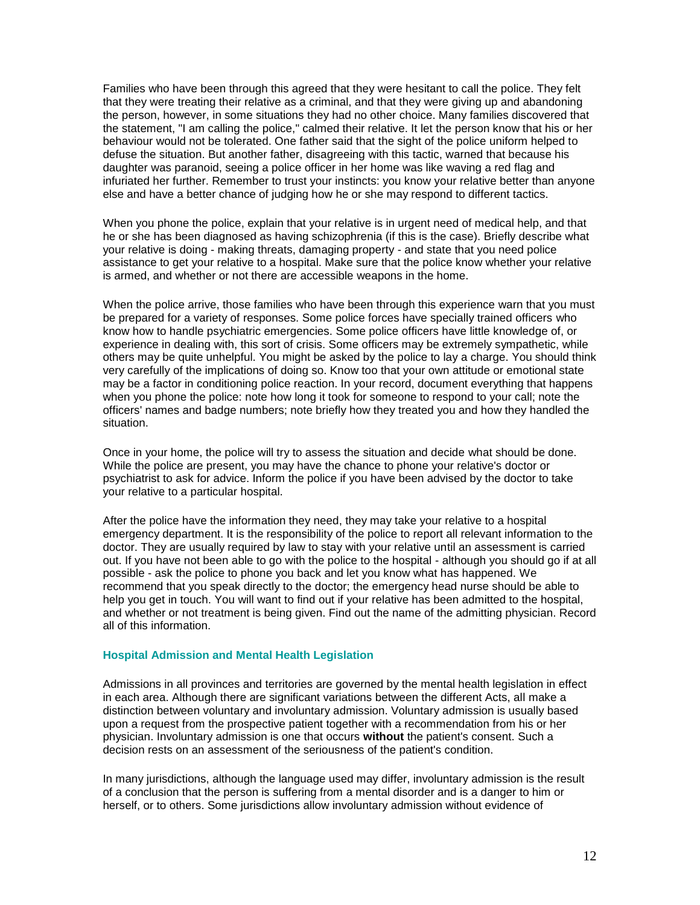Families who have been through this agreed that they were hesitant to call the police. They felt that they were treating their relative as a criminal, and that they were giving up and abandoning the person, however, in some situations they had no other choice. Many families discovered that the statement, "I am calling the police," calmed their relative. It let the person know that his or her behaviour would not be tolerated. One father said that the sight of the police uniform helped to defuse the situation. But another father, disagreeing with this tactic, warned that because his daughter was paranoid, seeing a police officer in her home was like waving a red flag and infuriated her further. Remember to trust your instincts: you know your relative better than anyone else and have a better chance of judging how he or she may respond to different tactics.

When you phone the police, explain that your relative is in urgent need of medical help, and that he or she has been diagnosed as having schizophrenia (if this is the case). Briefly describe what your relative is doing - making threats, damaging property - and state that you need police assistance to get your relative to a hospital. Make sure that the police know whether your relative is armed, and whether or not there are accessible weapons in the home.

When the police arrive, those families who have been through this experience warn that you must be prepared for a variety of responses. Some police forces have specially trained officers who know how to handle psychiatric emergencies. Some police officers have little knowledge of, or experience in dealing with, this sort of crisis. Some officers may be extremely sympathetic, while others may be quite unhelpful. You might be asked by the police to lay a charge. You should think very carefully of the implications of doing so. Know too that your own attitude or emotional state may be a factor in conditioning police reaction. In your record, document everything that happens when you phone the police: note how long it took for someone to respond to your call; note the officers' names and badge numbers; note briefly how they treated you and how they handled the situation.

Once in your home, the police will try to assess the situation and decide what should be done. While the police are present, you may have the chance to phone your relative's doctor or psychiatrist to ask for advice. Inform the police if you have been advised by the doctor to take your relative to a particular hospital.

After the police have the information they need, they may take your relative to a hospital emergency department. It is the responsibility of the police to report all relevant information to the doctor. They are usually required by law to stay with your relative until an assessment is carried out. If you have not been able to go with the police to the hospital - although you should go if at all possible - ask the police to phone you back and let you know what has happened. We recommend that you speak directly to the doctor; the emergency head nurse should be able to help you get in touch. You will want to find out if your relative has been admitted to the hospital, and whether or not treatment is being given. Find out the name of the admitting physician. Record all of this information.

#### **Hospital Admission and Mental Health Legislation**

Admissions in all provinces and territories are governed by the mental health legislation in effect in each area. Although there are significant variations between the different Acts, all make a distinction between voluntary and involuntary admission. Voluntary admission is usually based upon a request from the prospective patient together with a recommendation from his or her physician. Involuntary admission is one that occurs **without** the patient's consent. Such a decision rests on an assessment of the seriousness of the patient's condition.

In many jurisdictions, although the language used may differ, involuntary admission is the result of a conclusion that the person is suffering from a mental disorder and is a danger to him or herself, or to others. Some jurisdictions allow involuntary admission without evidence of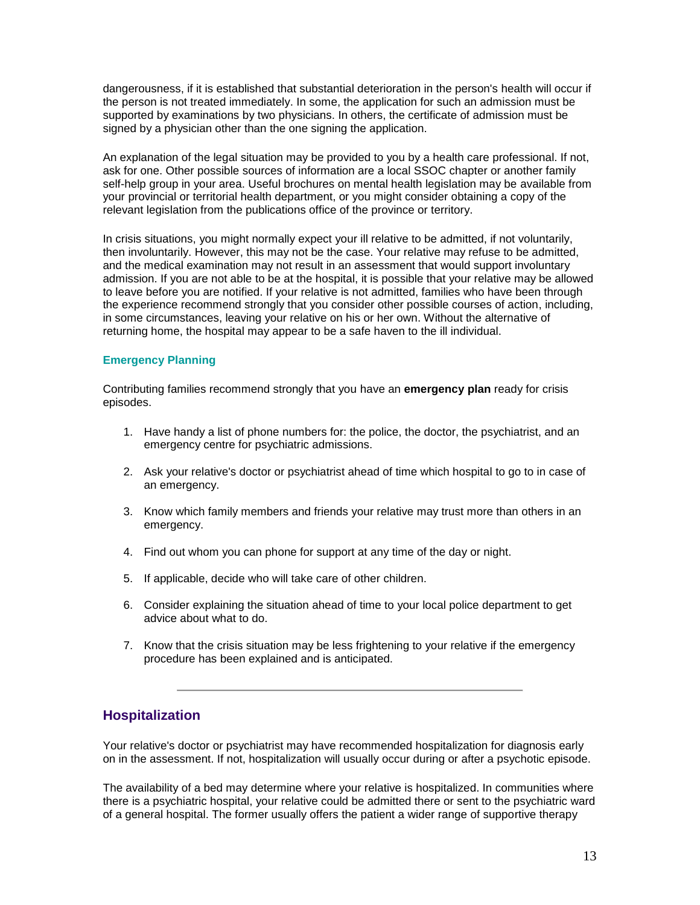dangerousness, if it is established that substantial deterioration in the person's health will occur if the person is not treated immediately. In some, the application for such an admission must be supported by examinations by two physicians. In others, the certificate of admission must be signed by a physician other than the one signing the application.

An explanation of the legal situation may be provided to you by a health care professional. If not, ask for one. Other possible sources of information are a local SSOC chapter or another family self-help group in your area. Useful brochures on mental health legislation may be available from your provincial or territorial health department, or you might consider obtaining a copy of the relevant legislation from the publications office of the province or territory.

In crisis situations, you might normally expect your ill relative to be admitted, if not voluntarily, then involuntarily. However, this may not be the case. Your relative may refuse to be admitted, and the medical examination may not result in an assessment that would support involuntary admission. If you are not able to be at the hospital, it is possible that your relative may be allowed to leave before you are notified. If your relative is not admitted, families who have been through the experience recommend strongly that you consider other possible courses of action, including, in some circumstances, leaving your relative on his or her own. Without the alternative of returning home, the hospital may appear to be a safe haven to the ill individual.

#### **Emergency Planning**

Contributing families recommend strongly that you have an **emergency plan** ready for crisis episodes.

- 1. Have handy a list of phone numbers for: the police, the doctor, the psychiatrist, and an emergency centre for psychiatric admissions.
- 2. Ask your relative's doctor or psychiatrist ahead of time which hospital to go to in case of an emergency.
- 3. Know which family members and friends your relative may trust more than others in an emergency.
- 4. Find out whom you can phone for support at any time of the day or night.
- 5. If applicable, decide who will take care of other children.
- 6. Consider explaining the situation ahead of time to your local police department to get advice about what to do.
- 7. Know that the crisis situation may be less frightening to your relative if the emergency procedure has been explained and is anticipated.

# **Hospitalization**

Your relative's doctor or psychiatrist may have recommended hospitalization for diagnosis early on in the assessment. If not, hospitalization will usually occur during or after a psychotic episode.

The availability of a bed may determine where your relative is hospitalized. In communities where there is a psychiatric hospital, your relative could be admitted there or sent to the psychiatric ward of a general hospital. The former usually offers the patient a wider range of supportive therapy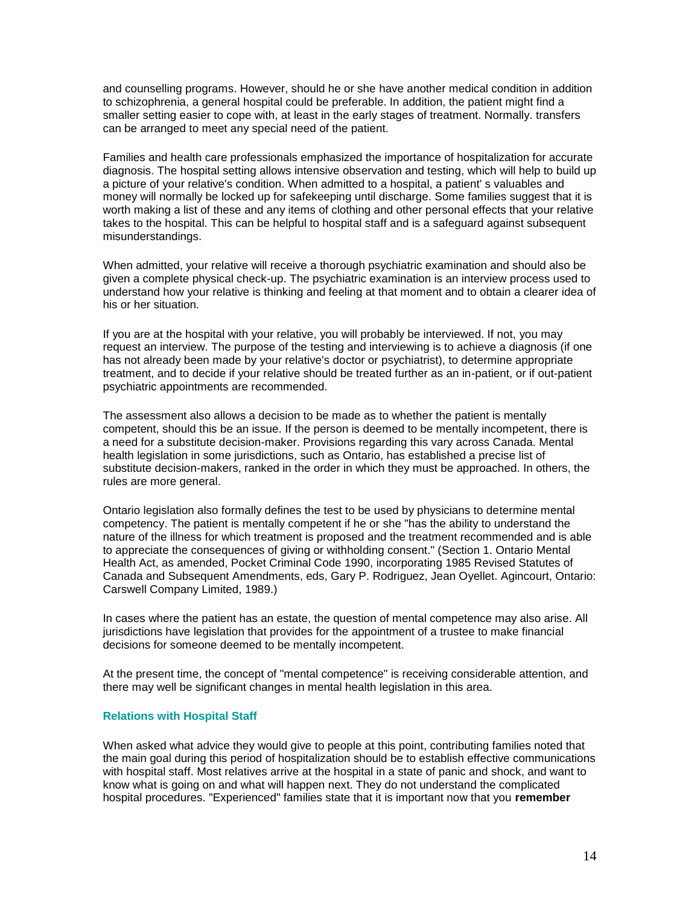and counselling programs. However, should he or she have another medical condition in addition to schizophrenia, a general hospital could be preferable. In addition, the patient might find a smaller setting easier to cope with, at least in the early stages of treatment. Normally. transfers can be arranged to meet any special need of the patient.

Families and health care professionals emphasized the importance of hospitalization for accurate diagnosis. The hospital setting allows intensive observation and testing, which will help to build up a picture of your relative's condition. When admitted to a hospital, a patient' s valuables and money will normally be locked up for safekeeping until discharge. Some families suggest that it is worth making a list of these and any items of clothing and other personal effects that your relative takes to the hospital. This can be helpful to hospital staff and is a safeguard against subsequent misunderstandings.

When admitted, your relative will receive a thorough psychiatric examination and should also be given a complete physical check-up. The psychiatric examination is an interview process used to understand how your relative is thinking and feeling at that moment and to obtain a clearer idea of his or her situation.

If you are at the hospital with your relative, you will probably be interviewed. If not, you may request an interview. The purpose of the testing and interviewing is to achieve a diagnosis (if one has not already been made by your relative's doctor or psychiatrist), to determine appropriate treatment, and to decide if your relative should be treated further as an in-patient, or if out-patient psychiatric appointments are recommended.

The assessment also allows a decision to be made as to whether the patient is mentally competent, should this be an issue. If the person is deemed to be mentally incompetent, there is a need for a substitute decision-maker. Provisions regarding this vary across Canada. Mental health legislation in some jurisdictions, such as Ontario, has established a precise list of substitute decision-makers, ranked in the order in which they must be approached. In others, the rules are more general.

Ontario legislation also formally defines the test to be used by physicians to determine mental competency. The patient is mentally competent if he or she "has the ability to understand the nature of the illness for which treatment is proposed and the treatment recommended and is able to appreciate the consequences of giving or withholding consent." (Section 1. Ontario Mental Health Act, as amended, Pocket Criminal Code 1990, incorporating 1985 Revised Statutes of Canada and Subsequent Amendments, eds, Gary P. Rodriguez, Jean Oyellet. Agincourt, Ontario: Carswell Company Limited, 1989.)

In cases where the patient has an estate, the question of mental competence may also arise. All jurisdictions have legislation that provides for the appointment of a trustee to make financial decisions for someone deemed to be mentally incompetent.

At the present time, the concept of "mental competence" is receiving considerable attention, and there may well be significant changes in mental health legislation in this area.

#### **Relations with Hospital Staff**

When asked what advice they would give to people at this point, contributing families noted that the main goal during this period of hospitalization should be to establish effective communications with hospital staff. Most relatives arrive at the hospital in a state of panic and shock, and want to know what is going on and what will happen next. They do not understand the complicated hospital procedures. "Experienced" families state that it is important now that you **remember**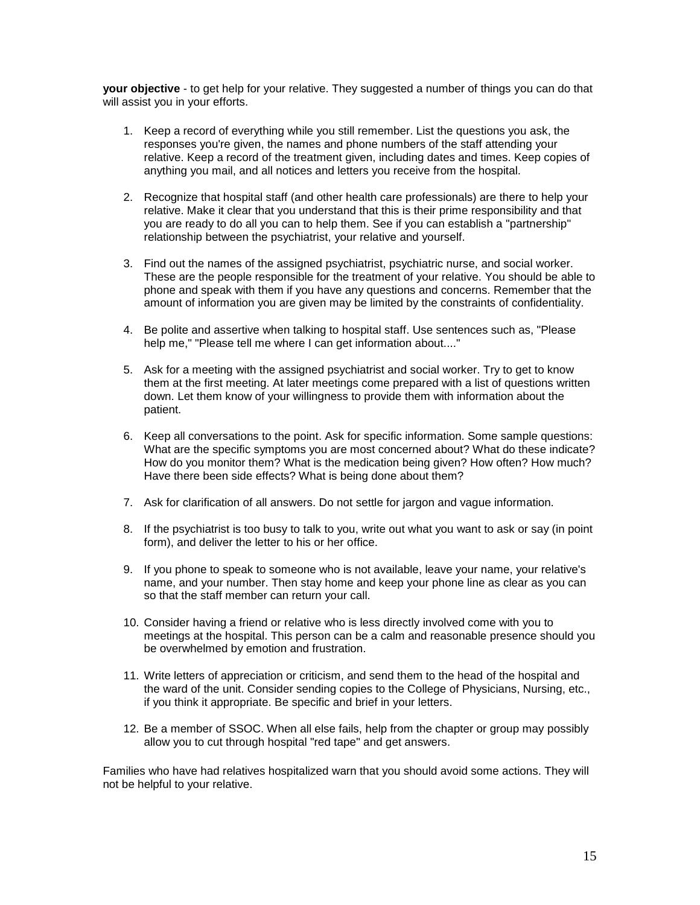**your objective** - to get help for your relative. They suggested a number of things you can do that will assist you in your efforts.

- 1. Keep a record of everything while you still remember. List the questions you ask, the responses you're given, the names and phone numbers of the staff attending your relative. Keep a record of the treatment given, including dates and times. Keep copies of anything you mail, and all notices and letters you receive from the hospital.
- 2. Recognize that hospital staff (and other health care professionals) are there to help your relative. Make it clear that you understand that this is their prime responsibility and that you are ready to do all you can to help them. See if you can establish a "partnership" relationship between the psychiatrist, your relative and yourself.
- 3. Find out the names of the assigned psychiatrist, psychiatric nurse, and social worker. These are the people responsible for the treatment of your relative. You should be able to phone and speak with them if you have any questions and concerns. Remember that the amount of information you are given may be limited by the constraints of confidentiality.
- 4. Be polite and assertive when talking to hospital staff. Use sentences such as, "Please help me," "Please tell me where I can get information about...."
- 5. Ask for a meeting with the assigned psychiatrist and social worker. Try to get to know them at the first meeting. At later meetings come prepared with a list of questions written down. Let them know of your willingness to provide them with information about the patient.
- 6. Keep all conversations to the point. Ask for specific information. Some sample questions: What are the specific symptoms you are most concerned about? What do these indicate? How do you monitor them? What is the medication being given? How often? How much? Have there been side effects? What is being done about them?
- 7. Ask for clarification of all answers. Do not settle for jargon and vague information.
- 8. If the psychiatrist is too busy to talk to you, write out what you want to ask or say (in point form), and deliver the letter to his or her office.
- 9. If you phone to speak to someone who is not available, leave your name, your relative's name, and your number. Then stay home and keep your phone line as clear as you can so that the staff member can return your call.
- 10. Consider having a friend or relative who is less directly involved come with you to meetings at the hospital. This person can be a calm and reasonable presence should you be overwhelmed by emotion and frustration.
- 11. Write letters of appreciation or criticism, and send them to the head of the hospital and the ward of the unit. Consider sending copies to the College of Physicians, Nursing, etc., if you think it appropriate. Be specific and brief in your letters.
- 12. Be a member of SSOC. When all else fails, help from the chapter or group may possibly allow you to cut through hospital "red tape" and get answers.

Families who have had relatives hospitalized warn that you should avoid some actions. They will not be helpful to your relative.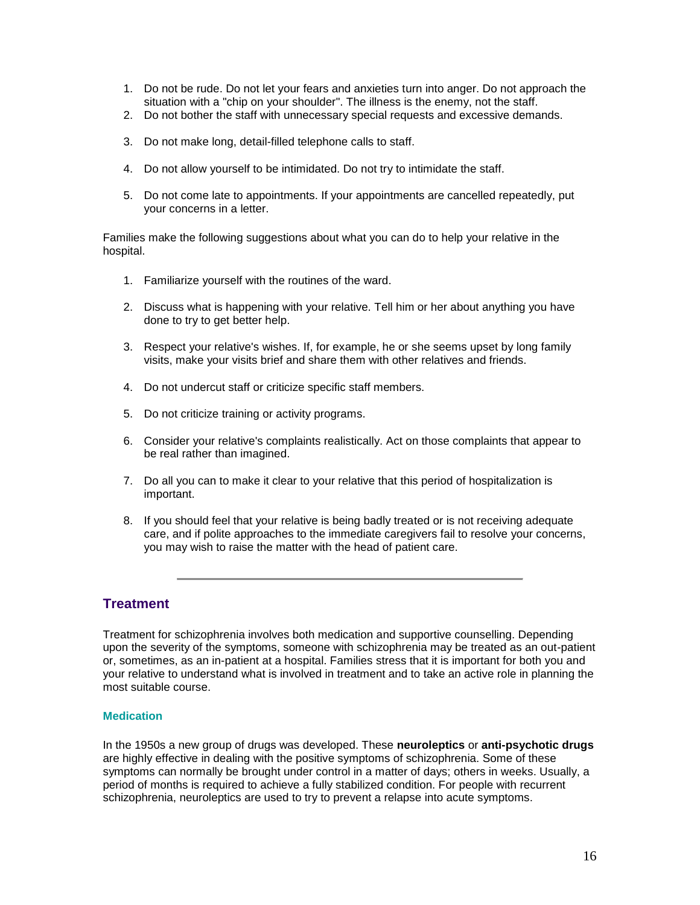- 1. Do not be rude. Do not let your fears and anxieties turn into anger. Do not approach the situation with a "chip on your shoulder". The illness is the enemy, not the staff.
- 2. Do not bother the staff with unnecessary special requests and excessive demands.
- 3. Do not make long, detail-filled telephone calls to staff.
- 4. Do not allow yourself to be intimidated. Do not try to intimidate the staff.
- 5. Do not come late to appointments. If your appointments are cancelled repeatedly, put your concerns in a letter.

Families make the following suggestions about what you can do to help your relative in the hospital.

- 1. Familiarize yourself with the routines of the ward.
- 2. Discuss what is happening with your relative. Tell him or her about anything you have done to try to get better help.
- 3. Respect your relative's wishes. If, for example, he or she seems upset by long family visits, make your visits brief and share them with other relatives and friends.
- 4. Do not undercut staff or criticize specific staff members.
- 5. Do not criticize training or activity programs.
- 6. Consider your relative's complaints realistically. Act on those complaints that appear to be real rather than imagined.
- 7. Do all you can to make it clear to your relative that this period of hospitalization is important.
- 8. If you should feel that your relative is being badly treated or is not receiving adequate care, and if polite approaches to the immediate caregivers fail to resolve your concerns, you may wish to raise the matter with the head of patient care.

# **Treatment**

Treatment for schizophrenia involves both medication and supportive counselling. Depending upon the severity of the symptoms, someone with schizophrenia may be treated as an out-patient or, sometimes, as an in-patient at a hospital. Families stress that it is important for both you and your relative to understand what is involved in treatment and to take an active role in planning the most suitable course.

## **Medication**

In the 1950s a new group of drugs was developed. These **neuroleptics** or **anti-psychotic drugs** are highly effective in dealing with the positive symptoms of schizophrenia. Some of these symptoms can normally be brought under control in a matter of days; others in weeks. Usually, a period of months is required to achieve a fully stabilized condition. For people with recurrent schizophrenia, neuroleptics are used to try to prevent a relapse into acute symptoms.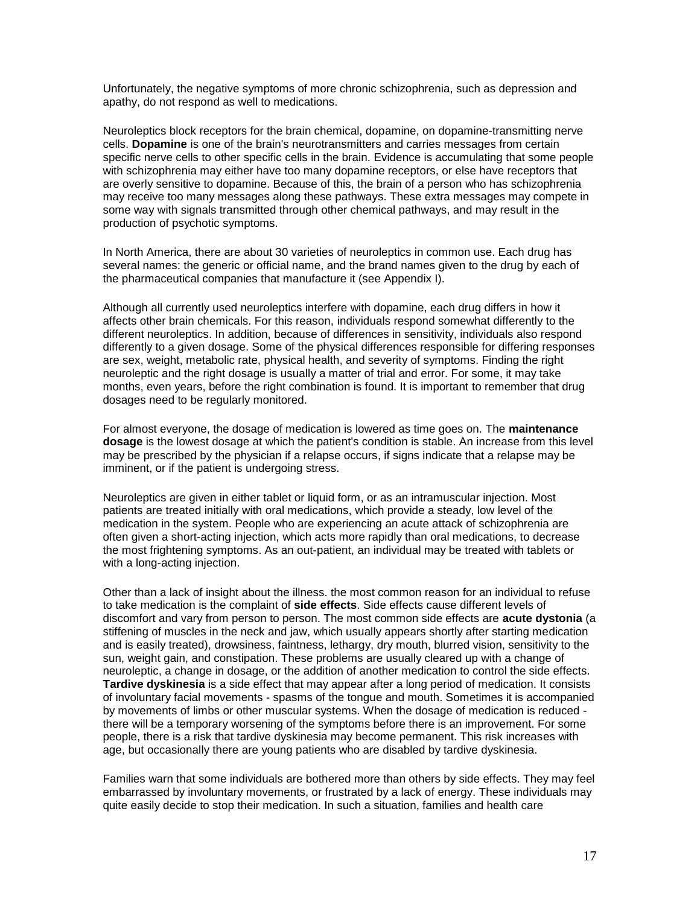Unfortunately, the negative symptoms of more chronic schizophrenia, such as depression and apathy, do not respond as well to medications.

Neuroleptics block receptors for the brain chemical, dopamine, on dopamine-transmitting nerve cells. **Dopamine** is one of the brain's neurotransmitters and carries messages from certain specific nerve cells to other specific cells in the brain. Evidence is accumulating that some people with schizophrenia may either have too many dopamine receptors, or else have receptors that are overly sensitive to dopamine. Because of this, the brain of a person who has schizophrenia may receive too many messages along these pathways. These extra messages may compete in some way with signals transmitted through other chemical pathways, and may result in the production of psychotic symptoms.

In North America, there are about 30 varieties of neuroleptics in common use. Each drug has several names: the generic or official name, and the brand names given to the drug by each of the pharmaceutical companies that manufacture it (see Appendix I).

Although all currently used neuroleptics interfere with dopamine, each drug differs in how it affects other brain chemicals. For this reason, individuals respond somewhat differently to the different neuroleptics. In addition, because of differences in sensitivity, individuals also respond differently to a given dosage. Some of the physical differences responsible for differing responses are sex, weight, metabolic rate, physical health, and severity of symptoms. Finding the right neuroleptic and the right dosage is usually a matter of trial and error. For some, it may take months, even years, before the right combination is found. It is important to remember that drug dosages need to be regularly monitored.

For almost everyone, the dosage of medication is lowered as time goes on. The **maintenance dosage** is the lowest dosage at which the patient's condition is stable. An increase from this level may be prescribed by the physician if a relapse occurs, if signs indicate that a relapse may be imminent, or if the patient is undergoing stress.

Neuroleptics are given in either tablet or liquid form, or as an intramuscular injection. Most patients are treated initially with oral medications, which provide a steady, low level of the medication in the system. People who are experiencing an acute attack of schizophrenia are often given a short-acting injection, which acts more rapidly than oral medications, to decrease the most frightening symptoms. As an out-patient, an individual may be treated with tablets or with a long-acting injection.

Other than a lack of insight about the illness. the most common reason for an individual to refuse to take medication is the complaint of **side effects**. Side effects cause different levels of discomfort and vary from person to person. The most common side effects are **acute dystonia** (a stiffening of muscles in the neck and jaw, which usually appears shortly after starting medication and is easily treated), drowsiness, faintness, lethargy, dry mouth, blurred vision, sensitivity to the sun, weight gain, and constipation. These problems are usually cleared up with a change of neuroleptic, a change in dosage, or the addition of another medication to control the side effects. **Tardive dyskinesia** is a side effect that may appear after a long period of medication. It consists of involuntary facial movements - spasms of the tongue and mouth. Sometimes it is accompanied by movements of limbs or other muscular systems. When the dosage of medication is reduced there will be a temporary worsening of the symptoms before there is an improvement. For some people, there is a risk that tardive dyskinesia may become permanent. This risk increases with age, but occasionally there are young patients who are disabled by tardive dyskinesia.

Families warn that some individuals are bothered more than others by side effects. They may feel embarrassed by involuntary movements, or frustrated by a lack of energy. These individuals may quite easily decide to stop their medication. In such a situation, families and health care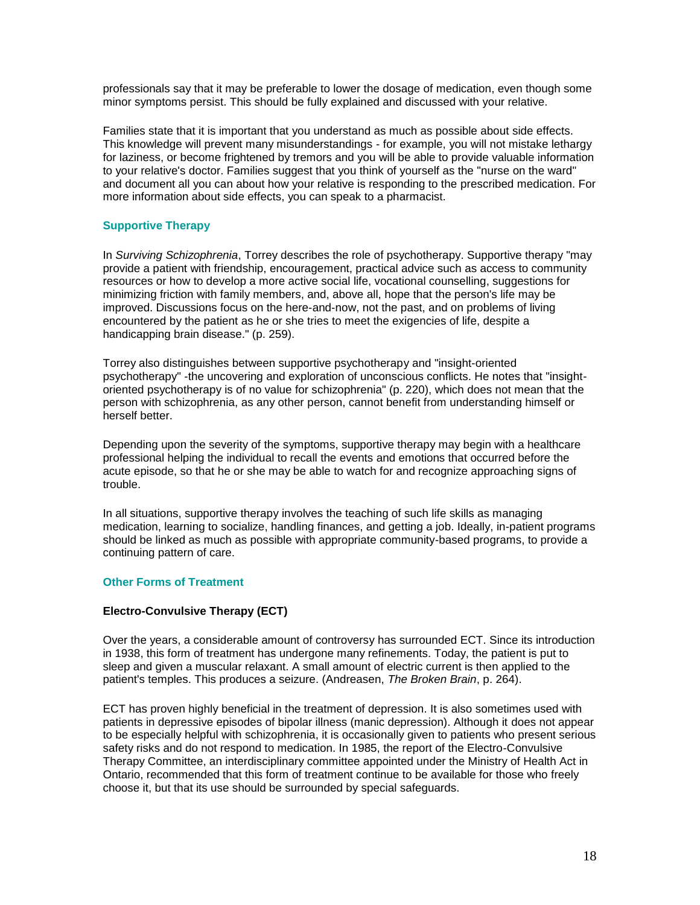professionals say that it may be preferable to lower the dosage of medication, even though some minor symptoms persist. This should be fully explained and discussed with your relative.

Families state that it is important that you understand as much as possible about side effects. This knowledge will prevent many misunderstandings - for example, you will not mistake lethargy for laziness, or become frightened by tremors and you will be able to provide valuable information to your relative's doctor. Families suggest that you think of yourself as the "nurse on the ward" and document all you can about how your relative is responding to the prescribed medication. For more information about side effects, you can speak to a pharmacist.

## **Supportive Therapy**

In *Surviving Schizophrenia*, Torrey describes the role of psychotherapy. Supportive therapy "may provide a patient with friendship, encouragement, practical advice such as access to community resources or how to develop a more active social life, vocational counselling, suggestions for minimizing friction with family members, and, above all, hope that the person's life may be improved. Discussions focus on the here-and-now, not the past, and on problems of living encountered by the patient as he or she tries to meet the exigencies of life, despite a handicapping brain disease." (p. 259).

Torrey also distinguishes between supportive psychotherapy and "insight-oriented psychotherapy" -the uncovering and exploration of unconscious conflicts. He notes that "insightoriented psychotherapy is of no value for schizophrenia" (p. 220), which does not mean that the person with schizophrenia, as any other person, cannot benefit from understanding himself or herself better.

Depending upon the severity of the symptoms, supportive therapy may begin with a healthcare professional helping the individual to recall the events and emotions that occurred before the acute episode, so that he or she may be able to watch for and recognize approaching signs of trouble.

In all situations, supportive therapy involves the teaching of such life skills as managing medication, learning to socialize, handling finances, and getting a job. Ideally, in-patient programs should be linked as much as possible with appropriate community-based programs, to provide a continuing pattern of care.

#### **Other Forms of Treatment**

#### **Electro-Convulsive Therapy (ECT)**

Over the years, a considerable amount of controversy has surrounded ECT. Since its introduction in 1938, this form of treatment has undergone many refinements. Today, the patient is put to sleep and given a muscular relaxant. A small amount of electric current is then applied to the patient's temples. This produces a seizure. (Andreasen, *The Broken Brain*, p. 264).

ECT has proven highly beneficial in the treatment of depression. It is also sometimes used with patients in depressive episodes of bipolar illness (manic depression). Although it does not appear to be especially helpful with schizophrenia, it is occasionally given to patients who present serious safety risks and do not respond to medication. In 1985, the report of the Electro-Convulsive Therapy Committee, an interdisciplinary committee appointed under the Ministry of Health Act in Ontario, recommended that this form of treatment continue to be available for those who freely choose it, but that its use should be surrounded by special safeguards.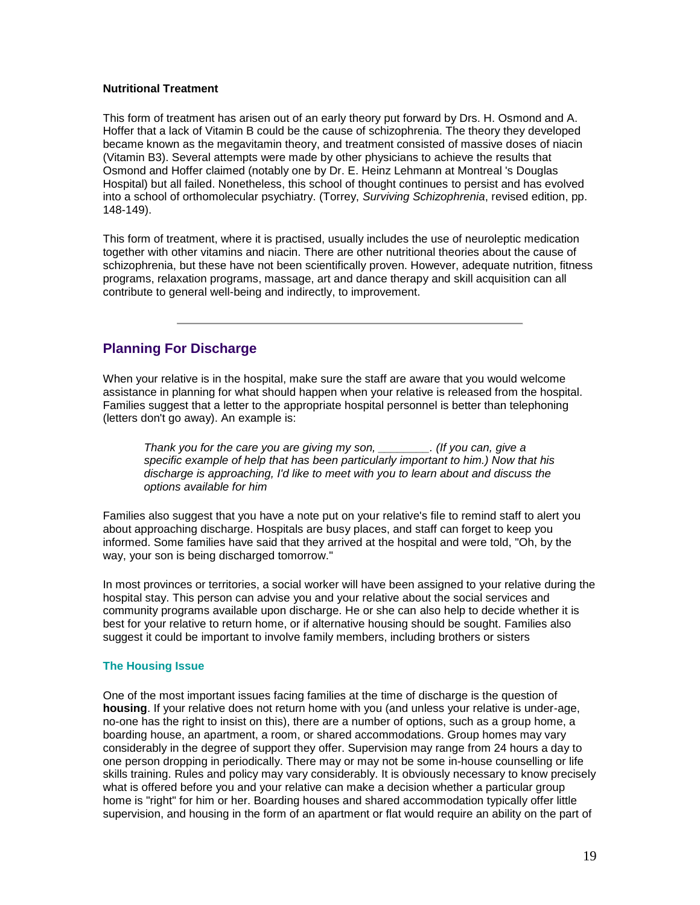### **Nutritional Treatment**

This form of treatment has arisen out of an early theory put forward by Drs. H. Osmond and A. Hoffer that a lack of Vitamin B could be the cause of schizophrenia. The theory they developed became known as the megavitamin theory, and treatment consisted of massive doses of niacin (Vitamin B3). Several attempts were made by other physicians to achieve the results that Osmond and Hoffer claimed (notably one by Dr. E. Heinz Lehmann at Montreal 's Douglas Hospital) but all failed. Nonetheless, this school of thought continues to persist and has evolved into a school of orthomolecular psychiatry. (Torrey, *Surviving Schizophrenia*, revised edition, pp. 148-149).

This form of treatment, where it is practised, usually includes the use of neuroleptic medication together with other vitamins and niacin. There are other nutritional theories about the cause of schizophrenia, but these have not been scientifically proven. However, adequate nutrition, fitness programs, relaxation programs, massage, art and dance therapy and skill acquisition can all contribute to general well-being and indirectly, to improvement.

# **Planning For Discharge**

When your relative is in the hospital, make sure the staff are aware that you would welcome assistance in planning for what should happen when your relative is released from the hospital. Families suggest that a letter to the appropriate hospital personnel is better than telephoning (letters don't go away). An example is:

*Thank you for the care you are giving my son, \_\_\_\_\_\_\_\_. (If you can, give a specific example of help that has been particularly important to him.) Now that his discharge is approaching, I'd like to meet with you to learn about and discuss the options available for him* 

Families also suggest that you have a note put on your relative's file to remind staff to alert you about approaching discharge. Hospitals are busy places, and staff can forget to keep you informed. Some families have said that they arrived at the hospital and were told, "Oh, by the way, your son is being discharged tomorrow."

In most provinces or territories, a social worker will have been assigned to your relative during the hospital stay. This person can advise you and your relative about the social services and community programs available upon discharge. He or she can also help to decide whether it is best for your relative to return home, or if alternative housing should be sought. Families also suggest it could be important to involve family members, including brothers or sisters

#### **The Housing Issue**

One of the most important issues facing families at the time of discharge is the question of **housing**. If your relative does not return home with you (and unless your relative is under-age, no-one has the right to insist on this), there are a number of options, such as a group home, a boarding house, an apartment, a room, or shared accommodations. Group homes may vary considerably in the degree of support they offer. Supervision may range from 24 hours a day to one person dropping in periodically. There may or may not be some in-house counselling or life skills training. Rules and policy may vary considerably. It is obviously necessary to know precisely what is offered before you and your relative can make a decision whether a particular group home is "right" for him or her. Boarding houses and shared accommodation typically offer little supervision, and housing in the form of an apartment or flat would require an ability on the part of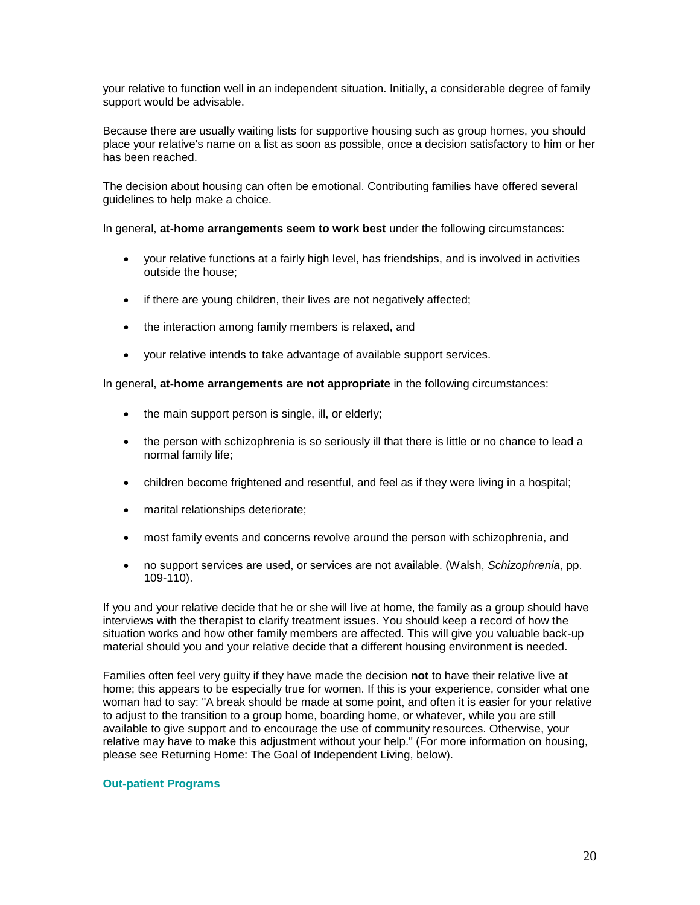your relative to function well in an independent situation. Initially, a considerable degree of family support would be advisable.

Because there are usually waiting lists for supportive housing such as group homes, you should place your relative's name on a list as soon as possible, once a decision satisfactory to him or her has been reached.

The decision about housing can often be emotional. Contributing families have offered several guidelines to help make a choice.

In general, **at-home arrangements seem to work best** under the following circumstances:

- your relative functions at a fairly high level, has friendships, and is involved in activities outside the house;
- if there are young children, their lives are not negatively affected;
- the interaction among family members is relaxed, and
- your relative intends to take advantage of available support services.

In general, **at-home arrangements are not appropriate** in the following circumstances:

- the main support person is single, ill, or elderly;
- the person with schizophrenia is so seriously ill that there is little or no chance to lead a normal family life;
- children become frightened and resentful, and feel as if they were living in a hospital;
- marital relationships deteriorate;
- most family events and concerns revolve around the person with schizophrenia, and
- no support services are used, or services are not available. (Walsh, *Schizophrenia*, pp. 109-110).

If you and your relative decide that he or she will live at home, the family as a group should have interviews with the therapist to clarify treatment issues. You should keep a record of how the situation works and how other family members are affected. This will give you valuable back-up material should you and your relative decide that a different housing environment is needed.

Families often feel very guilty if they have made the decision **not** to have their relative live at home; this appears to be especially true for women. If this is your experience, consider what one woman had to say: "A break should be made at some point, and often it is easier for your relative to adjust to the transition to a group home, boarding home, or whatever, while you are still available to give support and to encourage the use of community resources. Otherwise, your relative may have to make this adjustment without your help." (For more information on housing, please see Returning Home: The Goal of Independent Living, below).

#### **Out-patient Programs**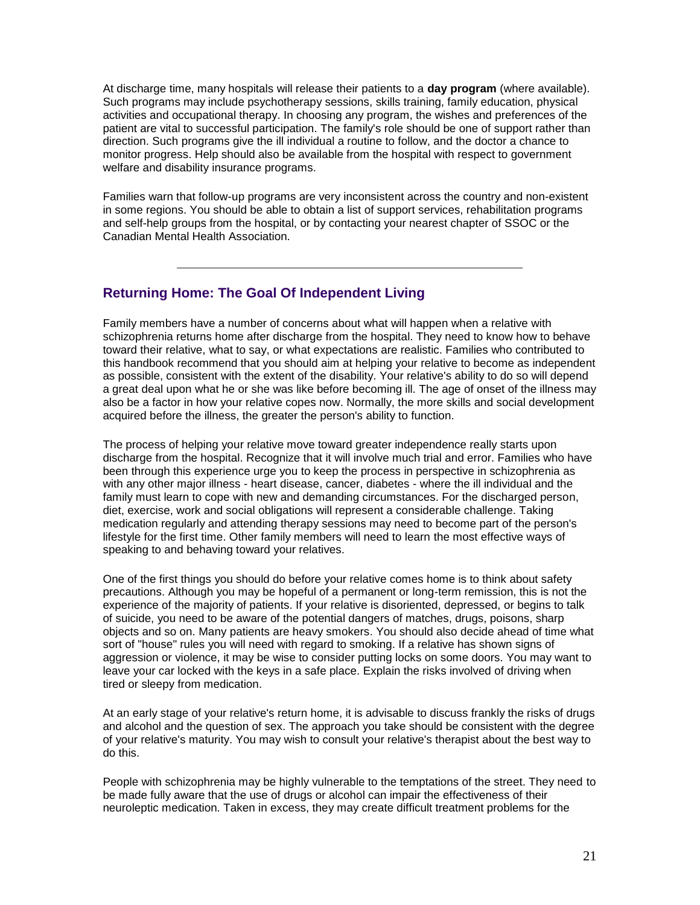At discharge time, many hospitals will release their patients to a **day program** (where available). Such programs may include psychotherapy sessions, skills training, family education, physical activities and occupational therapy. In choosing any program, the wishes and preferences of the patient are vital to successful participation. The family's role should be one of support rather than direction. Such programs give the ill individual a routine to follow, and the doctor a chance to monitor progress. Help should also be available from the hospital with respect to government welfare and disability insurance programs.

Families warn that follow-up programs are very inconsistent across the country and non-existent in some regions. You should be able to obtain a list of support services, rehabilitation programs and self-help groups from the hospital, or by contacting your nearest chapter of SSOC or the Canadian Mental Health Association.

# **Returning Home: The Goal Of Independent Living**

Family members have a number of concerns about what will happen when a relative with schizophrenia returns home after discharge from the hospital. They need to know how to behave toward their relative, what to say, or what expectations are realistic. Families who contributed to this handbook recommend that you should aim at helping your relative to become as independent as possible, consistent with the extent of the disability. Your relative's ability to do so will depend a great deal upon what he or she was like before becoming ill. The age of onset of the illness may also be a factor in how your relative copes now. Normally, the more skills and social development acquired before the illness, the greater the person's ability to function.

The process of helping your relative move toward greater independence really starts upon discharge from the hospital. Recognize that it will involve much trial and error. Families who have been through this experience urge you to keep the process in perspective in schizophrenia as with any other major illness - heart disease, cancer, diabetes - where the ill individual and the family must learn to cope with new and demanding circumstances. For the discharged person, diet, exercise, work and social obligations will represent a considerable challenge. Taking medication regularly and attending therapy sessions may need to become part of the person's lifestyle for the first time. Other family members will need to learn the most effective ways of speaking to and behaving toward your relatives.

One of the first things you should do before your relative comes home is to think about safety precautions. Although you may be hopeful of a permanent or long-term remission, this is not the experience of the majority of patients. If your relative is disoriented, depressed, or begins to talk of suicide, you need to be aware of the potential dangers of matches, drugs, poisons, sharp objects and so on. Many patients are heavy smokers. You should also decide ahead of time what sort of "house" rules you will need with regard to smoking. If a relative has shown signs of aggression or violence, it may be wise to consider putting locks on some doors. You may want to leave your car locked with the keys in a safe place. Explain the risks involved of driving when tired or sleepy from medication.

At an early stage of your relative's return home, it is advisable to discuss frankly the risks of drugs and alcohol and the question of sex. The approach you take should be consistent with the degree of your relative's maturity. You may wish to consult your relative's therapist about the best way to do this.

People with schizophrenia may be highly vulnerable to the temptations of the street. They need to be made fully aware that the use of drugs or alcohol can impair the effectiveness of their neuroleptic medication. Taken in excess, they may create difficult treatment problems for the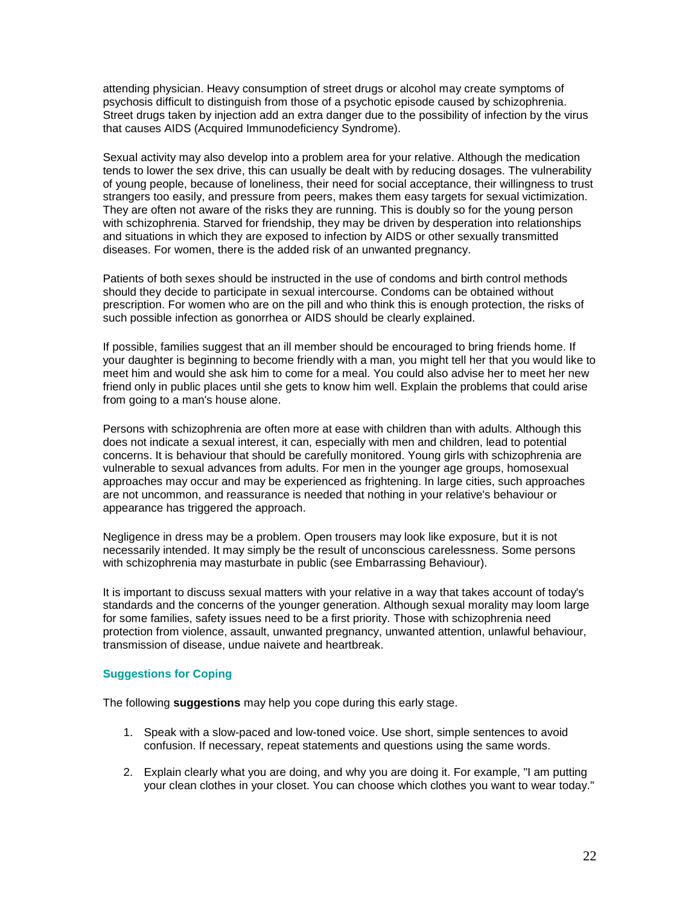attending physician. Heavy consumption of street drugs or alcohol may create symptoms of psychosis difficult to distinguish from those of a psychotic episode caused by schizophrenia. Street drugs taken by injection add an extra danger due to the possibility of infection by the virus that causes AIDS (Acquired Immunodeficiency Syndrome).

Sexual activity may also develop into a problem area for your relative. Although the medication tends to lower the sex drive, this can usually be dealt with by reducing dosages. The vulnerability of young people, because of loneliness, their need for social acceptance, their willingness to trust strangers too easily, and pressure from peers, makes them easy targets for sexual victimization. They are often not aware of the risks they are running. This is doubly so for the young person with schizophrenia. Starved for friendship, they may be driven by desperation into relationships and situations in which they are exposed to infection by AIDS or other sexually transmitted diseases. For women, there is the added risk of an unwanted pregnancy.

Patients of both sexes should be instructed in the use of condoms and birth control methods should they decide to participate in sexual intercourse. Condoms can be obtained without prescription. For women who are on the pill and who think this is enough protection, the risks of such possible infection as gonorrhea or AIDS should be clearly explained.

If possible, families suggest that an ill member should be encouraged to bring friends home. If your daughter is beginning to become friendly with a man, you might tell her that you would like to meet him and would she ask him to come for a meal. You could also advise her to meet her new friend only in public places until she gets to know him well. Explain the problems that could arise from going to a man's house alone.

Persons with schizophrenia are often more at ease with children than with adults. Although this does not indicate a sexual interest, it can, especially with men and children, lead to potential concerns. It is behaviour that should be carefully monitored. Young girls with schizophrenia are vulnerable to sexual advances from adults. For men in the younger age groups, homosexual approaches may occur and may be experienced as frightening. In large cities, such approaches are not uncommon, and reassurance is needed that nothing in your relative's behaviour or appearance has triggered the approach.

Negligence in dress may be a problem. Open trousers may look like exposure, but it is not necessarily intended. It may simply be the result of unconscious carelessness. Some persons with schizophrenia may masturbate in public (see Embarrassing Behaviour).

It is important to discuss sexual matters with your relative in a way that takes account of today's standards and the concerns of the younger generation. Although sexual morality may loom large for some families, safety issues need to be a first priority. Those with schizophrenia need protection from violence, assault, unwanted pregnancy, unwanted attention, unlawful behaviour, transmission of disease, undue naivete and heartbreak.

#### **Suggestions for Coping**

The following **suggestions** may help you cope during this early stage.

- 1. Speak with a slow-paced and low-toned voice. Use short, simple sentences to avoid confusion. If necessary, repeat statements and questions using the same words.
- 2. Explain clearly what you are doing, and why you are doing it. For example, "I am putting your clean clothes in your closet. You can choose which clothes you want to wear today."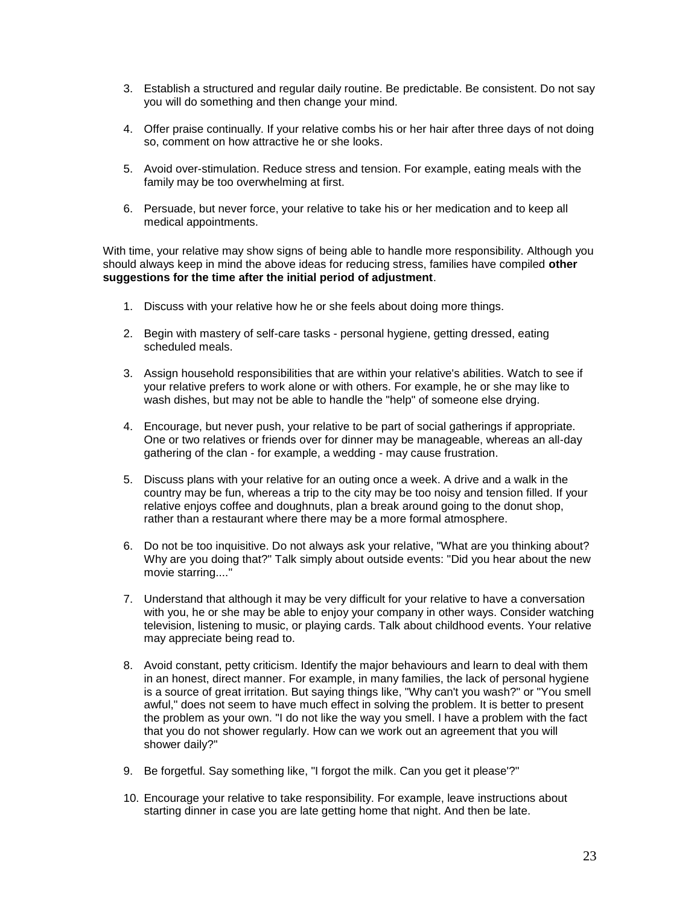- 3. Establish a structured and regular daily routine. Be predictable. Be consistent. Do not say you will do something and then change your mind.
- 4. Offer praise continually. If your relative combs his or her hair after three days of not doing so, comment on how attractive he or she looks.
- 5. Avoid over-stimulation. Reduce stress and tension. For example, eating meals with the family may be too overwhelming at first.
- 6. Persuade, but never force, your relative to take his or her medication and to keep all medical appointments.

With time, your relative may show signs of being able to handle more responsibility. Although you should always keep in mind the above ideas for reducing stress, families have compiled **other suggestions for the time after the initial period of adjustment**.

- 1. Discuss with your relative how he or she feels about doing more things.
- 2. Begin with mastery of self-care tasks personal hygiene, getting dressed, eating scheduled meals.
- 3. Assign household responsibilities that are within your relative's abilities. Watch to see if your relative prefers to work alone or with others. For example, he or she may like to wash dishes, but may not be able to handle the "help" of someone else drying.
- 4. Encourage, but never push, your relative to be part of social gatherings if appropriate. One or two relatives or friends over for dinner may be manageable, whereas an all-day gathering of the clan - for example, a wedding - may cause frustration.
- 5. Discuss plans with your relative for an outing once a week. A drive and a walk in the country may be fun, whereas a trip to the city may be too noisy and tension filled. If your relative enjoys coffee and doughnuts, plan a break around going to the donut shop, rather than a restaurant where there may be a more formal atmosphere.
- 6. Do not be too inquisitive. Do not always ask your relative, "What are you thinking about? Why are you doing that?" Talk simply about outside events: "Did you hear about the new movie starring...."
- 7. Understand that although it may be very difficult for your relative to have a conversation with you, he or she may be able to enjoy your company in other ways. Consider watching television, listening to music, or playing cards. Talk about childhood events. Your relative may appreciate being read to.
- 8. Avoid constant, petty criticism. Identify the major behaviours and learn to deal with them in an honest, direct manner. For example, in many families, the lack of personal hygiene is a source of great irritation. But saying things like, "Why can't you wash?" or "You smell awful," does not seem to have much effect in solving the problem. It is better to present the problem as your own. "I do not like the way you smell. I have a problem with the fact that you do not shower regularly. How can we work out an agreement that you will shower daily?"
- 9. Be forgetful. Say something like, "I forgot the milk. Can you get it please'?"
- 10. Encourage your relative to take responsibility. For example, leave instructions about starting dinner in case you are late getting home that night. And then be late.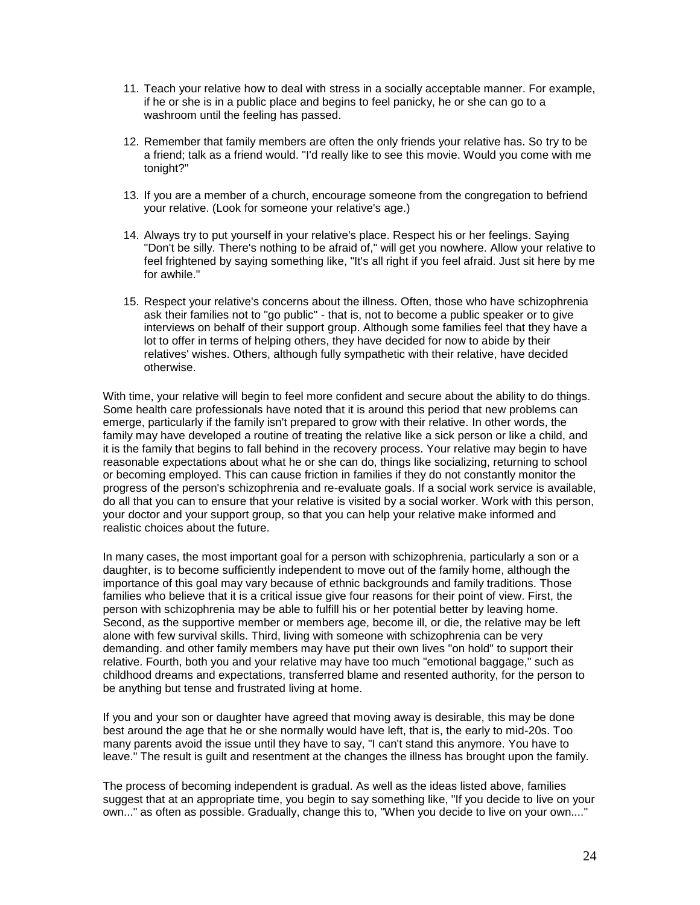- 11. Teach your relative how to deal with stress in a socially acceptable manner. For example, if he or she is in a public place and begins to feel panicky, he or she can go to a washroom until the feeling has passed.
- 12. Remember that family members are often the only friends your relative has. So try to be a friend; talk as a friend would. "I'd really like to see this movie. Would you come with me tonight?"
- 13. If you are a member of a church, encourage someone from the congregation to befriend your relative. (Look for someone your relative's age.)
- 14. Always try to put yourself in your relative's place. Respect his or her feelings. Saying "Don't be silly. There's nothing to be afraid of," will get you nowhere. Allow your relative to feel frightened by saying something like, "It's all right if you feel afraid. Just sit here by me for awhile."
- 15. Respect your relative's concerns about the illness. Often, those who have schizophrenia ask their families not to "go public" - that is, not to become a public speaker or to give interviews on behalf of their support group. Although some families feel that they have a lot to offer in terms of helping others, they have decided for now to abide by their relatives' wishes. Others, although fully sympathetic with their relative, have decided otherwise.

With time, your relative will begin to feel more confident and secure about the ability to do things. Some health care professionals have noted that it is around this period that new problems can emerge, particularly if the family isn't prepared to grow with their relative. In other words, the family may have developed a routine of treating the relative like a sick person or like a child, and it is the family that begins to fall behind in the recovery process. Your relative may begin to have reasonable expectations about what he or she can do, things like socializing, returning to school or becoming employed. This can cause friction in families if they do not constantly monitor the progress of the person's schizophrenia and re-evaluate goals. If a social work service is available, do all that you can to ensure that your relative is visited by a social worker. Work with this person, your doctor and your support group, so that you can help your relative make informed and realistic choices about the future.

In many cases, the most important goal for a person with schizophrenia, particularly a son or a daughter, is to become sufficiently independent to move out of the family home, although the importance of this goal may vary because of ethnic backgrounds and family traditions. Those families who believe that it is a critical issue give four reasons for their point of view. First, the person with schizophrenia may be able to fulfill his or her potential better by leaving home. Second, as the supportive member or members age, become ill, or die, the relative may be left alone with few survival skills. Third, living with someone with schizophrenia can be very demanding. and other family members may have put their own lives "on hold" to support their relative. Fourth, both you and your relative may have too much "emotional baggage," such as childhood dreams and expectations, transferred blame and resented authority, for the person to be anything but tense and frustrated living at home.

If you and your son or daughter have agreed that moving away is desirable, this may be done best around the age that he or she normally would have left, that is, the early to mid-20s. Too many parents avoid the issue until they have to say, "I can't stand this anymore. You have to leave." The result is guilt and resentment at the changes the illness has brought upon the family.

The process of becoming independent is gradual. As well as the ideas listed above, families suggest that at an appropriate time, you begin to say something like, "If you decide to live on your own..." as often as possible. Gradually, change this to, "When you decide to live on your own...."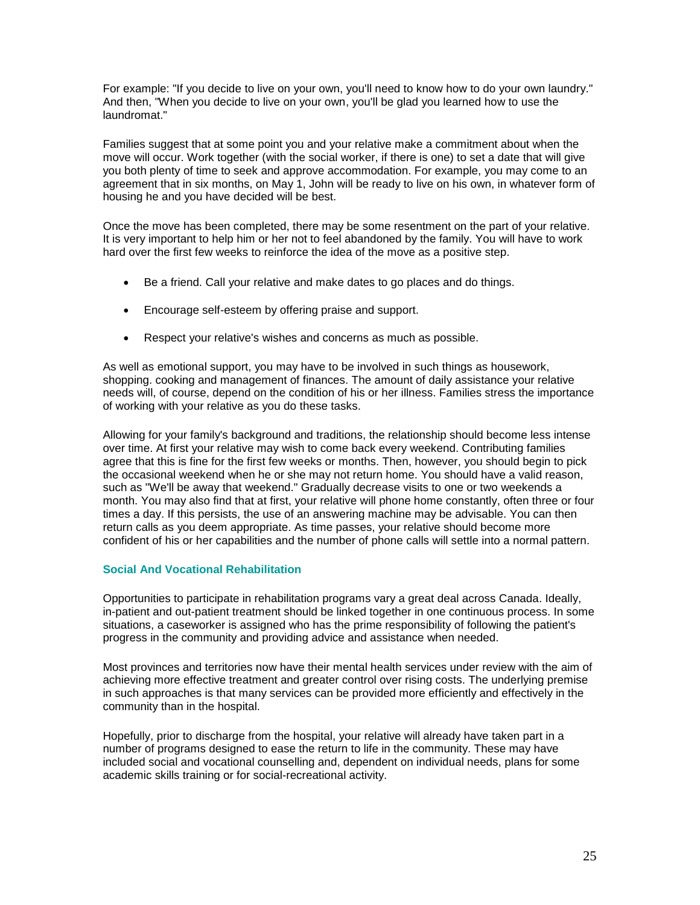For example: "If you decide to live on your own, you'll need to know how to do your own laundry." And then, "When you decide to live on your own, you'll be glad you learned how to use the laundromat."

Families suggest that at some point you and your relative make a commitment about when the move will occur. Work together (with the social worker, if there is one) to set a date that will give you both plenty of time to seek and approve accommodation. For example, you may come to an agreement that in six months, on May 1, John will be ready to live on his own, in whatever form of housing he and you have decided will be best.

Once the move has been completed, there may be some resentment on the part of your relative. It is very important to help him or her not to feel abandoned by the family. You will have to work hard over the first few weeks to reinforce the idea of the move as a positive step.

- Be a friend. Call your relative and make dates to go places and do things.
- Encourage self-esteem by offering praise and support.
- Respect your relative's wishes and concerns as much as possible.

As well as emotional support, you may have to be involved in such things as housework, shopping. cooking and management of finances. The amount of daily assistance your relative needs will, of course, depend on the condition of his or her illness. Families stress the importance of working with your relative as you do these tasks.

Allowing for your family's background and traditions, the relationship should become less intense over time. At first your relative may wish to come back every weekend. Contributing families agree that this is fine for the first few weeks or months. Then, however, you should begin to pick the occasional weekend when he or she may not return home. You should have a valid reason, such as "We'll be away that weekend." Gradually decrease visits to one or two weekends a month. You may also find that at first, your relative will phone home constantly, often three or four times a day. If this persists, the use of an answering machine may be advisable. You can then return calls as you deem appropriate. As time passes, your relative should become more confident of his or her capabilities and the number of phone calls will settle into a normal pattern.

#### **Social And Vocational Rehabilitation**

Opportunities to participate in rehabilitation programs vary a great deal across Canada. Ideally, in-patient and out-patient treatment should be linked together in one continuous process. In some situations, a caseworker is assigned who has the prime responsibility of following the patient's progress in the community and providing advice and assistance when needed.

Most provinces and territories now have their mental health services under review with the aim of achieving more effective treatment and greater control over rising costs. The underlying premise in such approaches is that many services can be provided more efficiently and effectively in the community than in the hospital.

Hopefully, prior to discharge from the hospital, your relative will already have taken part in a number of programs designed to ease the return to life in the community. These may have included social and vocational counselling and, dependent on individual needs, plans for some academic skills training or for social-recreational activity.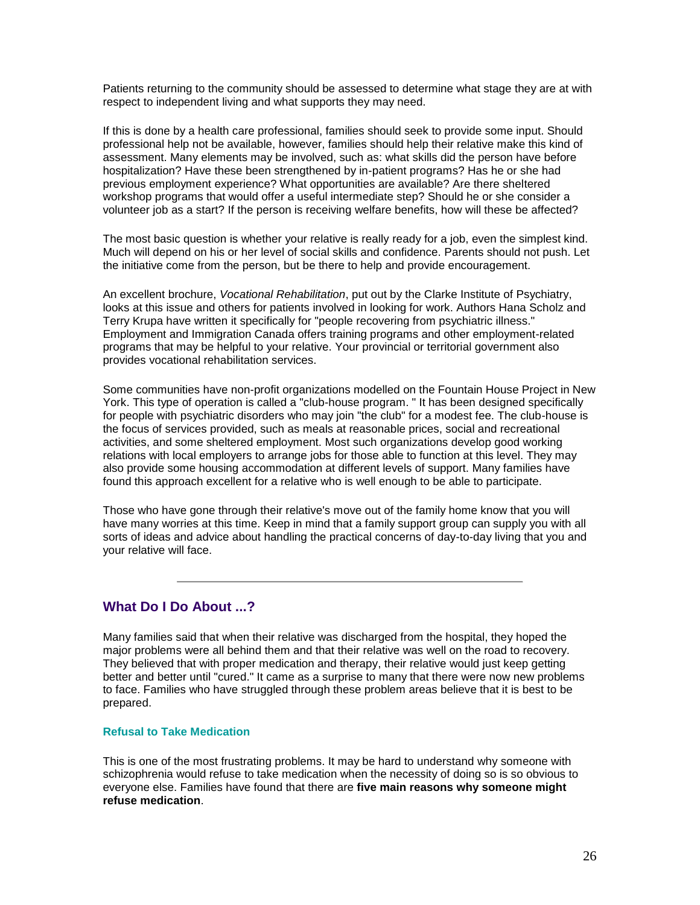Patients returning to the community should be assessed to determine what stage they are at with respect to independent living and what supports they may need.

If this is done by a health care professional, families should seek to provide some input. Should professional help not be available, however, families should help their relative make this kind of assessment. Many elements may be involved, such as: what skills did the person have before hospitalization? Have these been strengthened by in-patient programs? Has he or she had previous employment experience? What opportunities are available? Are there sheltered workshop programs that would offer a useful intermediate step? Should he or she consider a volunteer job as a start? If the person is receiving welfare benefits, how will these be affected?

The most basic question is whether your relative is really ready for a job, even the simplest kind. Much will depend on his or her level of social skills and confidence. Parents should not push. Let the initiative come from the person, but be there to help and provide encouragement.

An excellent brochure, *Vocational Rehabilitation*, put out by the Clarke Institute of Psychiatry, looks at this issue and others for patients involved in looking for work. Authors Hana Scholz and Terry Krupa have written it specifically for "people recovering from psychiatric illness." Employment and Immigration Canada offers training programs and other employment-related programs that may be helpful to your relative. Your provincial or territorial government also provides vocational rehabilitation services.

Some communities have non-profit organizations modelled on the Fountain House Project in New York. This type of operation is called a "club-house program. " It has been designed specifically for people with psychiatric disorders who may join "the club" for a modest fee. The club-house is the focus of services provided, such as meals at reasonable prices, social and recreational activities, and some sheltered employment. Most such organizations develop good working relations with local employers to arrange jobs for those able to function at this level. They may also provide some housing accommodation at different levels of support. Many families have found this approach excellent for a relative who is well enough to be able to participate.

Those who have gone through their relative's move out of the family home know that you will have many worries at this time. Keep in mind that a family support group can supply you with all sorts of ideas and advice about handling the practical concerns of day-to-day living that you and your relative will face.

# **What Do I Do About ...?**

Many families said that when their relative was discharged from the hospital, they hoped the major problems were all behind them and that their relative was well on the road to recovery. They believed that with proper medication and therapy, their relative would just keep getting better and better until "cured." It came as a surprise to many that there were now new problems to face. Families who have struggled through these problem areas believe that it is best to be prepared.

#### **Refusal to Take Medication**

This is one of the most frustrating problems. It may be hard to understand why someone with schizophrenia would refuse to take medication when the necessity of doing so is so obvious to everyone else. Families have found that there are **five main reasons why someone might refuse medication**.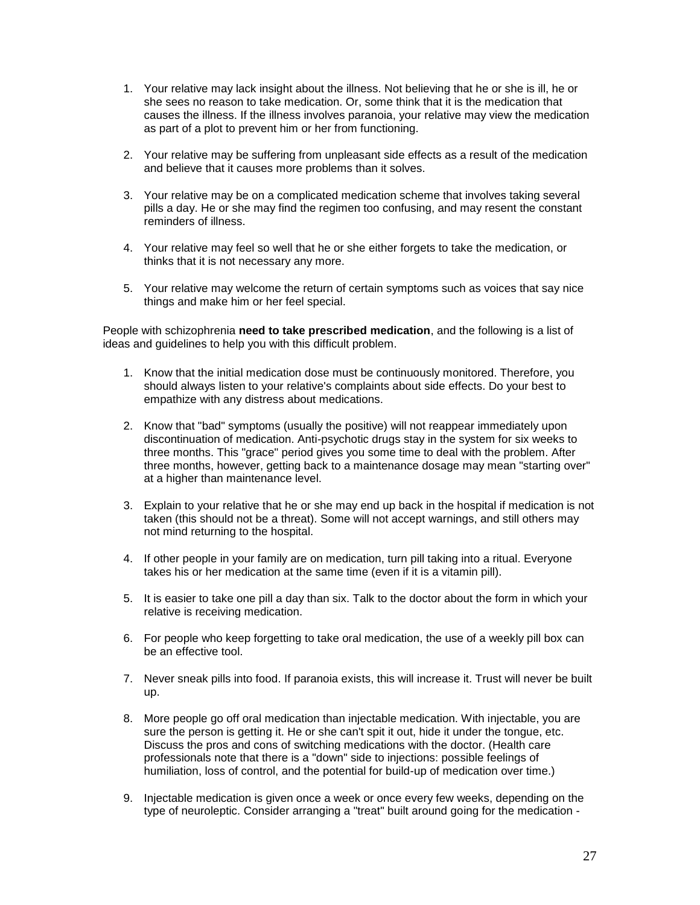- 1. Your relative may lack insight about the illness. Not believing that he or she is ill, he or she sees no reason to take medication. Or, some think that it is the medication that causes the illness. If the illness involves paranoia, your relative may view the medication as part of a plot to prevent him or her from functioning.
- 2. Your relative may be suffering from unpleasant side effects as a result of the medication and believe that it causes more problems than it solves.
- 3. Your relative may be on a complicated medication scheme that involves taking several pills a day. He or she may find the regimen too confusing, and may resent the constant reminders of illness.
- 4. Your relative may feel so well that he or she either forgets to take the medication, or thinks that it is not necessary any more.
- 5. Your relative may welcome the return of certain symptoms such as voices that say nice things and make him or her feel special.

People with schizophrenia **need to take prescribed medication**, and the following is a list of ideas and guidelines to help you with this difficult problem.

- 1. Know that the initial medication dose must be continuously monitored. Therefore, you should always listen to your relative's complaints about side effects. Do your best to empathize with any distress about medications.
- 2. Know that "bad" symptoms (usually the positive) will not reappear immediately upon discontinuation of medication. Anti-psychotic drugs stay in the system for six weeks to three months. This "grace" period gives you some time to deal with the problem. After three months, however, getting back to a maintenance dosage may mean "starting over" at a higher than maintenance level.
- 3. Explain to your relative that he or she may end up back in the hospital if medication is not taken (this should not be a threat). Some will not accept warnings, and still others may not mind returning to the hospital.
- 4. If other people in your family are on medication, turn pill taking into a ritual. Everyone takes his or her medication at the same time (even if it is a vitamin pill).
- 5. It is easier to take one pill a day than six. Talk to the doctor about the form in which your relative is receiving medication.
- 6. For people who keep forgetting to take oral medication, the use of a weekly pill box can be an effective tool.
- 7. Never sneak pills into food. If paranoia exists, this will increase it. Trust will never be built up.
- 8. More people go off oral medication than injectable medication. With injectable, you are sure the person is getting it. He or she can't spit it out, hide it under the tongue, etc. Discuss the pros and cons of switching medications with the doctor. (Health care professionals note that there is a "down" side to injections: possible feelings of humiliation, loss of control, and the potential for build-up of medication over time.)
- 9. Injectable medication is given once a week or once every few weeks, depending on the type of neuroleptic. Consider arranging a "treat" built around going for the medication -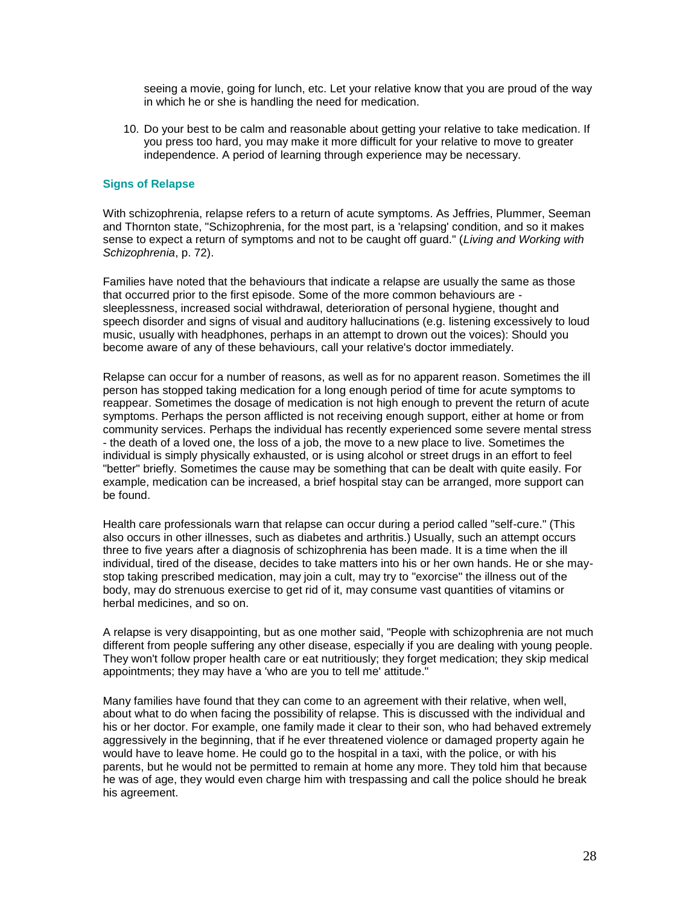seeing a movie, going for lunch, etc. Let your relative know that you are proud of the way in which he or she is handling the need for medication.

10. Do your best to be calm and reasonable about getting your relative to take medication. If you press too hard, you may make it more difficult for your relative to move to greater independence. A period of learning through experience may be necessary.

### **Signs of Relapse**

With schizophrenia, relapse refers to a return of acute symptoms. As Jeffries, Plummer, Seeman and Thornton state, "Schizophrenia, for the most part, is a 'relapsing' condition, and so it makes sense to expect a return of symptoms and not to be caught off guard." (*Living and Working with Schizophrenia*, p. 72).

Families have noted that the behaviours that indicate a relapse are usually the same as those that occurred prior to the first episode. Some of the more common behaviours are sleeplessness, increased social withdrawal, deterioration of personal hygiene, thought and speech disorder and signs of visual and auditory hallucinations (e.g. listening excessively to loud music, usually with headphones, perhaps in an attempt to drown out the voices): Should you become aware of any of these behaviours, call your relative's doctor immediately.

Relapse can occur for a number of reasons, as well as for no apparent reason. Sometimes the ill person has stopped taking medication for a long enough period of time for acute symptoms to reappear. Sometimes the dosage of medication is not high enough to prevent the return of acute symptoms. Perhaps the person afflicted is not receiving enough support, either at home or from community services. Perhaps the individual has recently experienced some severe mental stress - the death of a loved one, the loss of a job, the move to a new place to live. Sometimes the individual is simply physically exhausted, or is using alcohol or street drugs in an effort to feel "better" briefly. Sometimes the cause may be something that can be dealt with quite easily. For example, medication can be increased, a brief hospital stay can be arranged, more support can be found.

Health care professionals warn that relapse can occur during a period called "self-cure." (This also occurs in other illnesses, such as diabetes and arthritis.) Usually, such an attempt occurs three to five years after a diagnosis of schizophrenia has been made. It is a time when the ill individual, tired of the disease, decides to take matters into his or her own hands. He or she maystop taking prescribed medication, may join a cult, may try to "exorcise" the illness out of the body, may do strenuous exercise to get rid of it, may consume vast quantities of vitamins or herbal medicines, and so on.

A relapse is very disappointing, but as one mother said, "People with schizophrenia are not much different from people suffering any other disease, especially if you are dealing with young people. They won't follow proper health care or eat nutritiously; they forget medication; they skip medical appointments; they may have a 'who are you to tell me' attitude."

Many families have found that they can come to an agreement with their relative, when well, about what to do when facing the possibility of relapse. This is discussed with the individual and his or her doctor. For example, one family made it clear to their son, who had behaved extremely aggressively in the beginning, that if he ever threatened violence or damaged property again he would have to leave home. He could go to the hospital in a taxi, with the police, or with his parents, but he would not be permitted to remain at home any more. They told him that because he was of age, they would even charge him with trespassing and call the police should he break his agreement.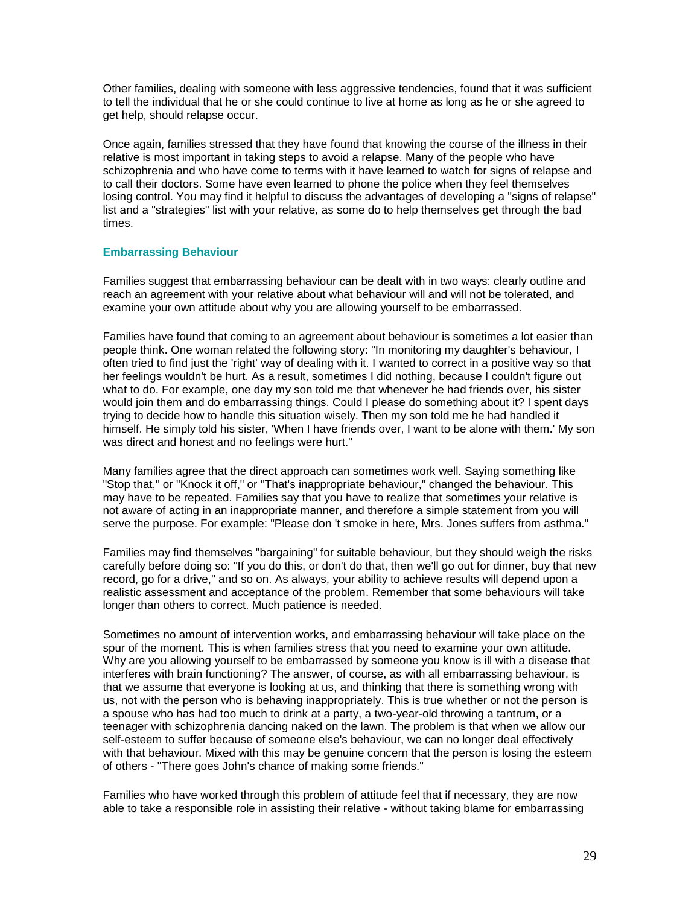Other families, dealing with someone with less aggressive tendencies, found that it was sufficient to tell the individual that he or she could continue to live at home as long as he or she agreed to get help, should relapse occur.

Once again, families stressed that they have found that knowing the course of the illness in their relative is most important in taking steps to avoid a relapse. Many of the people who have schizophrenia and who have come to terms with it have learned to watch for signs of relapse and to call their doctors. Some have even learned to phone the police when they feel themselves losing control. You may find it helpful to discuss the advantages of developing a "signs of relapse" list and a "strategies" list with your relative, as some do to help themselves get through the bad times.

#### **Embarrassing Behaviour**

Families suggest that embarrassing behaviour can be dealt with in two ways: clearly outline and reach an agreement with your relative about what behaviour will and will not be tolerated, and examine your own attitude about why you are allowing yourself to be embarrassed.

Families have found that coming to an agreement about behaviour is sometimes a lot easier than people think. One woman related the following story: "In monitoring my daughter's behaviour, I often tried to find just the 'right' way of dealing with it. I wanted to correct in a positive way so that her feelings wouldn't be hurt. As a result, sometimes I did nothing, because I couldn't figure out what to do. For example, one day my son told me that whenever he had friends over, his sister would join them and do embarrassing things. Could I please do something about it? I spent days trying to decide how to handle this situation wisely. Then my son told me he had handled it himself. He simply told his sister, 'When I have friends over, I want to be alone with them.' My son was direct and honest and no feelings were hurt."

Many families agree that the direct approach can sometimes work well. Saying something like "Stop that," or "Knock it off," or "That's inappropriate behaviour," changed the behaviour. This may have to be repeated. Families say that you have to realize that sometimes your relative is not aware of acting in an inappropriate manner, and therefore a simple statement from you will serve the purpose. For example: "Please don 't smoke in here, Mrs. Jones suffers from asthma."

Families may find themselves "bargaining" for suitable behaviour, but they should weigh the risks carefully before doing so: "If you do this, or don't do that, then we'll go out for dinner, buy that new record, go for a drive," and so on. As always, your ability to achieve results will depend upon a realistic assessment and acceptance of the problem. Remember that some behaviours will take longer than others to correct. Much patience is needed.

Sometimes no amount of intervention works, and embarrassing behaviour will take place on the spur of the moment. This is when families stress that you need to examine your own attitude. Why are you allowing yourself to be embarrassed by someone you know is ill with a disease that interferes with brain functioning? The answer, of course, as with all embarrassing behaviour, is that we assume that everyone is looking at us, and thinking that there is something wrong with us, not with the person who is behaving inappropriately. This is true whether or not the person is a spouse who has had too much to drink at a party, a two-year-old throwing a tantrum, or a teenager with schizophrenia dancing naked on the lawn. The problem is that when we allow our self-esteem to suffer because of someone else's behaviour, we can no longer deal effectively with that behaviour. Mixed with this may be genuine concern that the person is losing the esteem of others - "There goes John's chance of making some friends."

Families who have worked through this problem of attitude feel that if necessary, they are now able to take a responsible role in assisting their relative - without taking blame for embarrassing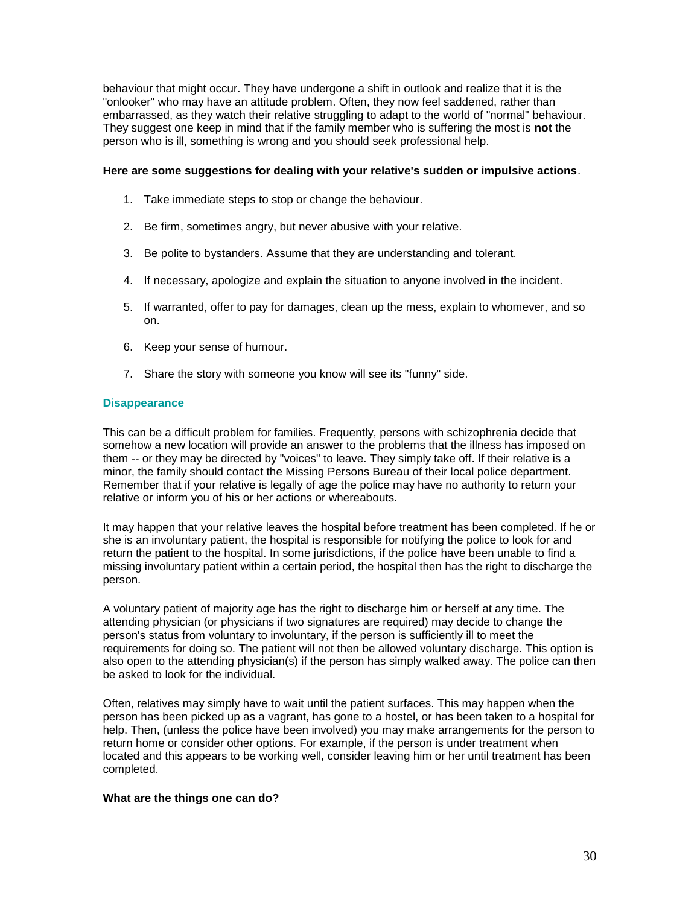behaviour that might occur. They have undergone a shift in outlook and realize that it is the "onlooker" who may have an attitude problem. Often, they now feel saddened, rather than embarrassed, as they watch their relative struggling to adapt to the world of "normal" behaviour. They suggest one keep in mind that if the family member who is suffering the most is **not** the person who is ill, something is wrong and you should seek professional help.

#### **Here are some suggestions for dealing with your relative's sudden or impulsive actions**.

- 1. Take immediate steps to stop or change the behaviour.
- 2. Be firm, sometimes angry, but never abusive with your relative.
- 3. Be polite to bystanders. Assume that they are understanding and tolerant.
- 4. If necessary, apologize and explain the situation to anyone involved in the incident.
- 5. If warranted, offer to pay for damages, clean up the mess, explain to whomever, and so on.
- 6. Keep your sense of humour.
- 7. Share the story with someone you know will see its "funny" side.

#### **Disappearance**

This can be a difficult problem for families. Frequently, persons with schizophrenia decide that somehow a new location will provide an answer to the problems that the illness has imposed on them -- or they may be directed by "voices" to leave. They simply take off. If their relative is a minor, the family should contact the Missing Persons Bureau of their local police department. Remember that if your relative is legally of age the police may have no authority to return your relative or inform you of his or her actions or whereabouts.

It may happen that your relative leaves the hospital before treatment has been completed. If he or she is an involuntary patient, the hospital is responsible for notifying the police to look for and return the patient to the hospital. In some jurisdictions, if the police have been unable to find a missing involuntary patient within a certain period, the hospital then has the right to discharge the person.

A voluntary patient of majority age has the right to discharge him or herself at any time. The attending physician (or physicians if two signatures are required) may decide to change the person's status from voluntary to involuntary, if the person is sufficiently ill to meet the requirements for doing so. The patient will not then be allowed voluntary discharge. This option is also open to the attending physician(s) if the person has simply walked away. The police can then be asked to look for the individual.

Often, relatives may simply have to wait until the patient surfaces. This may happen when the person has been picked up as a vagrant, has gone to a hostel, or has been taken to a hospital for help. Then, (unless the police have been involved) you may make arrangements for the person to return home or consider other options. For example, if the person is under treatment when located and this appears to be working well, consider leaving him or her until treatment has been completed.

#### **What are the things one can do?**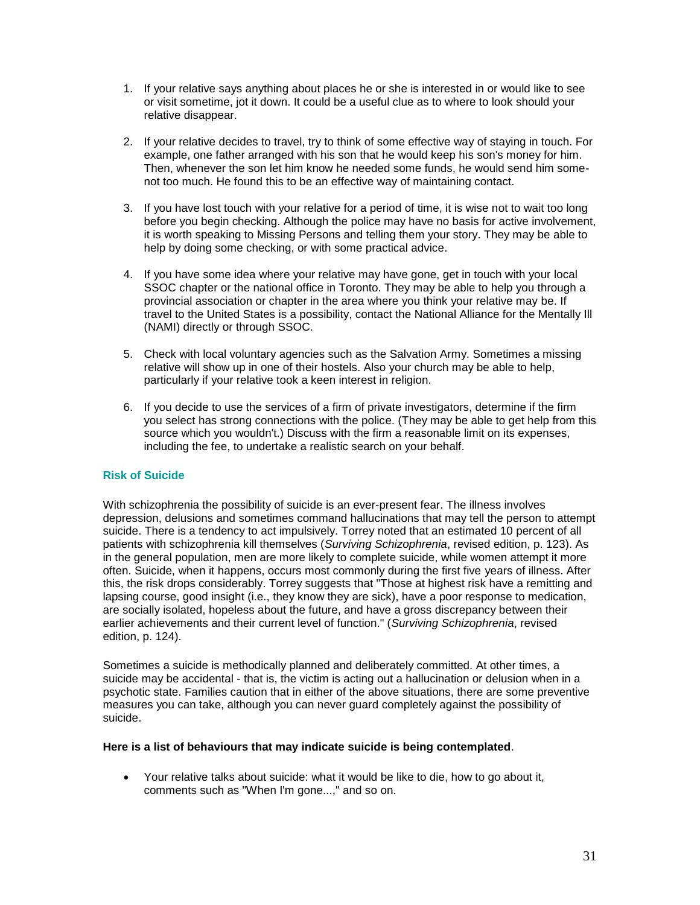- 1. If your relative says anything about places he or she is interested in or would like to see or visit sometime, jot it down. It could be a useful clue as to where to look should your relative disappear.
- 2. If your relative decides to travel, try to think of some effective way of staying in touch. For example, one father arranged with his son that he would keep his son's money for him. Then, whenever the son let him know he needed some funds, he would send him somenot too much. He found this to be an effective way of maintaining contact.
- 3. If you have lost touch with your relative for a period of time, it is wise not to wait too long before you begin checking. Although the police may have no basis for active involvement, it is worth speaking to Missing Persons and telling them your story. They may be able to help by doing some checking, or with some practical advice.
- 4. If you have some idea where your relative may have gone, get in touch with your local SSOC chapter or the national office in Toronto. They may be able to help you through a provincial association or chapter in the area where you think your relative may be. If travel to the United States is a possibility, contact the National Alliance for the Mentally Ill (NAMI) directly or through SSOC.
- 5. Check with local voluntary agencies such as the Salvation Army. Sometimes a missing relative will show up in one of their hostels. Also your church may be able to help, particularly if your relative took a keen interest in religion.
- 6. If you decide to use the services of a firm of private investigators, determine if the firm you select has strong connections with the police. (They may be able to get help from this source which you wouldn't.) Discuss with the firm a reasonable limit on its expenses, including the fee, to undertake a realistic search on your behalf.

# **Risk of Suicide**

With schizophrenia the possibility of suicide is an ever-present fear. The illness involves depression, delusions and sometimes command hallucinations that may tell the person to attempt suicide. There is a tendency to act impulsively. Torrey noted that an estimated 10 percent of all patients with schizophrenia kill themselves (*Surviving Schizophrenia*, revised edition, p. 123). As in the general population, men are more likely to complete suicide, while women attempt it more often. Suicide, when it happens, occurs most commonly during the first five years of illness. After this, the risk drops considerably. Torrey suggests that "Those at highest risk have a remitting and lapsing course, good insight (i.e., they know they are sick), have a poor response to medication, are socially isolated, hopeless about the future, and have a gross discrepancy between their earlier achievements and their current level of function." (*Surviving Schizophrenia*, revised edition, p. 124).

Sometimes a suicide is methodically planned and deliberately committed. At other times, a suicide may be accidental - that is, the victim is acting out a hallucination or delusion when in a psychotic state. Families caution that in either of the above situations, there are some preventive measures you can take, although you can never guard completely against the possibility of suicide.

#### **Here is a list of behaviours that may indicate suicide is being contemplated**.

 Your relative talks about suicide: what it would be like to die, how to go about it, comments such as "When I'm gone...," and so on.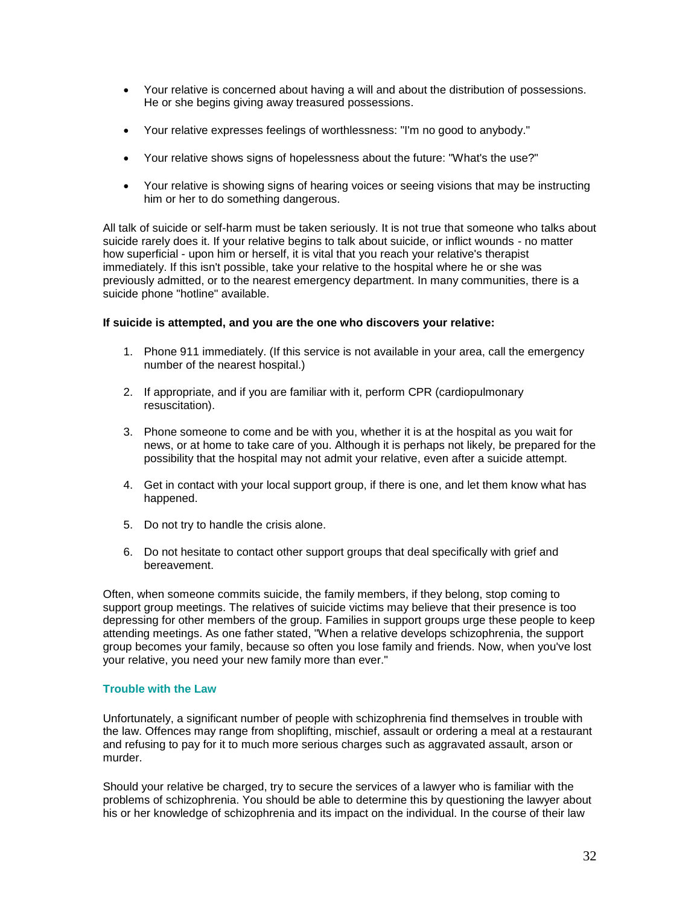- Your relative is concerned about having a will and about the distribution of possessions. He or she begins giving away treasured possessions.
- Your relative expresses feelings of worthlessness: "I'm no good to anybody."
- Your relative shows signs of hopelessness about the future: "What's the use?"
- Your relative is showing signs of hearing voices or seeing visions that may be instructing him or her to do something dangerous.

All talk of suicide or self-harm must be taken seriously. It is not true that someone who talks about suicide rarely does it. If your relative begins to talk about suicide, or inflict wounds - no matter how superficial - upon him or herself, it is vital that you reach your relative's therapist immediately. If this isn't possible, take your relative to the hospital where he or she was previously admitted, or to the nearest emergency department. In many communities, there is a suicide phone "hotline" available.

#### **If suicide is attempted, and you are the one who discovers your relative:**

- 1. Phone 911 immediately. (If this service is not available in your area, call the emergency number of the nearest hospital.)
- 2. If appropriate, and if you are familiar with it, perform CPR (cardiopulmonary resuscitation).
- 3. Phone someone to come and be with you, whether it is at the hospital as you wait for news, or at home to take care of you. Although it is perhaps not likely, be prepared for the possibility that the hospital may not admit your relative, even after a suicide attempt.
- 4. Get in contact with your local support group, if there is one, and let them know what has happened.
- 5. Do not try to handle the crisis alone.
- 6. Do not hesitate to contact other support groups that deal specifically with grief and bereavement.

Often, when someone commits suicide, the family members, if they belong, stop coming to support group meetings. The relatives of suicide victims may believe that their presence is too depressing for other members of the group. Families in support groups urge these people to keep attending meetings. As one father stated, "When a relative develops schizophrenia, the support group becomes your family, because so often you lose family and friends. Now, when you've lost your relative, you need your new family more than ever."

#### **Trouble with the Law**

Unfortunately, a significant number of people with schizophrenia find themselves in trouble with the law. Offences may range from shoplifting, mischief, assault or ordering a meal at a restaurant and refusing to pay for it to much more serious charges such as aggravated assault, arson or murder.

Should your relative be charged, try to secure the services of a lawyer who is familiar with the problems of schizophrenia. You should be able to determine this by questioning the lawyer about his or her knowledge of schizophrenia and its impact on the individual. In the course of their law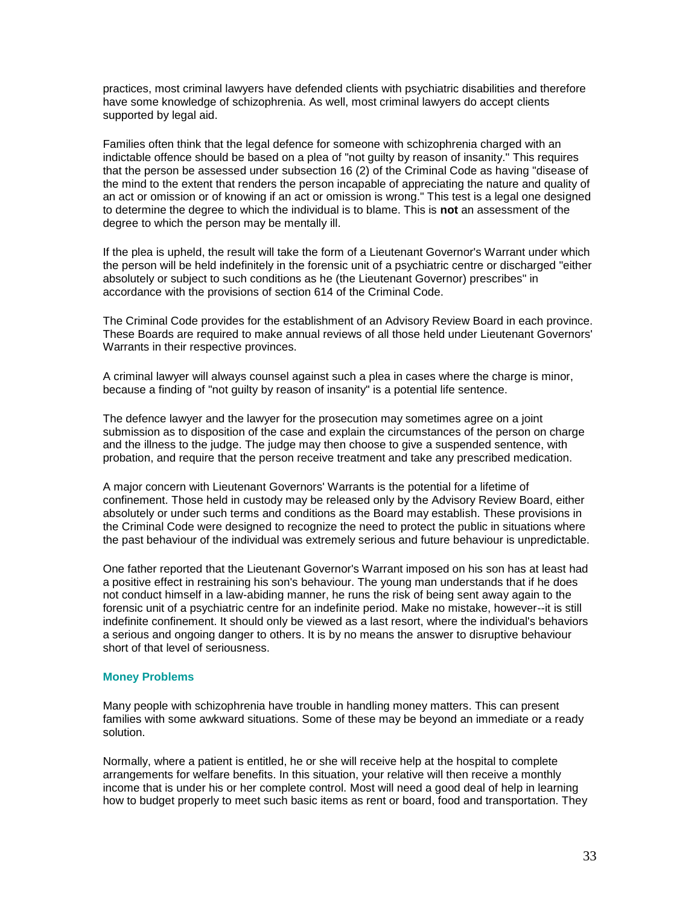practices, most criminal lawyers have defended clients with psychiatric disabilities and therefore have some knowledge of schizophrenia. As well, most criminal lawyers do accept clients supported by legal aid.

Families often think that the legal defence for someone with schizophrenia charged with an indictable offence should be based on a plea of "not guilty by reason of insanity." This requires that the person be assessed under subsection 16 (2) of the Criminal Code as having "disease of the mind to the extent that renders the person incapable of appreciating the nature and quality of an act or omission or of knowing if an act or omission is wrong." This test is a legal one designed to determine the degree to which the individual is to blame. This is **not** an assessment of the degree to which the person may be mentally ill.

If the plea is upheld, the result will take the form of a Lieutenant Governor's Warrant under which the person will be held indefinitely in the forensic unit of a psychiatric centre or discharged "either absolutely or subject to such conditions as he (the Lieutenant Governor) prescribes" in accordance with the provisions of section 614 of the Criminal Code.

The Criminal Code provides for the establishment of an Advisory Review Board in each province. These Boards are required to make annual reviews of all those held under Lieutenant Governors' Warrants in their respective provinces.

A criminal lawyer will always counsel against such a plea in cases where the charge is minor, because a finding of "not guilty by reason of insanity" is a potential life sentence.

The defence lawyer and the lawyer for the prosecution may sometimes agree on a joint submission as to disposition of the case and explain the circumstances of the person on charge and the illness to the judge. The judge may then choose to give a suspended sentence, with probation, and require that the person receive treatment and take any prescribed medication.

A major concern with Lieutenant Governors' Warrants is the potential for a lifetime of confinement. Those held in custody may be released only by the Advisory Review Board, either absolutely or under such terms and conditions as the Board may establish. These provisions in the Criminal Code were designed to recognize the need to protect the public in situations where the past behaviour of the individual was extremely serious and future behaviour is unpredictable.

One father reported that the Lieutenant Governor's Warrant imposed on his son has at least had a positive effect in restraining his son's behaviour. The young man understands that if he does not conduct himself in a law-abiding manner, he runs the risk of being sent away again to the forensic unit of a psychiatric centre for an indefinite period. Make no mistake, however--it is still indefinite confinement. It should only be viewed as a last resort, where the individual's behaviors a serious and ongoing danger to others. It is by no means the answer to disruptive behaviour short of that level of seriousness.

#### **Money Problems**

Many people with schizophrenia have trouble in handling money matters. This can present families with some awkward situations. Some of these may be beyond an immediate or a ready solution.

Normally, where a patient is entitled, he or she will receive help at the hospital to complete arrangements for welfare benefits. In this situation, your relative will then receive a monthly income that is under his or her complete control. Most will need a good deal of help in learning how to budget properly to meet such basic items as rent or board, food and transportation. They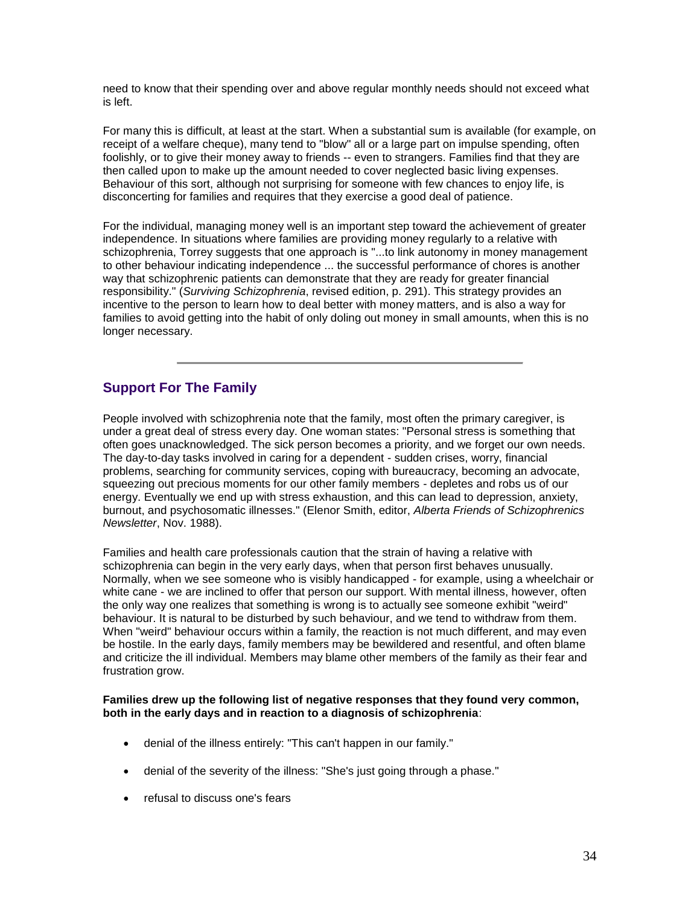need to know that their spending over and above regular monthly needs should not exceed what is left.

For many this is difficult, at least at the start. When a substantial sum is available (for example, on receipt of a welfare cheque), many tend to "blow" all or a large part on impulse spending, often foolishly, or to give their money away to friends -- even to strangers. Families find that they are then called upon to make up the amount needed to cover neglected basic living expenses. Behaviour of this sort, although not surprising for someone with few chances to enjoy life, is disconcerting for families and requires that they exercise a good deal of patience.

For the individual, managing money well is an important step toward the achievement of greater independence. In situations where families are providing money regularly to a relative with schizophrenia, Torrey suggests that one approach is "...to link autonomy in money management to other behaviour indicating independence ... the successful performance of chores is another way that schizophrenic patients can demonstrate that they are ready for greater financial responsibility." (*Surviving Schizophrenia*, revised edition, p. 291). This strategy provides an incentive to the person to learn how to deal better with money matters, and is also a way for families to avoid getting into the habit of only doling out money in small amounts, when this is no longer necessary.

# **Support For The Family**

People involved with schizophrenia note that the family, most often the primary caregiver, is under a great deal of stress every day. One woman states: "Personal stress is something that often goes unacknowledged. The sick person becomes a priority, and we forget our own needs. The day-to-day tasks involved in caring for a dependent - sudden crises, worry, financial problems, searching for community services, coping with bureaucracy, becoming an advocate, squeezing out precious moments for our other family members - depletes and robs us of our energy. Eventually we end up with stress exhaustion, and this can lead to depression, anxiety, burnout, and psychosomatic illnesses." (Elenor Smith, editor, *Alberta Friends of Schizophrenics Newsletter*, Nov. 1988).

Families and health care professionals caution that the strain of having a relative with schizophrenia can begin in the very early days, when that person first behaves unusually. Normally, when we see someone who is visibly handicapped - for example, using a wheelchair or white cane - we are inclined to offer that person our support. With mental illness, however, often the only way one realizes that something is wrong is to actually see someone exhibit "weird" behaviour. It is natural to be disturbed by such behaviour, and we tend to withdraw from them. When "weird" behaviour occurs within a family, the reaction is not much different, and may even be hostile. In the early days, family members may be bewildered and resentful, and often blame and criticize the ill individual. Members may blame other members of the family as their fear and frustration grow.

#### **Families drew up the following list of negative responses that they found very common, both in the early days and in reaction to a diagnosis of schizophrenia**:

- denial of the illness entirely: "This can't happen in our family."
- denial of the severity of the illness: "She's just going through a phase."
- refusal to discuss one's fears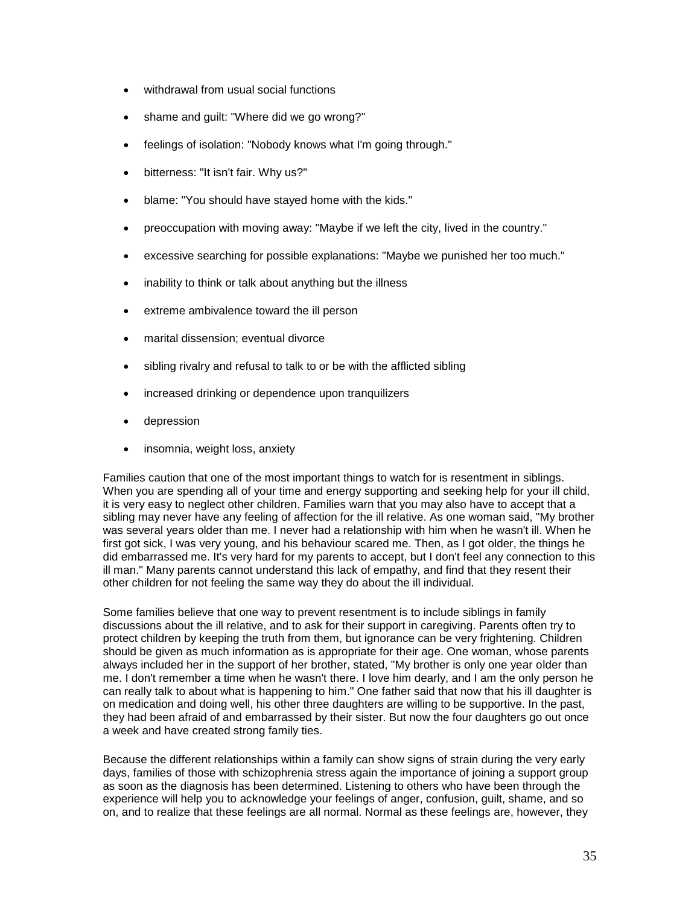- withdrawal from usual social functions
- shame and guilt: "Where did we go wrong?"
- feelings of isolation: "Nobody knows what I'm going through."
- bitterness: "It isn't fair. Why us?"
- blame: "You should have stayed home with the kids."
- preoccupation with moving away: "Maybe if we left the city, lived in the country."
- excessive searching for possible explanations: "Maybe we punished her too much."
- inability to think or talk about anything but the illness
- extreme ambivalence toward the ill person
- marital dissension; eventual divorce
- sibling rivalry and refusal to talk to or be with the afflicted sibling
- increased drinking or dependence upon tranquilizers
- **•** depression
- insomnia, weight loss, anxiety

Families caution that one of the most important things to watch for is resentment in siblings. When you are spending all of your time and energy supporting and seeking help for your ill child, it is very easy to neglect other children. Families warn that you may also have to accept that a sibling may never have any feeling of affection for the ill relative. As one woman said, "My brother was several years older than me. I never had a relationship with him when he wasn't ill. When he first got sick, I was very young, and his behaviour scared me. Then, as I got older, the things he did embarrassed me. It's very hard for my parents to accept, but I don't feel any connection to this ill man." Many parents cannot understand this lack of empathy, and find that they resent their other children for not feeling the same way they do about the ill individual.

Some families believe that one way to prevent resentment is to include siblings in family discussions about the ill relative, and to ask for their support in caregiving. Parents often try to protect children by keeping the truth from them, but ignorance can be very frightening. Children should be given as much information as is appropriate for their age. One woman, whose parents always included her in the support of her brother, stated, "My brother is only one year older than me. I don't remember a time when he wasn't there. I love him dearly, and I am the only person he can really talk to about what is happening to him." One father said that now that his ill daughter is on medication and doing well, his other three daughters are willing to be supportive. In the past, they had been afraid of and embarrassed by their sister. But now the four daughters go out once a week and have created strong family ties.

Because the different relationships within a family can show signs of strain during the very early days, families of those with schizophrenia stress again the importance of joining a support group as soon as the diagnosis has been determined. Listening to others who have been through the experience will help you to acknowledge your feelings of anger, confusion, guilt, shame, and so on, and to realize that these feelings are all normal. Normal as these feelings are, however, they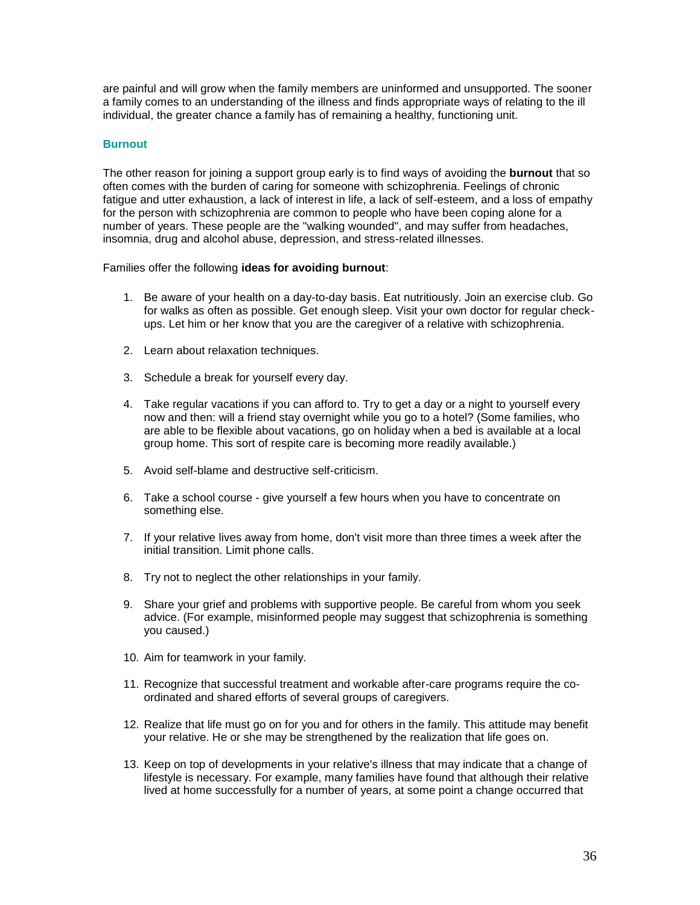are painful and will grow when the family members are uninformed and unsupported. The sooner a family comes to an understanding of the illness and finds appropriate ways of relating to the ill individual, the greater chance a family has of remaining a healthy, functioning unit.

## **Burnout**

The other reason for joining a support group early is to find ways of avoiding the **burnout** that so often comes with the burden of caring for someone with schizophrenia. Feelings of chronic fatigue and utter exhaustion, a lack of interest in life, a lack of self-esteem, and a loss of empathy for the person with schizophrenia are common to people who have been coping alone for a number of years. These people are the "walking wounded", and may suffer from headaches, insomnia, drug and alcohol abuse, depression, and stress-related illnesses.

Families offer the following **ideas for avoiding burnout**:

- 1. Be aware of your health on a day-to-day basis. Eat nutritiously. Join an exercise club. Go for walks as often as possible. Get enough sleep. Visit your own doctor for regular checkups. Let him or her know that you are the caregiver of a relative with schizophrenia.
- 2. Learn about relaxation techniques.
- 3. Schedule a break for yourself every day.
- 4. Take regular vacations if you can afford to. Try to get a day or a night to yourself every now and then: will a friend stay overnight while you go to a hotel? (Some families, who are able to be flexible about vacations, go on holiday when a bed is available at a local group home. This sort of respite care is becoming more readily available.)
- 5. Avoid self-blame and destructive self-criticism.
- 6. Take a school course give yourself a few hours when you have to concentrate on something else.
- 7. If your relative lives away from home, don't visit more than three times a week after the initial transition. Limit phone calls.
- 8. Try not to neglect the other relationships in your family.
- 9. Share your grief and problems with supportive people. Be careful from whom you seek advice. (For example, misinformed people may suggest that schizophrenia is something you caused.)
- 10. Aim for teamwork in your family.
- 11. Recognize that successful treatment and workable after-care programs require the coordinated and shared efforts of several groups of caregivers.
- 12. Realize that life must go on for you and for others in the family. This attitude may benefit your relative. He or she may be strengthened by the realization that life goes on.
- 13. Keep on top of developments in your relative's illness that may indicate that a change of lifestyle is necessary. For example, many families have found that although their relative lived at home successfully for a number of years, at some point a change occurred that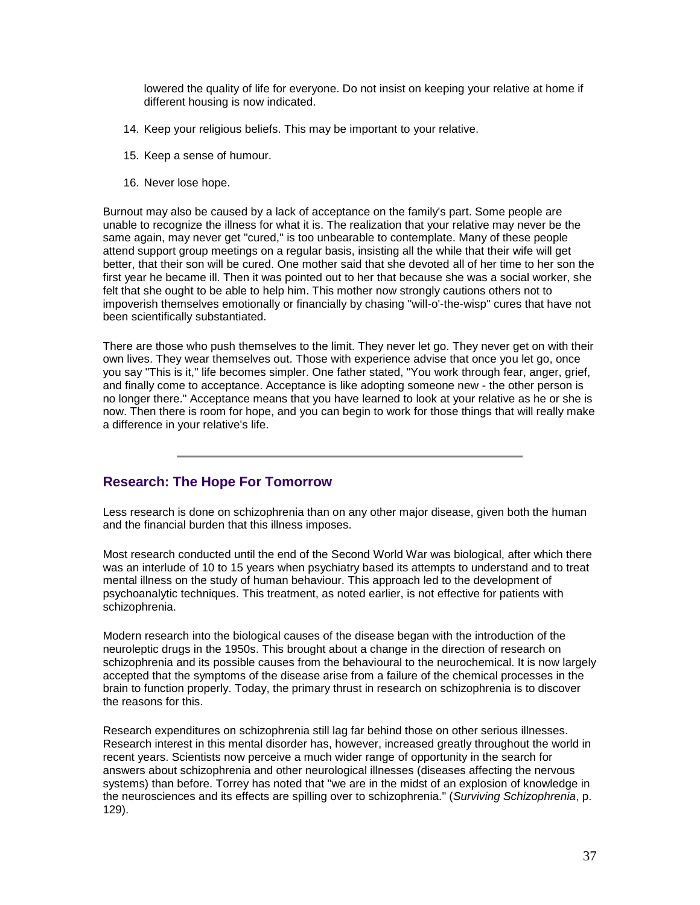lowered the quality of life for everyone. Do not insist on keeping your relative at home if different housing is now indicated.

- 14. Keep your religious beliefs. This may be important to your relative.
- 15. Keep a sense of humour.
- 16. Never lose hope.

Burnout may also be caused by a lack of acceptance on the family's part. Some people are unable to recognize the illness for what it is. The realization that your relative may never be the same again, may never get "cured," is too unbearable to contemplate. Many of these people attend support group meetings on a regular basis, insisting all the while that their wife will get better, that their son will be cured. One mother said that she devoted all of her time to her son the first year he became ill. Then it was pointed out to her that because she was a social worker, she felt that she ought to be able to help him. This mother now strongly cautions others not to impoverish themselves emotionally or financially by chasing "will-o'-the-wisp" cures that have not been scientifically substantiated.

There are those who push themselves to the limit. They never let go. They never get on with their own lives. They wear themselves out. Those with experience advise that once you let go, once you say "This is it," life becomes simpler. One father stated, "You work through fear, anger, grief, and finally come to acceptance. Acceptance is like adopting someone new - the other person is no longer there." Acceptance means that you have learned to look at your relative as he or she is now. Then there is room for hope, and you can begin to work for those things that will really make a difference in your relative's life.

# **Research: The Hope For Tomorrow**

Less research is done on schizophrenia than on any other major disease, given both the human and the financial burden that this illness imposes.

Most research conducted until the end of the Second World War was biological, after which there was an interlude of 10 to 15 years when psychiatry based its attempts to understand and to treat mental illness on the study of human behaviour. This approach led to the development of psychoanalytic techniques. This treatment, as noted earlier, is not effective for patients with schizophrenia.

Modern research into the biological causes of the disease began with the introduction of the neuroleptic drugs in the 1950s. This brought about a change in the direction of research on schizophrenia and its possible causes from the behavioural to the neurochemical. It is now largely accepted that the symptoms of the disease arise from a failure of the chemical processes in the brain to function properly. Today, the primary thrust in research on schizophrenia is to discover the reasons for this.

Research expenditures on schizophrenia still lag far behind those on other serious illnesses. Research interest in this mental disorder has, however, increased greatly throughout the world in recent years. Scientists now perceive a much wider range of opportunity in the search for answers about schizophrenia and other neurological illnesses (diseases affecting the nervous systems) than before. Torrey has noted that "we are in the midst of an explosion of knowledge in the neurosciences and its effects are spilling over to schizophrenia." (*Surviving Schizophrenia*, p. 129).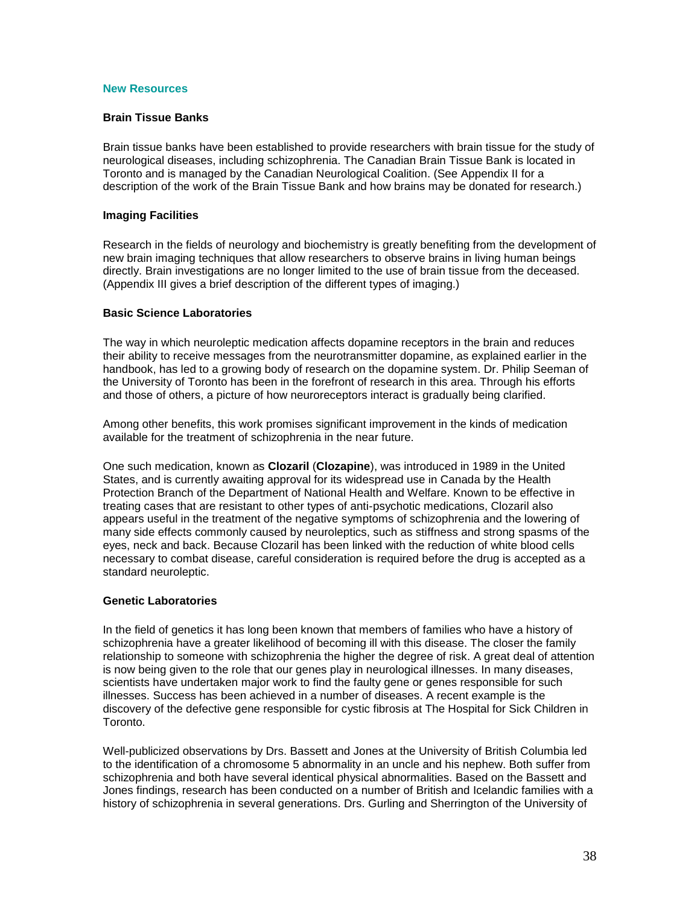### **New Resources**

#### **Brain Tissue Banks**

Brain tissue banks have been established to provide researchers with brain tissue for the study of neurological diseases, including schizophrenia. The Canadian Brain Tissue Bank is located in Toronto and is managed by the Canadian Neurological Coalition. (See Appendix II for a description of the work of the Brain Tissue Bank and how brains may be donated for research.)

#### **Imaging Facilities**

Research in the fields of neurology and biochemistry is greatly benefiting from the development of new brain imaging techniques that allow researchers to observe brains in living human beings directly. Brain investigations are no longer limited to the use of brain tissue from the deceased. (Appendix III gives a brief description of the different types of imaging.)

#### **Basic Science Laboratories**

The way in which neuroleptic medication affects dopamine receptors in the brain and reduces their ability to receive messages from the neurotransmitter dopamine, as explained earlier in the handbook, has led to a growing body of research on the dopamine system. Dr. Philip Seeman of the University of Toronto has been in the forefront of research in this area. Through his efforts and those of others, a picture of how neuroreceptors interact is gradually being clarified.

Among other benefits, this work promises significant improvement in the kinds of medication available for the treatment of schizophrenia in the near future.

One such medication, known as **Clozaril** (**Clozapine**), was introduced in 1989 in the United States, and is currently awaiting approval for its widespread use in Canada by the Health Protection Branch of the Department of National Health and Welfare. Known to be effective in treating cases that are resistant to other types of anti-psychotic medications, Clozaril also appears useful in the treatment of the negative symptoms of schizophrenia and the lowering of many side effects commonly caused by neuroleptics, such as stiffness and strong spasms of the eyes, neck and back. Because Clozaril has been linked with the reduction of white blood cells necessary to combat disease, careful consideration is required before the drug is accepted as a standard neuroleptic.

#### **Genetic Laboratories**

In the field of genetics it has long been known that members of families who have a history of schizophrenia have a greater likelihood of becoming ill with this disease. The closer the family relationship to someone with schizophrenia the higher the degree of risk. A great deal of attention is now being given to the role that our genes play in neurological illnesses. In many diseases, scientists have undertaken major work to find the faulty gene or genes responsible for such illnesses. Success has been achieved in a number of diseases. A recent example is the discovery of the defective gene responsible for cystic fibrosis at The Hospital for Sick Children in Toronto.

Well-publicized observations by Drs. Bassett and Jones at the University of British Columbia led to the identification of a chromosome 5 abnormality in an uncle and his nephew. Both suffer from schizophrenia and both have several identical physical abnormalities. Based on the Bassett and Jones findings, research has been conducted on a number of British and Icelandic families with a history of schizophrenia in several generations. Drs. Gurling and Sherrington of the University of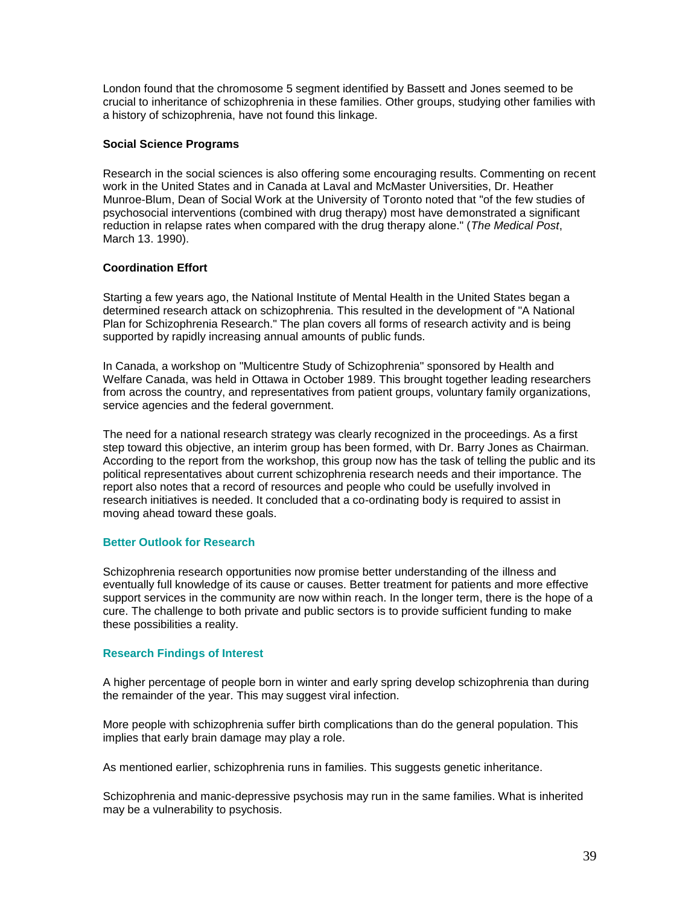London found that the chromosome 5 segment identified by Bassett and Jones seemed to be crucial to inheritance of schizophrenia in these families. Other groups, studying other families with a history of schizophrenia, have not found this linkage.

## **Social Science Programs**

Research in the social sciences is also offering some encouraging results. Commenting on recent work in the United States and in Canada at Laval and McMaster Universities, Dr. Heather Munroe-Blum, Dean of Social Work at the University of Toronto noted that "of the few studies of psychosocial interventions (combined with drug therapy) most have demonstrated a significant reduction in relapse rates when compared with the drug therapy alone." (*The Medical Post*, March 13. 1990).

## **Coordination Effort**

Starting a few years ago, the National Institute of Mental Health in the United States began a determined research attack on schizophrenia. This resulted in the development of "A National Plan for Schizophrenia Research." The plan covers all forms of research activity and is being supported by rapidly increasing annual amounts of public funds.

In Canada, a workshop on "Multicentre Study of Schizophrenia" sponsored by Health and Welfare Canada, was held in Ottawa in October 1989. This brought together leading researchers from across the country, and representatives from patient groups, voluntary family organizations, service agencies and the federal government.

The need for a national research strategy was clearly recognized in the proceedings. As a first step toward this objective, an interim group has been formed, with Dr. Barry Jones as Chairman. According to the report from the workshop, this group now has the task of telling the public and its political representatives about current schizophrenia research needs and their importance. The report also notes that a record of resources and people who could be usefully involved in research initiatives is needed. It concluded that a co-ordinating body is required to assist in moving ahead toward these goals.

#### **Better Outlook for Research**

Schizophrenia research opportunities now promise better understanding of the illness and eventually full knowledge of its cause or causes. Better treatment for patients and more effective support services in the community are now within reach. In the longer term, there is the hope of a cure. The challenge to both private and public sectors is to provide sufficient funding to make these possibilities a reality.

# **Research Findings of Interest**

A higher percentage of people born in winter and early spring develop schizophrenia than during the remainder of the year. This may suggest viral infection.

More people with schizophrenia suffer birth complications than do the general population. This implies that early brain damage may play a role.

As mentioned earlier, schizophrenia runs in families. This suggests genetic inheritance.

Schizophrenia and manic-depressive psychosis may run in the same families. What is inherited may be a vulnerability to psychosis.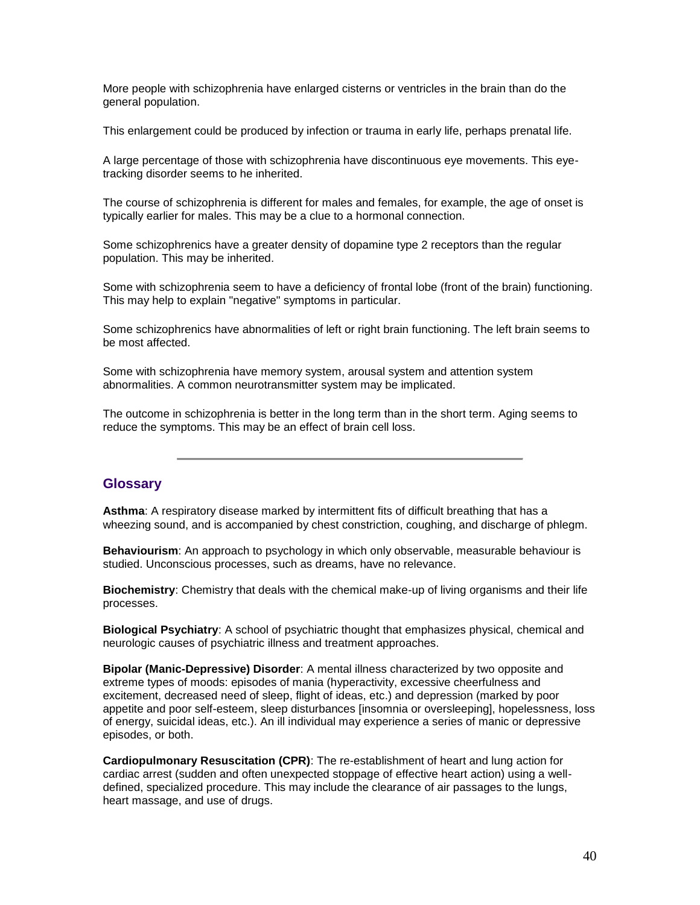More people with schizophrenia have enlarged cisterns or ventricles in the brain than do the general population.

This enlargement could be produced by infection or trauma in early life, perhaps prenatal life.

A large percentage of those with schizophrenia have discontinuous eye movements. This eyetracking disorder seems to he inherited.

The course of schizophrenia is different for males and females, for example, the age of onset is typically earlier for males. This may be a clue to a hormonal connection.

Some schizophrenics have a greater density of dopamine type 2 receptors than the regular population. This may be inherited.

Some with schizophrenia seem to have a deficiency of frontal lobe (front of the brain) functioning. This may help to explain "negative" symptoms in particular.

Some schizophrenics have abnormalities of left or right brain functioning. The left brain seems to be most affected.

Some with schizophrenia have memory system, arousal system and attention system abnormalities. A common neurotransmitter system may be implicated.

The outcome in schizophrenia is better in the long term than in the short term. Aging seems to reduce the symptoms. This may be an effect of brain cell loss.

# **Glossary**

**Asthma**: A respiratory disease marked by intermittent fits of difficult breathing that has a wheezing sound, and is accompanied by chest constriction, coughing, and discharge of phlegm.

**Behaviourism**: An approach to psychology in which only observable, measurable behaviour is studied. Unconscious processes, such as dreams, have no relevance.

**Biochemistry**: Chemistry that deals with the chemical make-up of living organisms and their life processes.

**Biological Psychiatry**: A school of psychiatric thought that emphasizes physical, chemical and neurologic causes of psychiatric illness and treatment approaches.

**Bipolar (Manic-Depressive) Disorder**: A mental illness characterized by two opposite and extreme types of moods: episodes of mania (hyperactivity, excessive cheerfulness and excitement, decreased need of sleep, flight of ideas, etc.) and depression (marked by poor appetite and poor self-esteem, sleep disturbances [insomnia or oversleeping], hopelessness, loss of energy, suicidal ideas, etc.). An ill individual may experience a series of manic or depressive episodes, or both.

**Cardiopulmonary Resuscitation (CPR)**: The re-establishment of heart and lung action for cardiac arrest (sudden and often unexpected stoppage of effective heart action) using a welldefined, specialized procedure. This may include the clearance of air passages to the lungs, heart massage, and use of drugs.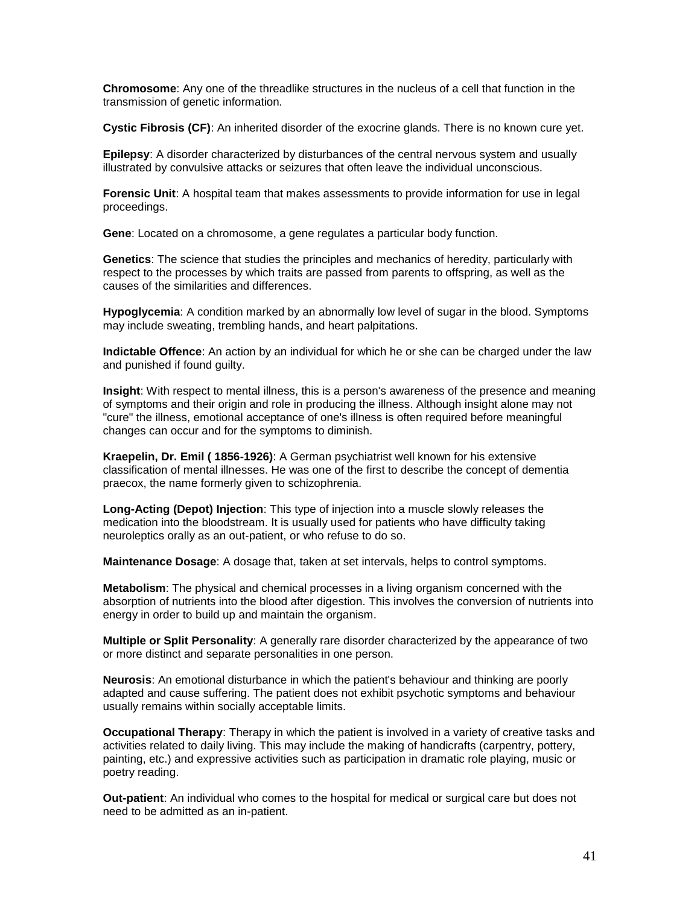**Chromosome**: Any one of the threadlike structures in the nucleus of a cell that function in the transmission of genetic information.

**Cystic Fibrosis (CF)**: An inherited disorder of the exocrine glands. There is no known cure yet.

**Epilepsy**: A disorder characterized by disturbances of the central nervous system and usually illustrated by convulsive attacks or seizures that often leave the individual unconscious.

**Forensic Unit**: A hospital team that makes assessments to provide information for use in legal proceedings.

**Gene**: Located on a chromosome, a gene regulates a particular body function.

**Genetics**: The science that studies the principles and mechanics of heredity, particularly with respect to the processes by which traits are passed from parents to offspring, as well as the causes of the similarities and differences.

**Hypoglycemia**: A condition marked by an abnormally low level of sugar in the blood. Symptoms may include sweating, trembling hands, and heart palpitations.

**Indictable Offence**: An action by an individual for which he or she can be charged under the law and punished if found guilty.

**Insight**: With respect to mental illness, this is a person's awareness of the presence and meaning of symptoms and their origin and role in producing the illness. Although insight alone may not "cure" the illness, emotional acceptance of one's illness is often required before meaningful changes can occur and for the symptoms to diminish.

**Kraepelin, Dr. Emil ( 1856-1926)**: A German psychiatrist well known for his extensive classification of mental illnesses. He was one of the first to describe the concept of dementia praecox, the name formerly given to schizophrenia.

**Long-Acting (Depot) Injection**: This type of injection into a muscle slowly releases the medication into the bloodstream. It is usually used for patients who have difficulty taking neuroleptics orally as an out-patient, or who refuse to do so.

**Maintenance Dosage**: A dosage that, taken at set intervals, helps to control symptoms.

**Metabolism**: The physical and chemical processes in a living organism concerned with the absorption of nutrients into the blood after digestion. This involves the conversion of nutrients into energy in order to build up and maintain the organism.

**Multiple or Split Personality**: A generally rare disorder characterized by the appearance of two or more distinct and separate personalities in one person.

**Neurosis**: An emotional disturbance in which the patient's behaviour and thinking are poorly adapted and cause suffering. The patient does not exhibit psychotic symptoms and behaviour usually remains within socially acceptable limits.

**Occupational Therapy**: Therapy in which the patient is involved in a variety of creative tasks and activities related to daily living. This may include the making of handicrafts (carpentry, pottery, painting, etc.) and expressive activities such as participation in dramatic role playing, music or poetry reading.

**Out-patient**: An individual who comes to the hospital for medical or surgical care but does not need to be admitted as an in-patient.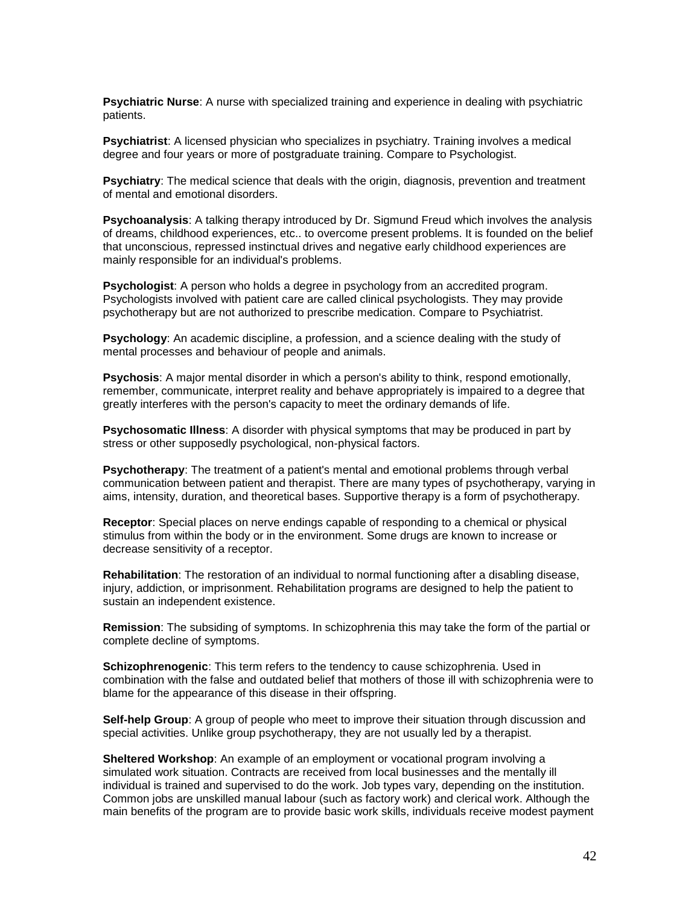**Psychiatric Nurse**: A nurse with specialized training and experience in dealing with psychiatric patients.

**Psychiatrist**: A licensed physician who specializes in psychiatry. Training involves a medical degree and four years or more of postgraduate training. Compare to Psychologist.

**Psychiatry**: The medical science that deals with the origin, diagnosis, prevention and treatment of mental and emotional disorders.

**Psychoanalysis**: A talking therapy introduced by Dr. Sigmund Freud which involves the analysis of dreams, childhood experiences, etc.. to overcome present problems. It is founded on the belief that unconscious, repressed instinctual drives and negative early childhood experiences are mainly responsible for an individual's problems.

**Psychologist**: A person who holds a degree in psychology from an accredited program. Psychologists involved with patient care are called clinical psychologists. They may provide psychotherapy but are not authorized to prescribe medication. Compare to Psychiatrist.

**Psychology**: An academic discipline, a profession, and a science dealing with the study of mental processes and behaviour of people and animals.

**Psychosis**: A major mental disorder in which a person's ability to think, respond emotionally, remember, communicate, interpret reality and behave appropriately is impaired to a degree that greatly interferes with the person's capacity to meet the ordinary demands of life.

**Psychosomatic Illness**: A disorder with physical symptoms that may be produced in part by stress or other supposedly psychological, non-physical factors.

**Psychotherapy**: The treatment of a patient's mental and emotional problems through verbal communication between patient and therapist. There are many types of psychotherapy, varying in aims, intensity, duration, and theoretical bases. Supportive therapy is a form of psychotherapy.

**Receptor**: Special places on nerve endings capable of responding to a chemical or physical stimulus from within the body or in the environment. Some drugs are known to increase or decrease sensitivity of a receptor.

**Rehabilitation**: The restoration of an individual to normal functioning after a disabling disease, injury, addiction, or imprisonment. Rehabilitation programs are designed to help the patient to sustain an independent existence.

**Remission**: The subsiding of symptoms. In schizophrenia this may take the form of the partial or complete decline of symptoms.

**Schizophrenogenic**: This term refers to the tendency to cause schizophrenia. Used in combination with the false and outdated belief that mothers of those ill with schizophrenia were to blame for the appearance of this disease in their offspring.

**Self-help Group**: A group of people who meet to improve their situation through discussion and special activities. Unlike group psychotherapy, they are not usually led by a therapist.

**Sheltered Workshop**: An example of an employment or vocational program involving a simulated work situation. Contracts are received from local businesses and the mentally ill individual is trained and supervised to do the work. Job types vary, depending on the institution. Common jobs are unskilled manual labour (such as factory work) and clerical work. Although the main benefits of the program are to provide basic work skills, individuals receive modest payment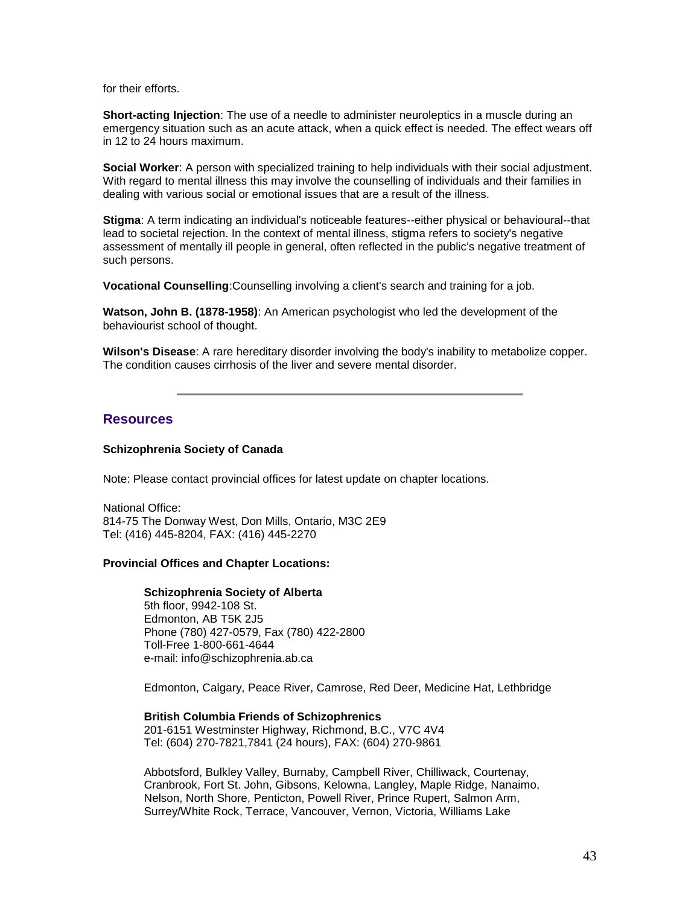for their efforts.

**Short-acting Injection**: The use of a needle to administer neuroleptics in a muscle during an emergency situation such as an acute attack, when a quick effect is needed. The effect wears off in 12 to 24 hours maximum.

**Social Worker**: A person with specialized training to help individuals with their social adjustment. With regard to mental illness this may involve the counselling of individuals and their families in dealing with various social or emotional issues that are a result of the illness.

**Stigma**: A term indicating an individual's noticeable features--either physical or behavioural--that lead to societal rejection. In the context of mental illness, stigma refers to society's negative assessment of mentally ill people in general, often reflected in the public's negative treatment of such persons.

**Vocational Counselling**:Counselling involving a client's search and training for a job.

**Watson, John B. (1878-1958)**: An American psychologist who led the development of the behaviourist school of thought.

**Wilson's Disease**: A rare hereditary disorder involving the body's inability to metabolize copper. The condition causes cirrhosis of the liver and severe mental disorder.

# **Resources**

#### **Schizophrenia Society of Canada**

Note: Please contact provincial offices for latest update on chapter locations.

National Office: 814-75 The Donway West, Don Mills, Ontario, M3C 2E9 Tel: (416) 445-8204, FAX: (416) 445-2270

#### **Provincial Offices and Chapter Locations:**

#### **Schizophrenia Society of Alberta**

5th floor, 9942-108 St. Edmonton, AB T5K 2J5 Phone (780) 427-0579, Fax (780) 422-2800 Toll-Free 1-800-661-4644 e-mail: info@schizophrenia.ab.ca

Edmonton, Calgary, Peace River, Camrose, Red Deer, Medicine Hat, Lethbridge

**British Columbia Friends of Schizophrenics** 201-6151 Westminster Highway, Richmond, B.C., V7C 4V4 Tel: (604) 270-7821,7841 (24 hours), FAX: (604) 270-9861

Abbotsford, Bulkley Valley, Burnaby, Campbell River, Chilliwack, Courtenay, Cranbrook, Fort St. John, Gibsons, Kelowna, Langley, Maple Ridge, Nanaimo, Nelson, North Shore, Penticton, Powell River, Prince Rupert, Salmon Arm, Surrey/White Rock, Terrace, Vancouver, Vernon, Victoria, Williams Lake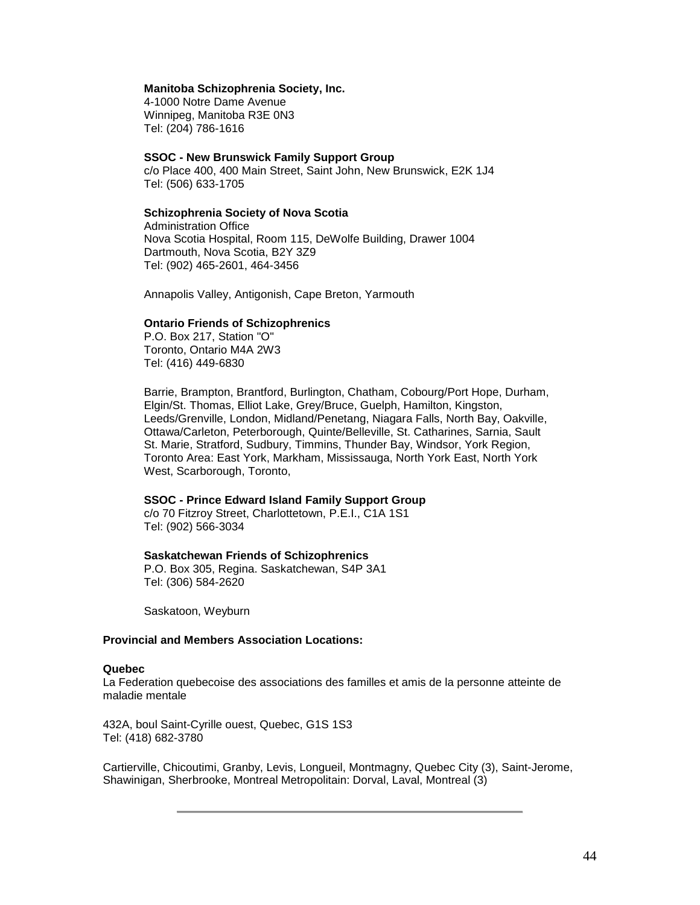#### **Manitoba Schizophrenia Society, Inc.**

4-1000 Notre Dame Avenue Winnipeg, Manitoba R3E 0N3 Tel: (204) 786-1616

#### **SSOC - New Brunswick Family Support Group**

c/o Place 400, 400 Main Street, Saint John, New Brunswick, E2K 1J4 Tel: (506) 633-1705

#### **Schizophrenia Society of Nova Scotia**

Administration Office Nova Scotia Hospital, Room 115, DeWolfe Building, Drawer 1004 Dartmouth, Nova Scotia, B2Y 3Z9 Tel: (902) 465-2601, 464-3456

Annapolis Valley, Antigonish, Cape Breton, Yarmouth

#### **Ontario Friends of Schizophrenics**

P.O. Box 217, Station "O" Toronto, Ontario M4A 2W3 Tel: (416) 449-6830

Barrie, Brampton, Brantford, Burlington, Chatham, Cobourg/Port Hope, Durham, Elgin/St. Thomas, Elliot Lake, Grey/Bruce, Guelph, Hamilton, Kingston, Leeds/Grenville, London, Midland/Penetang, Niagara Falls, North Bay, Oakville, Ottawa/Carleton, Peterborough, Quinte/Belleville, St. Catharines, Sarnia, Sault St. Marie, Stratford, Sudbury, Timmins, Thunder Bay, Windsor, York Region, Toronto Area: East York, Markham, Mississauga, North York East, North York West, Scarborough, Toronto,

#### **SSOC - Prince Edward Island Family Support Group**

c/o 70 Fitzroy Street, Charlottetown, P.E.I., C1A 1S1 Tel: (902) 566-3034

#### **Saskatchewan Friends of Schizophrenics**

P.O. Box 305, Regina. Saskatchewan, S4P 3A1 Tel: (306) 584-2620

Saskatoon, Weyburn

## **Provincial and Members Association Locations:**

#### **Quebec**

La Federation quebecoise des associations des familles et amis de la personne atteinte de maladie mentale

432A, boul Saint-Cyrille ouest, Quebec, G1S 1S3 Tel: (418) 682-3780

Cartierville, Chicoutimi, Granby, Levis, Longueil, Montmagny, Quebec City (3), Saint-Jerome, Shawinigan, Sherbrooke, Montreal Metropolitain: Dorval, Laval, Montreal (3)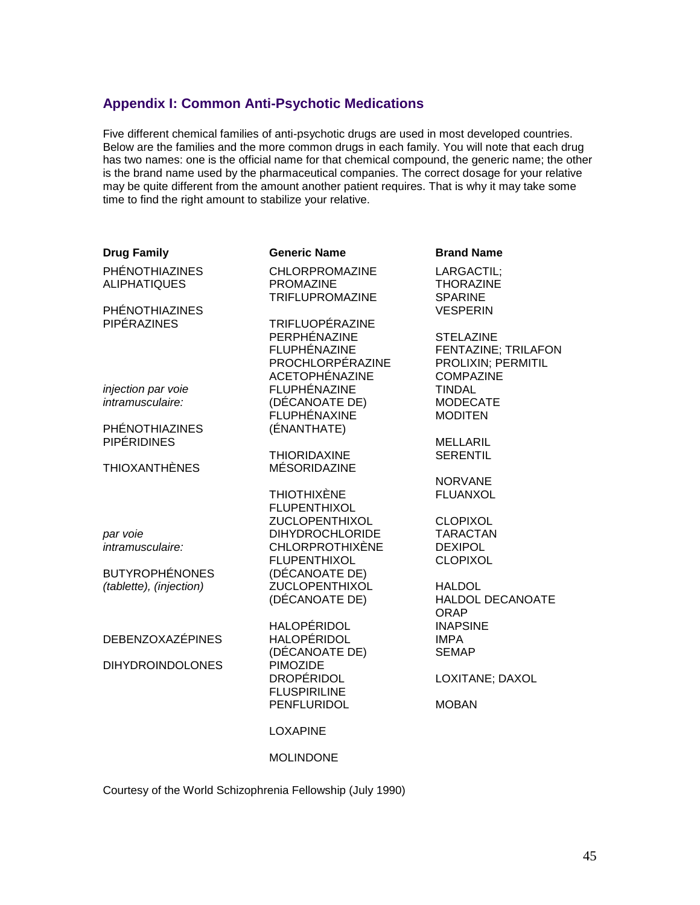# **Appendix I: Common Anti-Psychotic Medications**

Five different chemical families of anti-psychotic drugs are used in most developed countries. Below are the families and the more common drugs in each family. You will note that each drug has two names: one is the official name for that chemical compound, the generic name; the other is the brand name used by the pharmaceutical companies. The correct dosage for your relative may be quite different from the amount another patient requires. That is why it may take some time to find the right amount to stabilize your relative.

| <b>Drug Family</b>                    | <b>Generic Name</b>                                          | <b>Brand Name</b>                                |
|---------------------------------------|--------------------------------------------------------------|--------------------------------------------------|
| PHÉNOTHIAZINES<br><b>ALIPHATIQUES</b> | <b>CHLORPROMAZINE</b><br><b>PROMAZINE</b><br>TRIFLUPROMAZINE | LARGACTIL;<br><b>THORAZINE</b><br><b>SPARINE</b> |
| <b>PHÉNOTHIAZINES</b>                 |                                                              | <b>VESPERIN</b>                                  |
| PIPÉRAZINES                           | TRIFLUOPÉRAZINE                                              |                                                  |
|                                       | PERPHÉNAZINE                                                 | <b>STELAZINE</b>                                 |
|                                       | FLUPHÉNAZINE                                                 | <b>FENTAZINE; TRILAFON</b>                       |
|                                       | PROCHLORPÉRAZINE                                             | PROLIXIN; PERMITIL                               |
|                                       | <b>ACETOPHÉNAZINE</b>                                        | <b>COMPAZINE</b>                                 |
| injection par voie                    | FLUPHÉNAZINE                                                 | <b>TINDAL</b>                                    |
| intramusculaire:                      | (DÉCANOATE DE)                                               | <b>MODECATE</b>                                  |
|                                       | FLUPHÉNAXINE                                                 | <b>MODITEN</b>                                   |
| <b>PHÉNOTHIAZINES</b>                 | (ÉNANTHATE)                                                  |                                                  |
| <b>PIPÉRIDINES</b>                    |                                                              | <b>MELLARIL</b>                                  |
|                                       | <b>THIORIDAXINE</b>                                          | <b>SERENTIL</b>                                  |
| <b>THIOXANTHÈNES</b>                  | <b>MÉSORIDAZINE</b>                                          |                                                  |
|                                       |                                                              | <b>NORVANE</b>                                   |
|                                       | <b>THIOTHIXÈNE</b>                                           | <b>FLUANXOL</b>                                  |
|                                       | <b>FLUPENTHIXOL</b>                                          |                                                  |
|                                       | <b>ZUCLOPENTHIXOL</b>                                        | <b>CLOPIXOL</b>                                  |
| par voie                              | <b>DIHYDROCHLORIDE</b>                                       | <b>TARACTAN</b>                                  |
| intramusculaire:                      | <b>CHLORPROTHIXÈNE</b>                                       | <b>DEXIPOL</b>                                   |
|                                       | <b>FLUPENTHIXOL</b>                                          | <b>CLOPIXOL</b>                                  |
| <b>BUTYROPHÉNONES</b>                 | (DÉCANOATE DE)                                               |                                                  |
| (tablette), (injection)               | <b>ZUCLOPENTHIXOL</b>                                        | <b>HALDOL</b>                                    |
|                                       | (DÉCANOATE DE)                                               | <b>HALDOL DECANOATE</b>                          |
|                                       |                                                              | <b>ORAP</b>                                      |
|                                       | <b>HALOPÉRIDOL</b>                                           | <b>INAPSINE</b>                                  |
| <b>DEBENZOXAZÉPINES</b>               | <b>HALOPÉRIDOL</b>                                           | <b>IMPA</b>                                      |
|                                       | (DÉCANOATE DE)                                               | <b>SEMAP</b>                                     |
| <b>DIHYDROINDOLONES</b>               | PIMOZIDE                                                     |                                                  |
|                                       | <b>DROPÉRIDOL</b>                                            | LOXITANE; DAXOL                                  |
|                                       | <b>FLUSPIRILINE</b>                                          |                                                  |
|                                       | PENFLURIDOL                                                  | <b>MOBAN</b>                                     |
|                                       | <b>LOXAPINE</b>                                              |                                                  |
|                                       |                                                              |                                                  |
|                                       | <b>MOI INDONE</b>                                            |                                                  |

Courtesy of the World Schizophrenia Fellowship (July 1990)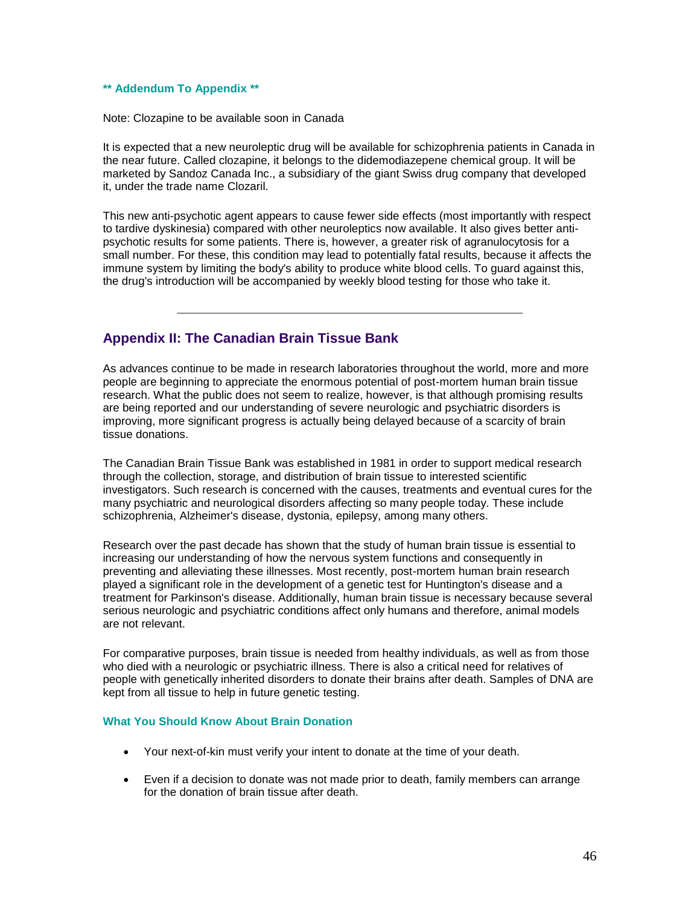#### **\*\* Addendum To Appendix \*\***

Note: Clozapine to be available soon in Canada

It is expected that a new neuroleptic drug will be available for schizophrenia patients in Canada in the near future. Called clozapine, it belongs to the didemodiazepene chemical group. It will be marketed by Sandoz Canada Inc., a subsidiary of the giant Swiss drug company that developed it, under the trade name Clozaril.

This new anti-psychotic agent appears to cause fewer side effects (most importantly with respect to tardive dyskinesia) compared with other neuroleptics now available. It also gives better antipsychotic results for some patients. There is, however, a greater risk of agranulocytosis for a small number. For these, this condition may lead to potentially fatal results, because it affects the immune system by limiting the body's ability to produce white blood cells. To guard against this, the drug's introduction will be accompanied by weekly blood testing for those who take it.

# **Appendix II: The Canadian Brain Tissue Bank**

As advances continue to be made in research laboratories throughout the world, more and more people are beginning to appreciate the enormous potential of post-mortem human brain tissue research. What the public does not seem to realize, however, is that although promising results are being reported and our understanding of severe neurologic and psychiatric disorders is improving, more significant progress is actually being delayed because of a scarcity of brain tissue donations.

The Canadian Brain Tissue Bank was established in 1981 in order to support medical research through the collection, storage, and distribution of brain tissue to interested scientific investigators. Such research is concerned with the causes, treatments and eventual cures for the many psychiatric and neurological disorders affecting so many people today. These include schizophrenia, Alzheimer's disease, dystonia, epilepsy, among many others.

Research over the past decade has shown that the study of human brain tissue is essential to increasing our understanding of how the nervous system functions and consequently in preventing and alleviating these illnesses. Most recently, post-mortem human brain research played a significant role in the development of a genetic test for Huntington's disease and a treatment for Parkinson's disease. Additionally, human brain tissue is necessary because several serious neurologic and psychiatric conditions affect only humans and therefore, animal models are not relevant.

For comparative purposes, brain tissue is needed from healthy individuals, as well as from those who died with a neurologic or psychiatric illness. There is also a critical need for relatives of people with genetically inherited disorders to donate their brains after death. Samples of DNA are kept from all tissue to help in future genetic testing.

#### **What You Should Know About Brain Donation**

- Your next-of-kin must verify your intent to donate at the time of your death.
- Even if a decision to donate was not made prior to death, family members can arrange for the donation of brain tissue after death.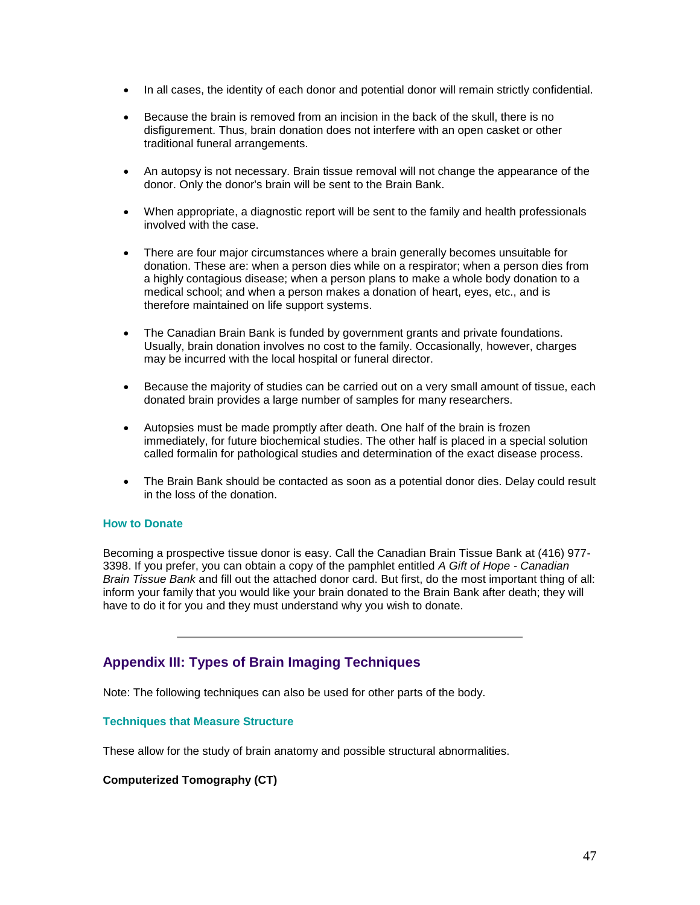- In all cases, the identity of each donor and potential donor will remain strictly confidential.
- Because the brain is removed from an incision in the back of the skull, there is no disfigurement. Thus, brain donation does not interfere with an open casket or other traditional funeral arrangements.
- An autopsy is not necessary. Brain tissue removal will not change the appearance of the donor. Only the donor's brain will be sent to the Brain Bank.
- When appropriate, a diagnostic report will be sent to the family and health professionals involved with the case.
- There are four major circumstances where a brain generally becomes unsuitable for donation. These are: when a person dies while on a respirator; when a person dies from a highly contagious disease; when a person plans to make a whole body donation to a medical school; and when a person makes a donation of heart, eyes, etc., and is therefore maintained on life support systems.
- The Canadian Brain Bank is funded by government grants and private foundations. Usually, brain donation involves no cost to the family. Occasionally, however, charges may be incurred with the local hospital or funeral director.
- Because the majority of studies can be carried out on a very small amount of tissue, each donated brain provides a large number of samples for many researchers.
- Autopsies must be made promptly after death. One half of the brain is frozen immediately, for future biochemical studies. The other half is placed in a special solution called formalin for pathological studies and determination of the exact disease process.
- The Brain Bank should be contacted as soon as a potential donor dies. Delay could result in the loss of the donation.

### **How to Donate**

Becoming a prospective tissue donor is easy. Call the Canadian Brain Tissue Bank at (416) 977- 3398. If you prefer, you can obtain a copy of the pamphlet entitled *A Gift of Hope - Canadian Brain Tissue Bank* and fill out the attached donor card. But first, do the most important thing of all: inform your family that you would like your brain donated to the Brain Bank after death; they will have to do it for you and they must understand why you wish to donate.

# **Appendix III: Types of Brain Imaging Techniques**

Note: The following techniques can also be used for other parts of the body.

#### **Techniques that Measure Structure**

These allow for the study of brain anatomy and possible structural abnormalities.

#### **Computerized Tomography (CT)**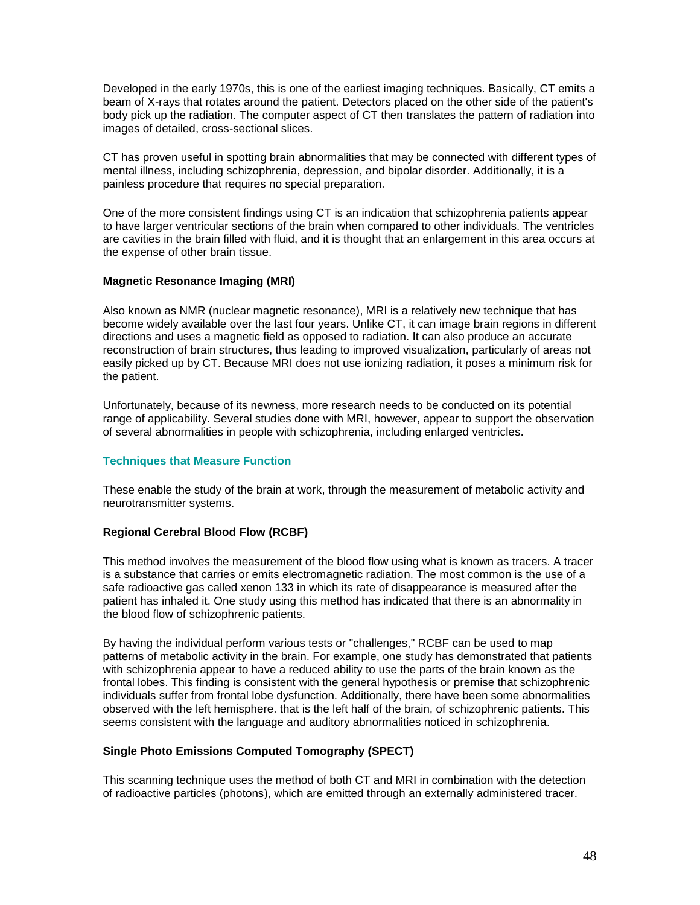Developed in the early 1970s, this is one of the earliest imaging techniques. Basically, CT emits a beam of X-rays that rotates around the patient. Detectors placed on the other side of the patient's body pick up the radiation. The computer aspect of CT then translates the pattern of radiation into images of detailed, cross-sectional slices.

CT has proven useful in spotting brain abnormalities that may be connected with different types of mental illness, including schizophrenia, depression, and bipolar disorder. Additionally, it is a painless procedure that requires no special preparation.

One of the more consistent findings using CT is an indication that schizophrenia patients appear to have larger ventricular sections of the brain when compared to other individuals. The ventricles are cavities in the brain filled with fluid, and it is thought that an enlargement in this area occurs at the expense of other brain tissue.

## **Magnetic Resonance Imaging (MRI)**

Also known as NMR (nuclear magnetic resonance), MRI is a relatively new technique that has become widely available over the last four years. Unlike CT, it can image brain regions in different directions and uses a magnetic field as opposed to radiation. It can also produce an accurate reconstruction of brain structures, thus leading to improved visualization, particularly of areas not easily picked up by CT. Because MRI does not use ionizing radiation, it poses a minimum risk for the patient.

Unfortunately, because of its newness, more research needs to be conducted on its potential range of applicability. Several studies done with MRI, however, appear to support the observation of several abnormalities in people with schizophrenia, including enlarged ventricles.

#### **Techniques that Measure Function**

These enable the study of the brain at work, through the measurement of metabolic activity and neurotransmitter systems.

#### **Regional Cerebral Blood Flow (RCBF)**

This method involves the measurement of the blood flow using what is known as tracers. A tracer is a substance that carries or emits electromagnetic radiation. The most common is the use of a safe radioactive gas called xenon 133 in which its rate of disappearance is measured after the patient has inhaled it. One study using this method has indicated that there is an abnormality in the blood flow of schizophrenic patients.

By having the individual perform various tests or "challenges," RCBF can be used to map patterns of metabolic activity in the brain. For example, one study has demonstrated that patients with schizophrenia appear to have a reduced ability to use the parts of the brain known as the frontal lobes. This finding is consistent with the general hypothesis or premise that schizophrenic individuals suffer from frontal lobe dysfunction. Additionally, there have been some abnormalities observed with the left hemisphere. that is the left half of the brain, of schizophrenic patients. This seems consistent with the language and auditory abnormalities noticed in schizophrenia.

# **Single Photo Emissions Computed Tomography (SPECT)**

This scanning technique uses the method of both CT and MRI in combination with the detection of radioactive particles (photons), which are emitted through an externally administered tracer.